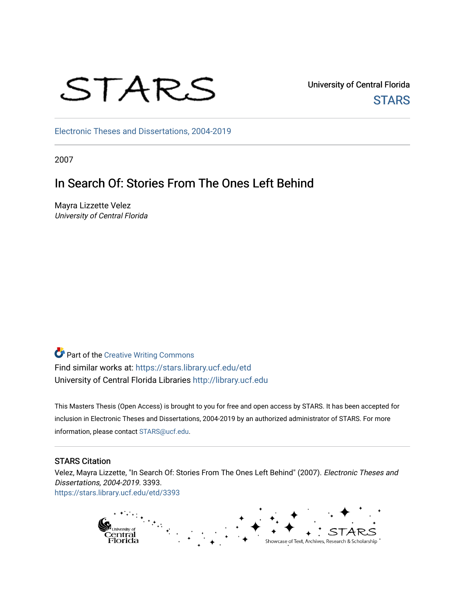

University of Central Florida **STARS** 

[Electronic Theses and Dissertations, 2004-2019](https://stars.library.ucf.edu/etd) 

2007

# In Search Of: Stories From The Ones Left Behind

Mayra Lizzette Velez University of Central Florida

**Part of the Creative Writing Commons** Find similar works at: <https://stars.library.ucf.edu/etd> University of Central Florida Libraries [http://library.ucf.edu](http://library.ucf.edu/) 

This Masters Thesis (Open Access) is brought to you for free and open access by STARS. It has been accepted for inclusion in Electronic Theses and Dissertations, 2004-2019 by an authorized administrator of STARS. For more information, please contact [STARS@ucf.edu.](mailto:STARS@ucf.edu)

#### STARS Citation

Velez, Mayra Lizzette, "In Search Of: Stories From The Ones Left Behind" (2007). Electronic Theses and Dissertations, 2004-2019. 3393. [https://stars.library.ucf.edu/etd/3393](https://stars.library.ucf.edu/etd/3393?utm_source=stars.library.ucf.edu%2Fetd%2F3393&utm_medium=PDF&utm_campaign=PDFCoverPages) 

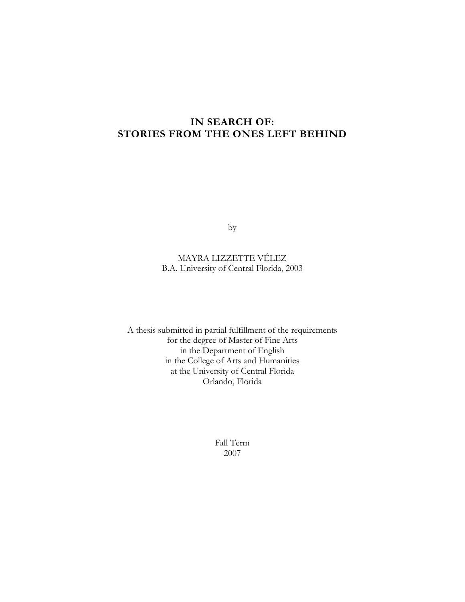### **IN SEARCH OF: STORIES FROM THE ONES LEFT BEHIND**

by

### MAYRA LIZZETTE VÉLEZ B.A. University of Central Florida, 2003

A thesis submitted in partial fulfillment of the requirements for the degree of Master of Fine Arts in the Department of English in the College of Arts and Humanities at the University of Central Florida Orlando, Florida

> Fall Term 2007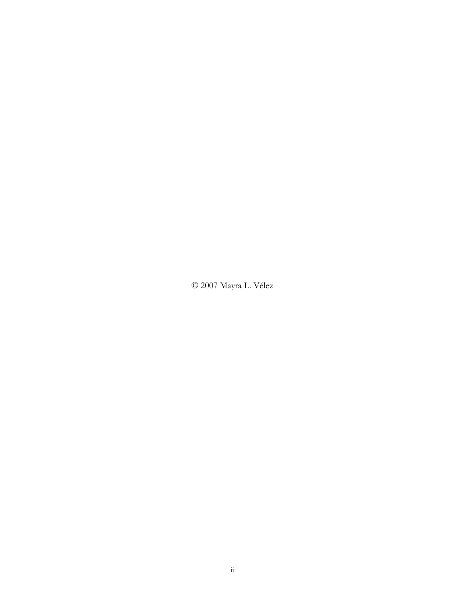© 2007 Mayra L. Vélez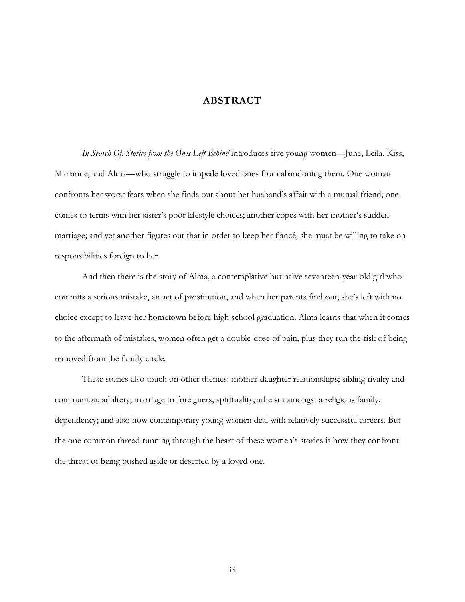### **ABSTRACT**

*In Search Of: Stories from the Ones Left Behind* introduces five young women—June, Leila, Kiss, Marianne, and Alma—who struggle to impede loved ones from abandoning them. One woman confronts her worst fears when she finds out about her husband's affair with a mutual friend; one comes to terms with her sister's poor lifestyle choices; another copes with her mother's sudden marriage; and yet another figures out that in order to keep her fiancé, she must be willing to take on responsibilities foreign to her.

And then there is the story of Alma, a contemplative but naïve seventeen-year-old girl who commits a serious mistake, an act of prostitution, and when her parents find out, she's left with no choice except to leave her hometown before high school graduation. Alma learns that when it comes to the aftermath of mistakes, women often get a double-dose of pain, plus they run the risk of being removed from the family circle.

These stories also touch on other themes: mother-daughter relationships; sibling rivalry and communion; adultery; marriage to foreigners; spirituality; atheism amongst a religious family; dependency; and also how contemporary young women deal with relatively successful careers. But the one common thread running through the heart of these women's stories is how they confront the threat of being pushed aside or deserted by a loved one.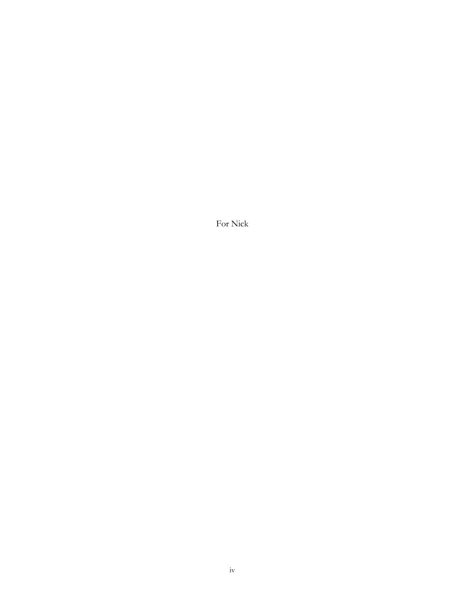For Nick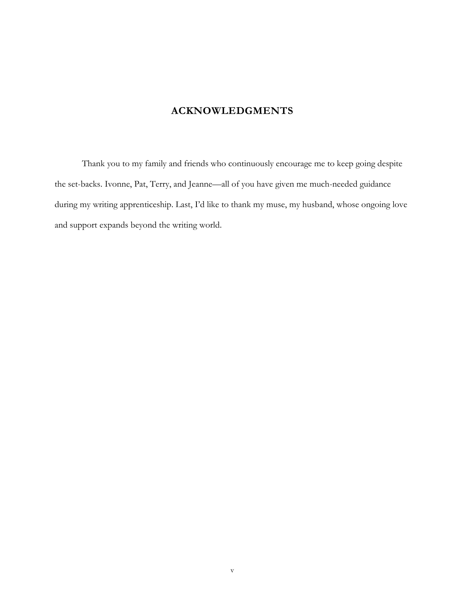## **ACKNOWLEDGMENTS**

Thank you to my family and friends who continuously encourage me to keep going despite the set-backs. Ivonne, Pat, Terry, and Jeanne—all of you have given me much-needed guidance during my writing apprenticeship. Last, I'd like to thank my muse, my husband, whose ongoing love and support expands beyond the writing world.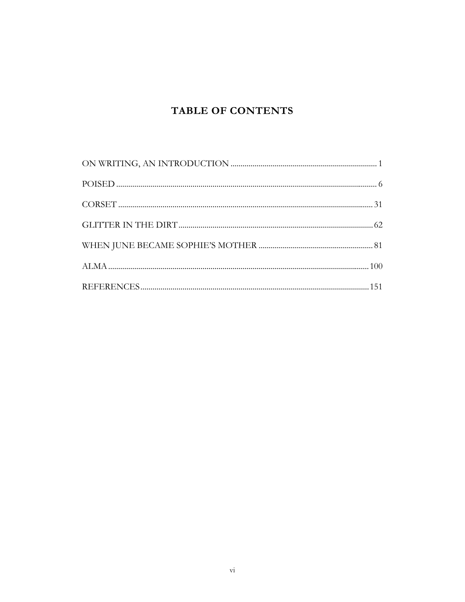## **TABLE OF CONTENTS**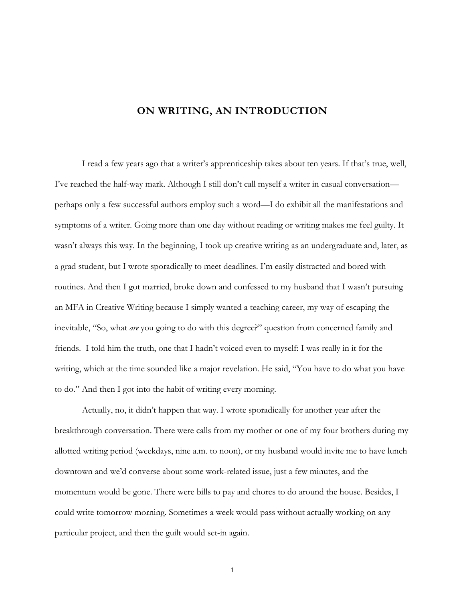#### **ON WRITING, AN INTRODUCTION**

<span id="page-7-0"></span>I read a few years ago that a writer's apprenticeship takes about ten years. If that's true, well, I've reached the half-way mark. Although I still don't call myself a writer in casual conversation perhaps only a few successful authors employ such a word—I do exhibit all the manifestations and symptoms of a writer. Going more than one day without reading or writing makes me feel guilty. It wasn't always this way. In the beginning, I took up creative writing as an undergraduate and, later, as a grad student, but I wrote sporadically to meet deadlines. I'm easily distracted and bored with routines. And then I got married, broke down and confessed to my husband that I wasn't pursuing an MFA in Creative Writing because I simply wanted a teaching career, my way of escaping the inevitable, "So, what *are* you going to do with this degree?" question from concerned family and friends. I told him the truth, one that I hadn't voiced even to myself: I was really in it for the writing, which at the time sounded like a major revelation. He said, "You have to do what you have to do." And then I got into the habit of writing every morning.

Actually, no, it didn't happen that way. I wrote sporadically for another year after the breakthrough conversation. There were calls from my mother or one of my four brothers during my allotted writing period (weekdays, nine a.m. to noon), or my husband would invite me to have lunch downtown and we'd converse about some work-related issue, just a few minutes, and the momentum would be gone. There were bills to pay and chores to do around the house. Besides, I could write tomorrow morning. Sometimes a week would pass without actually working on any particular project, and then the guilt would set-in again.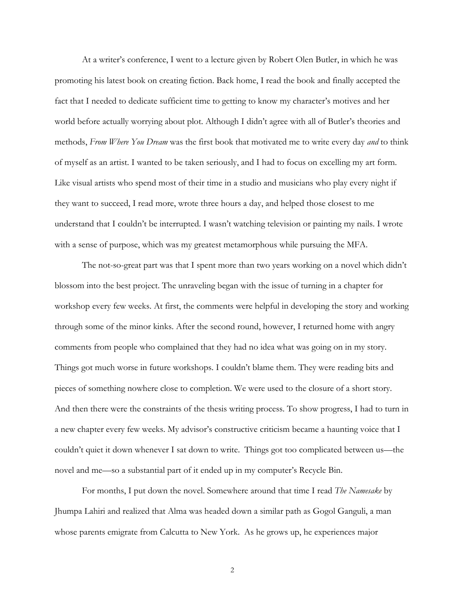At a writer's conference, I went to a lecture given by Robert Olen Butler, in which he was promoting his latest book on creating fiction. Back home, I read the book and finally accepted the fact that I needed to dedicate sufficient time to getting to know my character's motives and her world before actually worrying about plot. Although I didn't agree with all of Butler's theories and methods, *From Where You Dream* was the first book that motivated me to write every day *and* to think of myself as an artist. I wanted to be taken seriously, and I had to focus on excelling my art form. Like visual artists who spend most of their time in a studio and musicians who play every night if they want to succeed, I read more, wrote three hours a day, and helped those closest to me understand that I couldn't be interrupted. I wasn't watching television or painting my nails. I wrote with a sense of purpose, which was my greatest metamorphous while pursuing the MFA.

The not-so-great part was that I spent more than two years working on a novel which didn't blossom into the best project. The unraveling began with the issue of turning in a chapter for workshop every few weeks. At first, the comments were helpful in developing the story and working through some of the minor kinks. After the second round, however, I returned home with angry comments from people who complained that they had no idea what was going on in my story. Things got much worse in future workshops. I couldn't blame them. They were reading bits and pieces of something nowhere close to completion. We were used to the closure of a short story. And then there were the constraints of the thesis writing process. To show progress, I had to turn in a new chapter every few weeks. My advisor's constructive criticism became a haunting voice that I couldn't quiet it down whenever I sat down to write. Things got too complicated between us—the novel and me—so a substantial part of it ended up in my computer's Recycle Bin.

For months, I put down the novel. Somewhere around that time I read *The Namesake* by Jhumpa Lahiri and realized that Alma was headed down a similar path as Gogol Ganguli, a man whose parents emigrate from Calcutta to New York. As he grows up, he experiences major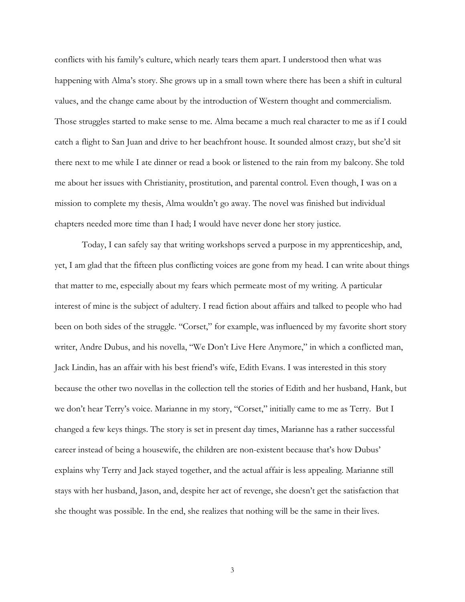conflicts with his family's culture, which nearly tears them apart. I understood then what was happening with Alma's story. She grows up in a small town where there has been a shift in cultural values, and the change came about by the introduction of Western thought and commercialism. Those struggles started to make sense to me. Alma became a much real character to me as if I could catch a flight to San Juan and drive to her beachfront house. It sounded almost crazy, but she'd sit there next to me while I ate dinner or read a book or listened to the rain from my balcony. She told me about her issues with Christianity, prostitution, and parental control. Even though, I was on a mission to complete my thesis, Alma wouldn't go away. The novel was finished but individual chapters needed more time than I had; I would have never done her story justice.

Today, I can safely say that writing workshops served a purpose in my apprenticeship, and, yet, I am glad that the fifteen plus conflicting voices are gone from my head. I can write about things that matter to me, especially about my fears which permeate most of my writing. A particular interest of mine is the subject of adultery. I read fiction about affairs and talked to people who had been on both sides of the struggle. "Corset," for example, was influenced by my favorite short story writer, Andre Dubus, and his novella, "We Don't Live Here Anymore," in which a conflicted man, Jack Lindin, has an affair with his best friend's wife, Edith Evans. I was interested in this story because the other two novellas in the collection tell the stories of Edith and her husband, Hank, but we don't hear Terry's voice. Marianne in my story, "Corset," initially came to me as Terry. But I changed a few keys things. The story is set in present day times, Marianne has a rather successful career instead of being a housewife, the children are non-existent because that's how Dubus' explains why Terry and Jack stayed together, and the actual affair is less appealing. Marianne still stays with her husband, Jason, and, despite her act of revenge, she doesn't get the satisfaction that she thought was possible. In the end, she realizes that nothing will be the same in their lives.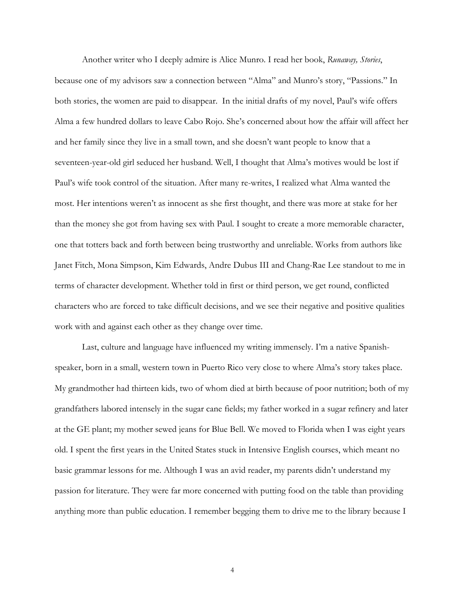Another writer who I deeply admire is Alice Munro. I read her book, *Runaway, Stories*, because one of my advisors saw a connection between "Alma" and Munro's story, "Passions." In both stories, the women are paid to disappear. In the initial drafts of my novel, Paul's wife offers Alma a few hundred dollars to leave Cabo Rojo. She's concerned about how the affair will affect her and her family since they live in a small town, and she doesn't want people to know that a seventeen-year-old girl seduced her husband. Well, I thought that Alma's motives would be lost if Paul's wife took control of the situation. After many re-writes, I realized what Alma wanted the most. Her intentions weren't as innocent as she first thought, and there was more at stake for her than the money she got from having sex with Paul. I sought to create a more memorable character, one that totters back and forth between being trustworthy and unreliable. Works from authors like Janet Fitch, Mona Simpson, Kim Edwards, Andre Dubus III and Chang-Rae Lee standout to me in terms of character development. Whether told in first or third person, we get round, conflicted characters who are forced to take difficult decisions, and we see their negative and positive qualities work with and against each other as they change over time.

Last, culture and language have influenced my writing immensely. I'm a native Spanishspeaker, born in a small, western town in Puerto Rico very close to where Alma's story takes place. My grandmother had thirteen kids, two of whom died at birth because of poor nutrition; both of my grandfathers labored intensely in the sugar cane fields; my father worked in a sugar refinery and later at the GE plant; my mother sewed jeans for Blue Bell. We moved to Florida when I was eight years old. I spent the first years in the United States stuck in Intensive English courses, which meant no basic grammar lessons for me. Although I was an avid reader, my parents didn't understand my passion for literature. They were far more concerned with putting food on the table than providing anything more than public education. I remember begging them to drive me to the library because I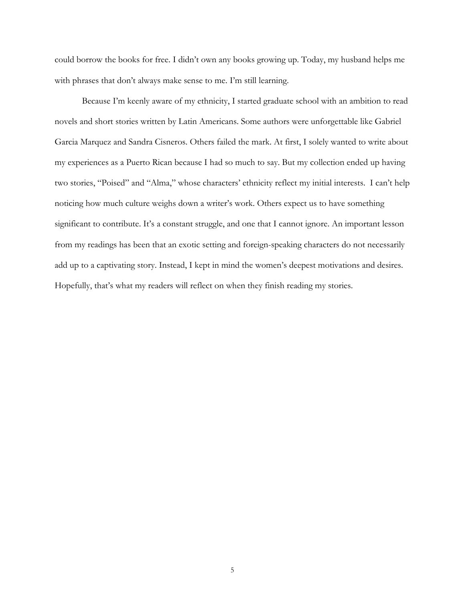could borrow the books for free. I didn't own any books growing up. Today, my husband helps me with phrases that don't always make sense to me. I'm still learning.

Because I'm keenly aware of my ethnicity, I started graduate school with an ambition to read novels and short stories written by Latin Americans. Some authors were unforgettable like Gabriel Garcia Marquez and Sandra Cisneros. Others failed the mark. At first, I solely wanted to write about my experiences as a Puerto Rican because I had so much to say. But my collection ended up having two stories, "Poised" and "Alma," whose characters' ethnicity reflect my initial interests. I can't help noticing how much culture weighs down a writer's work. Others expect us to have something significant to contribute. It's a constant struggle, and one that I cannot ignore. An important lesson from my readings has been that an exotic setting and foreign-speaking characters do not necessarily add up to a captivating story. Instead, I kept in mind the women's deepest motivations and desires. Hopefully, that's what my readers will reflect on when they finish reading my stories.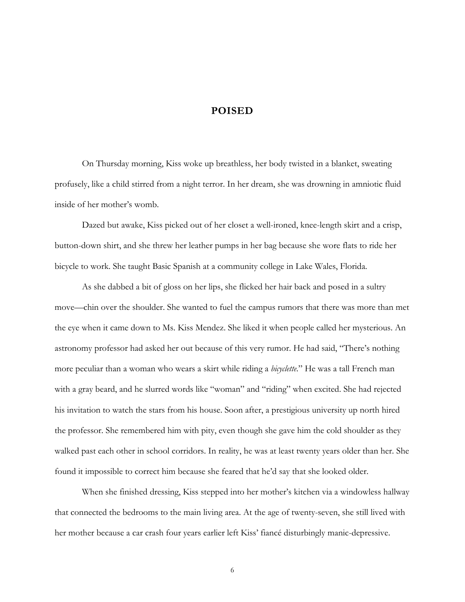#### **POISED**

<span id="page-12-0"></span>On Thursday morning, Kiss woke up breathless, her body twisted in a blanket, sweating profusely, like a child stirred from a night terror. In her dream, she was drowning in amniotic fluid inside of her mother's womb.

Dazed but awake, Kiss picked out of her closet a well-ironed, knee-length skirt and a crisp, button-down shirt, and she threw her leather pumps in her bag because she wore flats to ride her bicycle to work. She taught Basic Spanish at a community college in Lake Wales, Florida.

As she dabbed a bit of gloss on her lips, she flicked her hair back and posed in a sultry move—chin over the shoulder. She wanted to fuel the campus rumors that there was more than met the eye when it came down to Ms. Kiss Mendez. She liked it when people called her mysterious. An astronomy professor had asked her out because of this very rumor. He had said, "There's nothing more peculiar than a woman who wears a skirt while riding a *bicyclette*." He was a tall French man with a gray beard, and he slurred words like "woman" and "riding" when excited. She had rejected his invitation to watch the stars from his house. Soon after, a prestigious university up north hired the professor. She remembered him with pity, even though she gave him the cold shoulder as they walked past each other in school corridors. In reality, he was at least twenty years older than her. She found it impossible to correct him because she feared that he'd say that she looked older.

When she finished dressing, Kiss stepped into her mother's kitchen via a windowless hallway that connected the bedrooms to the main living area. At the age of twenty-seven, she still lived with her mother because a car crash four years earlier left Kiss' fiancé disturbingly manic-depressive.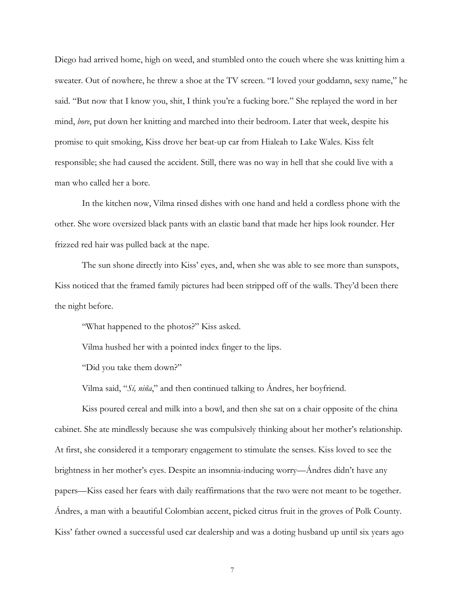Diego had arrived home, high on weed, and stumbled onto the couch where she was knitting him a sweater. Out of nowhere, he threw a shoe at the TV screen. "I loved your goddamn, sexy name," he said. "But now that I know you, shit, I think you're a fucking bore." She replayed the word in her mind, *bore*, put down her knitting and marched into their bedroom. Later that week, despite his promise to quit smoking, Kiss drove her beat-up car from Hialeah to Lake Wales. Kiss felt responsible; she had caused the accident. Still, there was no way in hell that she could live with a man who called her a bore.

In the kitchen now, Vilma rinsed dishes with one hand and held a cordless phone with the other. She wore oversized black pants with an elastic band that made her hips look rounder. Her frizzed red hair was pulled back at the nape.

The sun shone directly into Kiss' eyes, and, when she was able to see more than sunspots, Kiss noticed that the framed family pictures had been stripped off of the walls. They'd been there the night before.

"What happened to the photos?" Kiss asked.

Vilma hushed her with a pointed index finger to the lips.

"Did you take them down?"

Vilma said, "*Sí, niña*," and then continued talking to Ándres, her boyfriend.

Kiss poured cereal and milk into a bowl, and then she sat on a chair opposite of the china cabinet. She ate mindlessly because she was compulsively thinking about her mother's relationship. At first, she considered it a temporary engagement to stimulate the senses. Kiss loved to see the brightness in her mother's eyes. Despite an insomnia-inducing worry—Ándres didn't have any papers—Kiss eased her fears with daily reaffirmations that the two were not meant to be together. Ándres, a man with a beautiful Colombian accent, picked citrus fruit in the groves of Polk County. Kiss' father owned a successful used car dealership and was a doting husband up until six years ago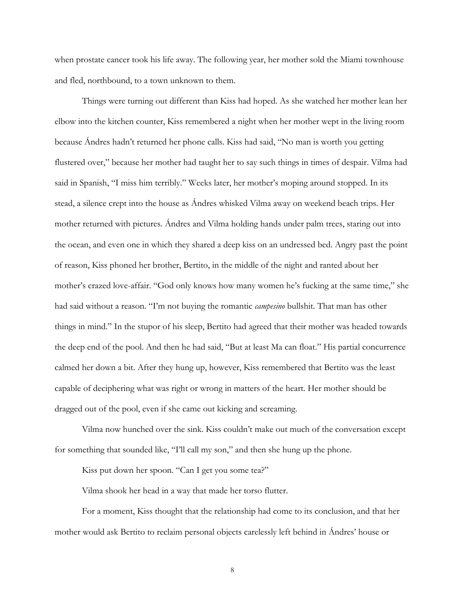when prostate cancer took his life away. The following year, her mother sold the Miami townhouse and fled, northbound, to a town unknown to them.

Things were turning out different than Kiss had hoped. As she watched her mother lean her elbow into the kitchen counter, Kiss remembered a night when her mother wept in the living room because Ándres hadn't returned her phone calls. Kiss had said, "No man is worth you getting flustered over," because her mother had taught her to say such things in times of despair. Vilma had said in Spanish, "I miss him terribly." Weeks later, her mother's moping around stopped. In its stead, a silence crept into the house as Ándres whisked Vilma away on weekend beach trips. Her mother returned with pictures. Ándres and Vilma holding hands under palm trees, staring out into the ocean, and even one in which they shared a deep kiss on an undressed bed. Angry past the point of reason, Kiss phoned her brother, Bertito, in the middle of the night and ranted about her mother's crazed love-affair. "God only knows how many women he's fucking at the same time," she had said without a reason. "I'm not buying the romantic *campesino* bullshit. That man has other things in mind." In the stupor of his sleep, Bertito had agreed that their mother was headed towards the deep end of the pool. And then he had said, "But at least Ma can float." His partial concurrence calmed her down a bit. After they hung up, however, Kiss remembered that Bertito was the least capable of deciphering what was right or wrong in matters of the heart. Her mother should be dragged out of the pool, even if she came out kicking and screaming.

Vilma now hunched over the sink. Kiss couldn't make out much of the conversation except for something that sounded like, "I'll call my son," and then she hung up the phone.

Kiss put down her spoon. "Can I get you some tea?"

Vilma shook her head in a way that made her torso flutter.

For a moment, Kiss thought that the relationship had come to its conclusion, and that her mother would ask Bertito to reclaim personal objects carelessly left behind in Ándres' house or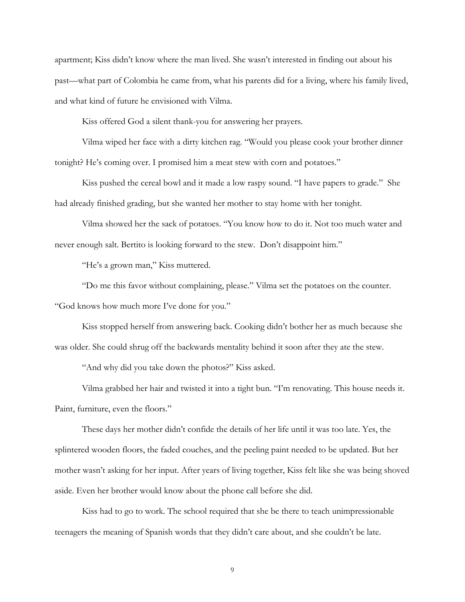apartment; Kiss didn't know where the man lived. She wasn't interested in finding out about his past—what part of Colombia he came from, what his parents did for a living, where his family lived, and what kind of future he envisioned with Vilma.

Kiss offered God a silent thank-you for answering her prayers.

Vilma wiped her face with a dirty kitchen rag. "Would you please cook your brother dinner tonight? He's coming over. I promised him a meat stew with corn and potatoes."

Kiss pushed the cereal bowl and it made a low raspy sound. "I have papers to grade." She had already finished grading, but she wanted her mother to stay home with her tonight.

Vilma showed her the sack of potatoes. "You know how to do it. Not too much water and never enough salt. Bertito is looking forward to the stew. Don't disappoint him."

"He's a grown man," Kiss muttered.

"Do me this favor without complaining, please." Vilma set the potatoes on the counter. "God knows how much more I've done for you."

Kiss stopped herself from answering back. Cooking didn't bother her as much because she was older. She could shrug off the backwards mentality behind it soon after they ate the stew.

"And why did you take down the photos?" Kiss asked.

Vilma grabbed her hair and twisted it into a tight bun. "I'm renovating. This house needs it. Paint, furniture, even the floors."

These days her mother didn't confide the details of her life until it was too late. Yes, the splintered wooden floors, the faded couches, and the peeling paint needed to be updated. But her mother wasn't asking for her input. After years of living together, Kiss felt like she was being shoved aside. Even her brother would know about the phone call before she did.

Kiss had to go to work. The school required that she be there to teach unimpressionable teenagers the meaning of Spanish words that they didn't care about, and she couldn't be late.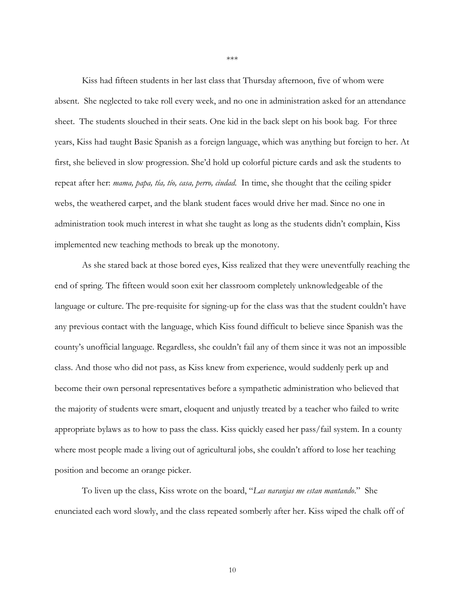Kiss had fifteen students in her last class that Thursday afternoon, five of whom were absent. She neglected to take roll every week, and no one in administration asked for an attendance sheet. The students slouched in their seats. One kid in the back slept on his book bag. For three years, Kiss had taught Basic Spanish as a foreign language, which was anything but foreign to her. At first, she believed in slow progression. She'd hold up colorful picture cards and ask the students to repeat after her: *mama, papa, tía, tío, casa, perro, ciudad*. In time, she thought that the ceiling spider webs, the weathered carpet, and the blank student faces would drive her mad. Since no one in administration took much interest in what she taught as long as the students didn't complain, Kiss implemented new teaching methods to break up the monotony.

As she stared back at those bored eyes, Kiss realized that they were uneventfully reaching the end of spring. The fifteen would soon exit her classroom completely unknowledgeable of the language or culture. The pre-requisite for signing-up for the class was that the student couldn't have any previous contact with the language, which Kiss found difficult to believe since Spanish was the county's unofficial language. Regardless, she couldn't fail any of them since it was not an impossible class. And those who did not pass, as Kiss knew from experience, would suddenly perk up and become their own personal representatives before a sympathetic administration who believed that the majority of students were smart, eloquent and unjustly treated by a teacher who failed to write appropriate bylaws as to how to pass the class. Kiss quickly eased her pass/fail system. In a county where most people made a living out of agricultural jobs, she couldn't afford to lose her teaching position and become an orange picker.

To liven up the class, Kiss wrote on the board, "*Las naranjas me estan mantando*." She enunciated each word slowly, and the class repeated somberly after her. Kiss wiped the chalk off of

\*\*\*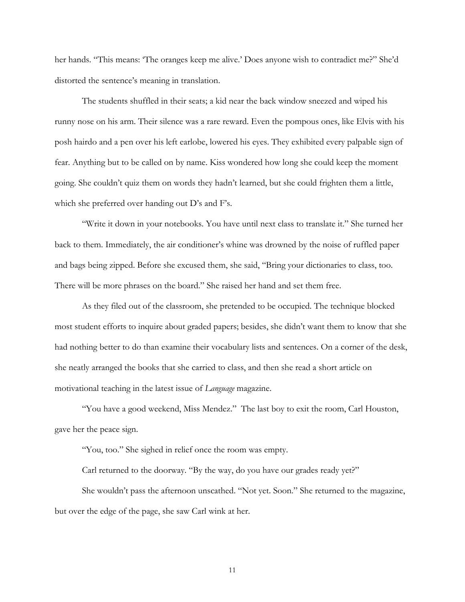her hands. "This means: 'The oranges keep me alive.' Does anyone wish to contradict me?" She'd distorted the sentence's meaning in translation.

The students shuffled in their seats; a kid near the back window sneezed and wiped his runny nose on his arm. Their silence was a rare reward. Even the pompous ones, like Elvis with his posh hairdo and a pen over his left earlobe, lowered his eyes. They exhibited every palpable sign of fear. Anything but to be called on by name. Kiss wondered how long she could keep the moment going. She couldn't quiz them on words they hadn't learned, but she could frighten them a little, which she preferred over handing out D's and F's.

"Write it down in your notebooks. You have until next class to translate it." She turned her back to them. Immediately, the air conditioner's whine was drowned by the noise of ruffled paper and bags being zipped. Before she excused them, she said, "Bring your dictionaries to class, too. There will be more phrases on the board." She raised her hand and set them free.

As they filed out of the classroom, she pretended to be occupied. The technique blocked most student efforts to inquire about graded papers; besides, she didn't want them to know that she had nothing better to do than examine their vocabulary lists and sentences. On a corner of the desk, she neatly arranged the books that she carried to class, and then she read a short article on motivational teaching in the latest issue of *Language* magazine.

"You have a good weekend, Miss Mendez." The last boy to exit the room, Carl Houston, gave her the peace sign.

"You, too." She sighed in relief once the room was empty.

Carl returned to the doorway. "By the way, do you have our grades ready yet?"

She wouldn't pass the afternoon unscathed. "Not yet. Soon." She returned to the magazine, but over the edge of the page, she saw Carl wink at her.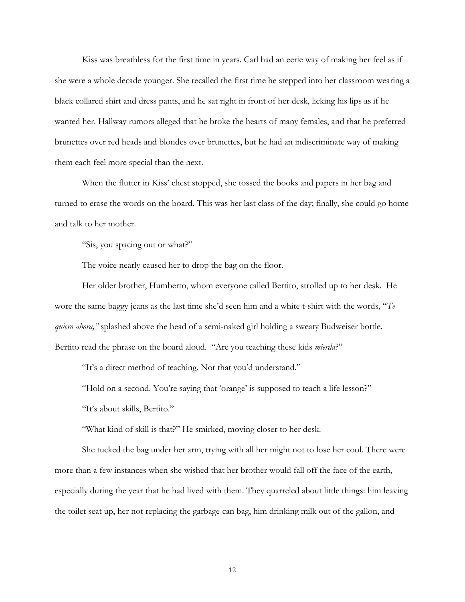Kiss was breathless for the first time in years. Carl had an eerie way of making her feel as if she were a whole decade younger. She recalled the first time he stepped into her classroom wearing a black collared shirt and dress pants, and he sat right in front of her desk, licking his lips as if he wanted her. Hallway rumors alleged that he broke the hearts of many females, and that he preferred brunettes over red heads and blondes over brunettes, but he had an indiscriminate way of making them each feel more special than the next.

When the flutter in Kiss' chest stopped, she tossed the books and papers in her bag and turned to erase the words on the board. This was her last class of the day; finally, she could go home and talk to her mother.

"Sis, you spacing out or what?"

The voice nearly caused her to drop the bag on the floor.

Her older brother, Humberto, whom everyone called Bertito, strolled up to her desk. He wore the same baggy jeans as the last time she'd seen him and a white t-shirt with the words, "*Te quiero ahora,"* splashed above the head of a semi-naked girl holding a sweaty Budweiser bottle. Bertito read the phrase on the board aloud. "Are you teaching these kids *mierda*?"

"It's a direct method of teaching. Not that you'd understand."

"Hold on a second. You're saying that 'orange' is supposed to teach a life lesson?"

"It's about skills, Bertito."

"What kind of skill is that?" He smirked, moving closer to her desk.

She tucked the bag under her arm, trying with all her might not to lose her cool. There were more than a few instances when she wished that her brother would fall off the face of the earth, especially during the year that he had lived with them. They quarreled about little things: him leaving the toilet seat up, her not replacing the garbage can bag, him drinking milk out of the gallon, and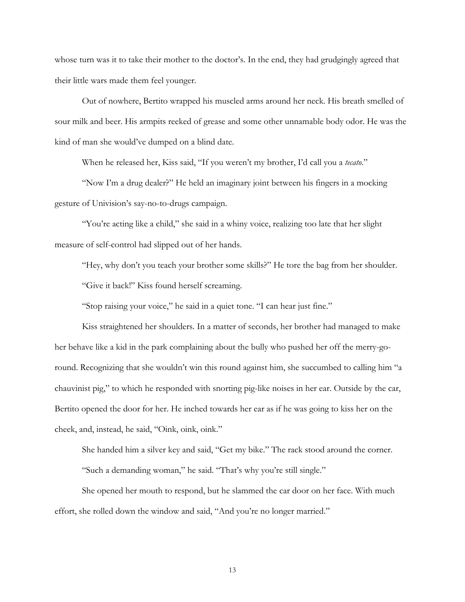whose turn was it to take their mother to the doctor's. In the end, they had grudgingly agreed that their little wars made them feel younger.

Out of nowhere, Bertito wrapped his muscled arms around her neck. His breath smelled of sour milk and beer. His armpits reeked of grease and some other unnamable body odor. He was the kind of man she would've dumped on a blind date.

When he released her, Kiss said, "If you weren't my brother, I'd call you a *tecato*."

"Now I'm a drug dealer?" He held an imaginary joint between his fingers in a mocking gesture of Univision's say-no-to-drugs campaign.

"You're acting like a child," she said in a whiny voice, realizing too late that her slight measure of self-control had slipped out of her hands.

"Hey, why don't you teach your brother some skills?" He tore the bag from her shoulder.

"Give it back!" Kiss found herself screaming.

"Stop raising your voice," he said in a quiet tone. "I can hear just fine."

Kiss straightened her shoulders. In a matter of seconds, her brother had managed to make her behave like a kid in the park complaining about the bully who pushed her off the merry-goround. Recognizing that she wouldn't win this round against him, she succumbed to calling him "a chauvinist pig," to which he responded with snorting pig-like noises in her ear. Outside by the car, Bertito opened the door for her. He inched towards her ear as if he was going to kiss her on the cheek, and, instead, he said, "Oink, oink, oink."

She handed him a silver key and said, "Get my bike." The rack stood around the corner. "Such a demanding woman," he said. "That's why you're still single."

She opened her mouth to respond, but he slammed the car door on her face. With much effort, she rolled down the window and said, "And you're no longer married."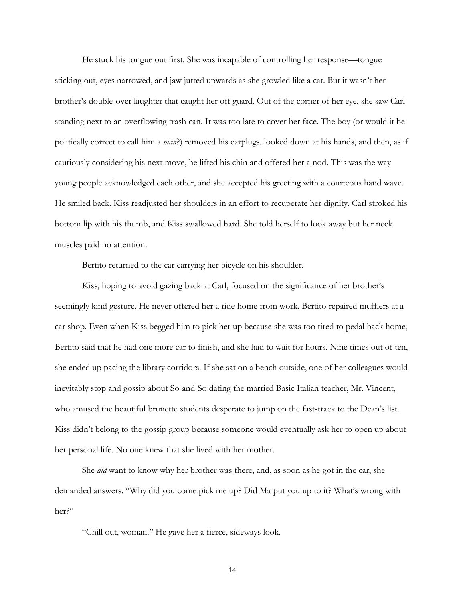He stuck his tongue out first. She was incapable of controlling her response—tongue sticking out, eyes narrowed, and jaw jutted upwards as she growled like a cat. But it wasn't her brother's double-over laughter that caught her off guard. Out of the corner of her eye, she saw Carl standing next to an overflowing trash can. It was too late to cover her face. The boy (or would it be politically correct to call him a *man*?) removed his earplugs, looked down at his hands, and then, as if cautiously considering his next move, he lifted his chin and offered her a nod. This was the way young people acknowledged each other, and she accepted his greeting with a courteous hand wave. He smiled back. Kiss readjusted her shoulders in an effort to recuperate her dignity. Carl stroked his bottom lip with his thumb, and Kiss swallowed hard. She told herself to look away but her neck muscles paid no attention.

Bertito returned to the car carrying her bicycle on his shoulder.

Kiss, hoping to avoid gazing back at Carl, focused on the significance of her brother's seemingly kind gesture. He never offered her a ride home from work. Bertito repaired mufflers at a car shop. Even when Kiss begged him to pick her up because she was too tired to pedal back home, Bertito said that he had one more car to finish, and she had to wait for hours. Nine times out of ten, she ended up pacing the library corridors. If she sat on a bench outside, one of her colleagues would inevitably stop and gossip about So-and-So dating the married Basic Italian teacher, Mr. Vincent, who amused the beautiful brunette students desperate to jump on the fast-track to the Dean's list. Kiss didn't belong to the gossip group because someone would eventually ask her to open up about her personal life. No one knew that she lived with her mother.

She *did* want to know why her brother was there, and, as soon as he got in the car, she demanded answers. "Why did you come pick me up? Did Ma put you up to it? What's wrong with her?"

"Chill out, woman." He gave her a fierce, sideways look.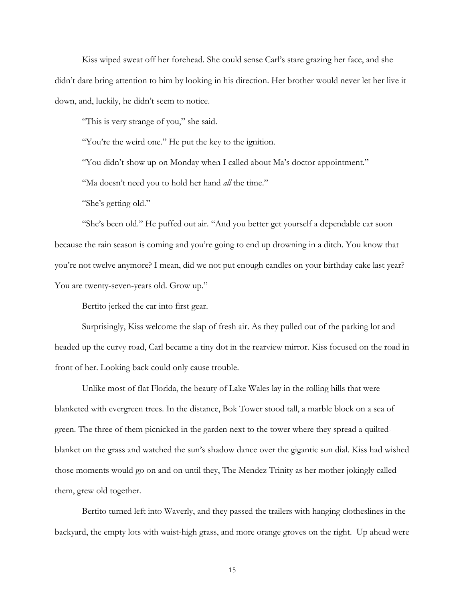Kiss wiped sweat off her forehead. She could sense Carl's stare grazing her face, and she didn't dare bring attention to him by looking in his direction. Her brother would never let her live it down, and, luckily, he didn't seem to notice.

"This is very strange of you," she said.

"You're the weird one." He put the key to the ignition.

"You didn't show up on Monday when I called about Ma's doctor appointment."

"Ma doesn't need you to hold her hand *all* the time."

"She's getting old."

"She's been old." He puffed out air. "And you better get yourself a dependable car soon because the rain season is coming and you're going to end up drowning in a ditch. You know that you're not twelve anymore? I mean, did we not put enough candles on your birthday cake last year? You are twenty-seven-years old. Grow up."

Bertito jerked the car into first gear.

Surprisingly, Kiss welcome the slap of fresh air. As they pulled out of the parking lot and headed up the curvy road, Carl became a tiny dot in the rearview mirror. Kiss focused on the road in front of her. Looking back could only cause trouble.

Unlike most of flat Florida, the beauty of Lake Wales lay in the rolling hills that were blanketed with evergreen trees. In the distance, Bok Tower stood tall, a marble block on a sea of green. The three of them picnicked in the garden next to the tower where they spread a quiltedblanket on the grass and watched the sun's shadow dance over the gigantic sun dial. Kiss had wished those moments would go on and on until they, The Mendez Trinity as her mother jokingly called them, grew old together.

Bertito turned left into Waverly, and they passed the trailers with hanging clotheslines in the backyard, the empty lots with waist-high grass, and more orange groves on the right. Up ahead were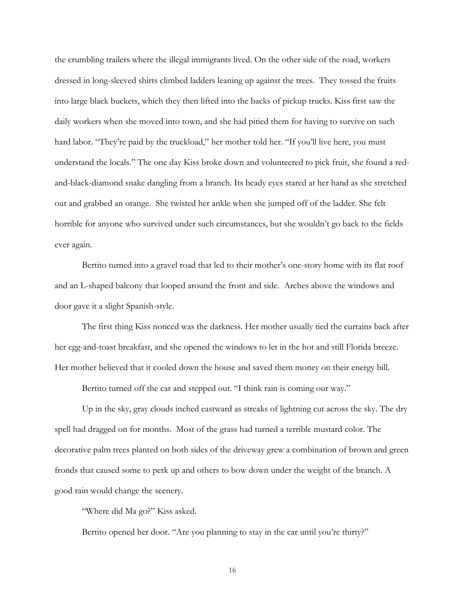the crumbling trailers where the illegal immigrants lived. On the other side of the road, workers dressed in long-sleeved shirts climbed ladders leaning up against the trees. They tossed the fruits into large black buckets, which they then lifted into the backs of pickup trucks. Kiss first saw the daily workers when she moved into town, and she had pitied them for having to survive on such hard labor. "They're paid by the truckload," her mother told her. "If you'll live here, you must understand the locals." The one day Kiss broke down and volunteered to pick fruit, she found a redand-black-diamond snake dangling from a branch. Its beady eyes stared at her hand as she stretched out and grabbed an orange. She twisted her ankle when she jumped off of the ladder. She felt horrible for anyone who survived under such circumstances, but she wouldn't go back to the fields ever again.

Bertito turned into a gravel road that led to their mother's one-story home with its flat roof and an L-shaped balcony that looped around the front and side. Arches above the windows and door gave it a slight Spanish-style.

The first thing Kiss noticed was the darkness. Her mother usually tied the curtains back after her egg-and-toast breakfast, and she opened the windows to let in the hot and still Florida breeze. Her mother believed that it cooled down the house and saved them money on their energy bill.

Bertito turned off the car and stepped out. "I think rain is coming our way."

Up in the sky, gray clouds inched eastward as streaks of lightning cut across the sky. The dry spell had dragged on for months. Most of the grass had turned a terrible mustard color. The decorative palm trees planted on both sides of the driveway grew a combination of brown and green fronds that caused some to perk up and others to bow down under the weight of the branch. A good rain would change the scenery.

"Where did Ma go?" Kiss asked.

Bertito opened her door. "Are you planning to stay in the car until you're thirty?"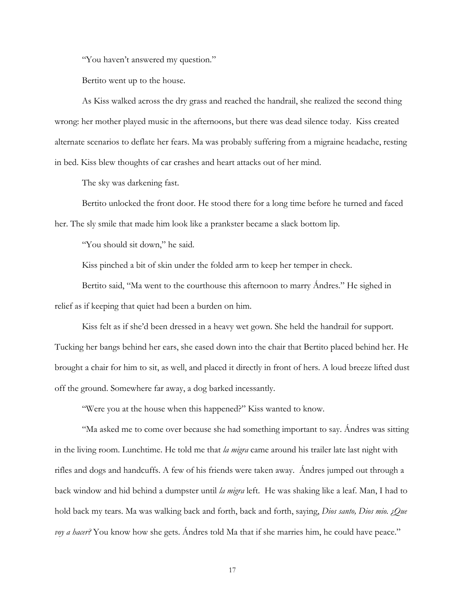"You haven't answered my question."

Bertito went up to the house.

As Kiss walked across the dry grass and reached the handrail, she realized the second thing wrong: her mother played music in the afternoons, but there was dead silence today. Kiss created alternate scenarios to deflate her fears. Ma was probably suffering from a migraine headache, resting in bed. Kiss blew thoughts of car crashes and heart attacks out of her mind.

The sky was darkening fast.

Bertito unlocked the front door. He stood there for a long time before he turned and faced her. The sly smile that made him look like a prankster became a slack bottom lip.

"You should sit down," he said.

Kiss pinched a bit of skin under the folded arm to keep her temper in check.

Bertito said, "Ma went to the courthouse this afternoon to marry Ándres." He sighed in relief as if keeping that quiet had been a burden on him.

Kiss felt as if she'd been dressed in a heavy wet gown. She held the handrail for support. Tucking her bangs behind her ears, she eased down into the chair that Bertito placed behind her. He brought a chair for him to sit, as well, and placed it directly in front of hers. A loud breeze lifted dust off the ground. Somewhere far away, a dog barked incessantly.

"Were you at the house when this happened?" Kiss wanted to know.

"Ma asked me to come over because she had something important to say. Ándres was sitting in the living room. Lunchtime. He told me that *la migra* came around his trailer late last night with rifles and dogs and handcuffs. A few of his friends were taken away. Ándres jumped out through a back window and hid behind a dumpster until *la migra* left. He was shaking like a leaf. Man, I had to hold back my tears. Ma was walking back and forth, back and forth, saying, *Dios santo, Dios mio. ¿Que voy a hacer?* You know how she gets. Andres told Ma that if she marries him, he could have peace."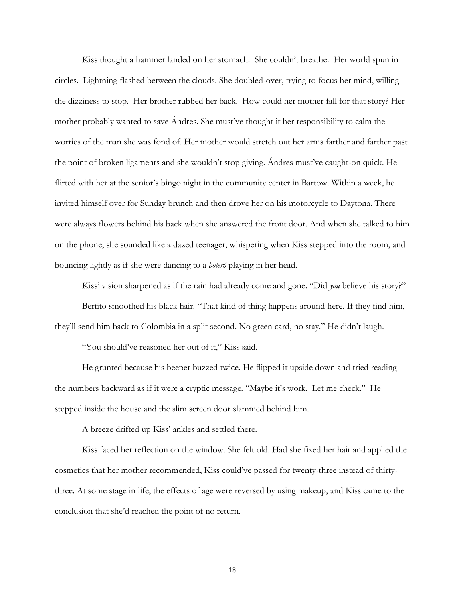Kiss thought a hammer landed on her stomach. She couldn't breathe. Her world spun in circles. Lightning flashed between the clouds. She doubled-over, trying to focus her mind, willing the dizziness to stop. Her brother rubbed her back. How could her mother fall for that story? Her mother probably wanted to save Ándres. She must've thought it her responsibility to calm the worries of the man she was fond of. Her mother would stretch out her arms farther and farther past the point of broken ligaments and she wouldn't stop giving. Ándres must've caught-on quick. He flirted with her at the senior's bingo night in the community center in Bartow. Within a week, he invited himself over for Sunday brunch and then drove her on his motorcycle to Daytona. There were always flowers behind his back when she answered the front door. And when she talked to him on the phone, she sounded like a dazed teenager, whispering when Kiss stepped into the room, and bouncing lightly as if she were dancing to a *boleró* playing in her head.

Kiss' vision sharpened as if the rain had already come and gone. "Did *you* believe his story?" Bertito smoothed his black hair. "That kind of thing happens around here. If they find him, they'll send him back to Colombia in a split second. No green card, no stay." He didn't laugh.

"You should've reasoned her out of it," Kiss said.

 He grunted because his beeper buzzed twice. He flipped it upside down and tried reading the numbers backward as if it were a cryptic message. "Maybe it's work. Let me check." He stepped inside the house and the slim screen door slammed behind him.

A breeze drifted up Kiss' ankles and settled there.

Kiss faced her reflection on the window. She felt old. Had she fixed her hair and applied the cosmetics that her mother recommended, Kiss could've passed for twenty-three instead of thirtythree. At some stage in life, the effects of age were reversed by using makeup, and Kiss came to the conclusion that she'd reached the point of no return.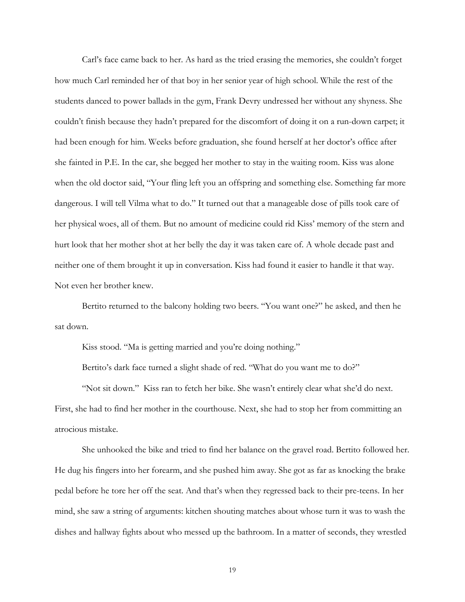Carl's face came back to her. As hard as the tried erasing the memories, she couldn't forget how much Carl reminded her of that boy in her senior year of high school. While the rest of the students danced to power ballads in the gym, Frank Devry undressed her without any shyness. She couldn't finish because they hadn't prepared for the discomfort of doing it on a run-down carpet; it had been enough for him. Weeks before graduation, she found herself at her doctor's office after she fainted in P.E. In the car, she begged her mother to stay in the waiting room. Kiss was alone when the old doctor said, "Your fling left you an offspring and something else. Something far more dangerous. I will tell Vilma what to do." It turned out that a manageable dose of pills took care of her physical woes, all of them. But no amount of medicine could rid Kiss' memory of the stern and hurt look that her mother shot at her belly the day it was taken care of. A whole decade past and neither one of them brought it up in conversation. Kiss had found it easier to handle it that way. Not even her brother knew.

Bertito returned to the balcony holding two beers. "You want one?" he asked, and then he sat down.

Kiss stood. "Ma is getting married and you're doing nothing."

Bertito's dark face turned a slight shade of red. "What do you want me to do?"

 "Not sit down." Kiss ran to fetch her bike. She wasn't entirely clear what she'd do next. First, she had to find her mother in the courthouse. Next, she had to stop her from committing an atrocious mistake.

She unhooked the bike and tried to find her balance on the gravel road. Bertito followed her. He dug his fingers into her forearm, and she pushed him away. She got as far as knocking the brake pedal before he tore her off the seat. And that's when they regressed back to their pre-teens. In her mind, she saw a string of arguments: kitchen shouting matches about whose turn it was to wash the dishes and hallway fights about who messed up the bathroom. In a matter of seconds, they wrestled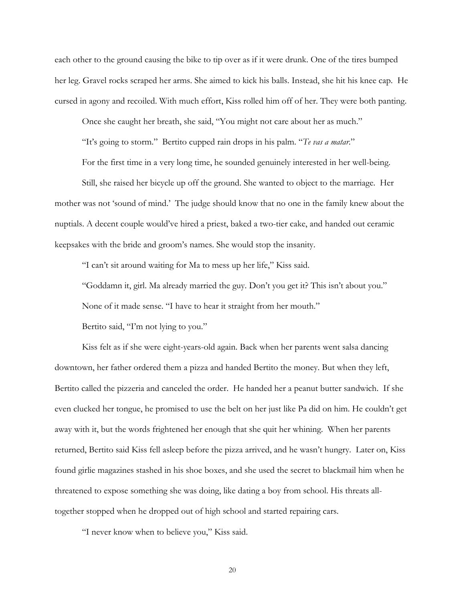each other to the ground causing the bike to tip over as if it were drunk. One of the tires bumped her leg. Gravel rocks scraped her arms. She aimed to kick his balls. Instead, she hit his knee cap. He cursed in agony and recoiled. With much effort, Kiss rolled him off of her. They were both panting.

Once she caught her breath, she said, "You might not care about her as much."

"It's going to storm." Bertito cupped rain drops in his palm. "*Te vas a matar*."

For the first time in a very long time, he sounded genuinely interested in her well-being.

Still, she raised her bicycle up off the ground. She wanted to object to the marriage. Her mother was not 'sound of mind.' The judge should know that no one in the family knew about the nuptials. A decent couple would've hired a priest, baked a two-tier cake, and handed out ceramic keepsakes with the bride and groom's names. She would stop the insanity.

"I can't sit around waiting for Ma to mess up her life," Kiss said.

"Goddamn it, girl. Ma already married the guy. Don't you get it? This isn't about you."

None of it made sense. "I have to hear it straight from her mouth."

Bertito said, "I'm not lying to you."

 Kiss felt as if she were eight-years-old again. Back when her parents went salsa dancing downtown, her father ordered them a pizza and handed Bertito the money. But when they left, Bertito called the pizzeria and canceled the order. He handed her a peanut butter sandwich. If she even clucked her tongue, he promised to use the belt on her just like Pa did on him. He couldn't get away with it, but the words frightened her enough that she quit her whining. When her parents returned, Bertito said Kiss fell asleep before the pizza arrived, and he wasn't hungry. Later on, Kiss found girlie magazines stashed in his shoe boxes, and she used the secret to blackmail him when he threatened to expose something she was doing, like dating a boy from school. His threats alltogether stopped when he dropped out of high school and started repairing cars.

"I never know when to believe you," Kiss said.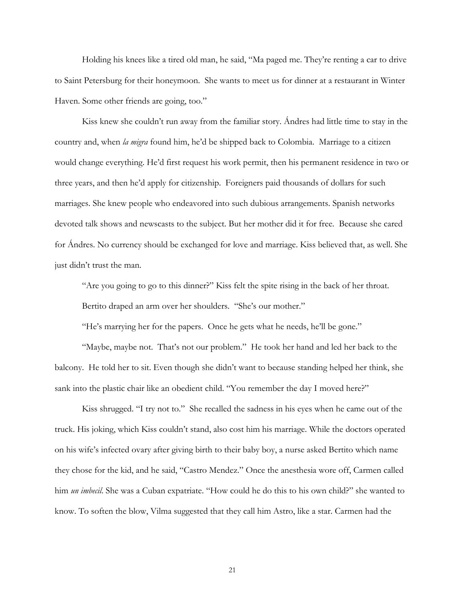Holding his knees like a tired old man, he said, "Ma paged me. They're renting a car to drive to Saint Petersburg for their honeymoon. She wants to meet us for dinner at a restaurant in Winter Haven. Some other friends are going, too."

Kiss knew she couldn't run away from the familiar story. Ándres had little time to stay in the country and, when *la migra* found him, he'd be shipped back to Colombia. Marriage to a citizen would change everything. He'd first request his work permit, then his permanent residence in two or three years, and then he'd apply for citizenship. Foreigners paid thousands of dollars for such marriages. She knew people who endeavored into such dubious arrangements. Spanish networks devoted talk shows and newscasts to the subject. But her mother did it for free. Because she cared for Ándres. No currency should be exchanged for love and marriage. Kiss believed that, as well. She just didn't trust the man.

"Are you going to go to this dinner?" Kiss felt the spite rising in the back of her throat. Bertito draped an arm over her shoulders. "She's our mother."

"He's marrying her for the papers. Once he gets what he needs, he'll be gone."

 "Maybe, maybe not. That's not our problem." He took her hand and led her back to the balcony. He told her to sit. Even though she didn't want to because standing helped her think, she sank into the plastic chair like an obedient child. "You remember the day I moved here?"

Kiss shrugged. "I try not to." She recalled the sadness in his eyes when he came out of the truck. His joking, which Kiss couldn't stand, also cost him his marriage. While the doctors operated on his wife's infected ovary after giving birth to their baby boy, a nurse asked Bertito which name they chose for the kid, and he said, "Castro Mendez." Once the anesthesia wore off, Carmen called him *un imbecil*. She was a Cuban expatriate. "How could he do this to his own child?" she wanted to know. To soften the blow, Vilma suggested that they call him Astro, like a star. Carmen had the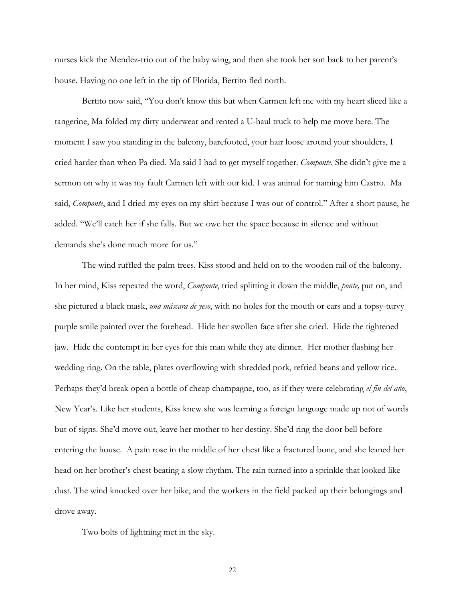nurses kick the Mendez-trio out of the baby wing, and then she took her son back to her parent's house. Having no one left in the tip of Florida, Bertito fled north.

Bertito now said, "You don't know this but when Carmen left me with my heart sliced like a tangerine, Ma folded my dirty underwear and rented a U-haul truck to help me move here. The moment I saw you standing in the balcony, barefooted, your hair loose around your shoulders, I cried harder than when Pa died. Ma said I had to get myself together. *Componte*. She didn't give me a sermon on why it was my fault Carmen left with our kid. I was animal for naming him Castro. Ma said, *Componte*, and I dried my eyes on my shirt because I was out of control." After a short pause, he added. "We'll catch her if she falls. But we owe her the space because in silence and without demands she's done much more for us."

The wind ruffled the palm trees. Kiss stood and held on to the wooden rail of the balcony. In her mind, Kiss repeated the word, *Componte*, tried splitting it down the middle, *ponte,* put on, and she pictured a black mask, *una máscara de yeso*, with no holes for the mouth or ears and a topsy-turvy purple smile painted over the forehead. Hide her swollen face after she cried. Hide the tightened jaw. Hide the contempt in her eyes for this man while they ate dinner. Her mother flashing her wedding ring. On the table, plates overflowing with shredded pork, refried beans and yellow rice. Perhaps they'd break open a bottle of cheap champagne, too, as if they were celebrating *el fin del año*, New Year's. Like her students, Kiss knew she was learning a foreign language made up not of words but of signs. She'd move out, leave her mother to her destiny. She'd ring the door bell before entering the house. A pain rose in the middle of her chest like a fractured bone, and she leaned her head on her brother's chest beating a slow rhythm. The rain turned into a sprinkle that looked like dust. The wind knocked over her bike, and the workers in the field packed up their belongings and drove away.

Two bolts of lightning met in the sky.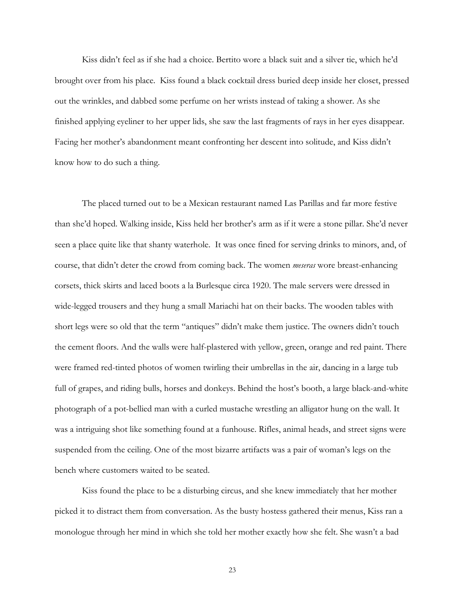Kiss didn't feel as if she had a choice. Bertito wore a black suit and a silver tie, which he'd brought over from his place. Kiss found a black cocktail dress buried deep inside her closet, pressed out the wrinkles, and dabbed some perfume on her wrists instead of taking a shower. As she finished applying eyeliner to her upper lids, she saw the last fragments of rays in her eyes disappear. Facing her mother's abandonment meant confronting her descent into solitude, and Kiss didn't know how to do such a thing.

The placed turned out to be a Mexican restaurant named Las Parillas and far more festive than she'd hoped. Walking inside, Kiss held her brother's arm as if it were a stone pillar. She'd never seen a place quite like that shanty waterhole. It was once fined for serving drinks to minors, and, of course, that didn't deter the crowd from coming back. The women *meseras* wore breast-enhancing corsets, thick skirts and laced boots a la Burlesque circa 1920. The male servers were dressed in wide-legged trousers and they hung a small Mariachi hat on their backs. The wooden tables with short legs were so old that the term "antiques" didn't make them justice. The owners didn't touch the cement floors. And the walls were half-plastered with yellow, green, orange and red paint. There were framed red-tinted photos of women twirling their umbrellas in the air, dancing in a large tub full of grapes, and riding bulls, horses and donkeys. Behind the host's booth, a large black-and-white photograph of a pot-bellied man with a curled mustache wrestling an alligator hung on the wall. It was a intriguing shot like something found at a funhouse. Rifles, animal heads, and street signs were suspended from the ceiling. One of the most bizarre artifacts was a pair of woman's legs on the bench where customers waited to be seated.

Kiss found the place to be a disturbing circus, and she knew immediately that her mother picked it to distract them from conversation. As the busty hostess gathered their menus, Kiss ran a monologue through her mind in which she told her mother exactly how she felt. She wasn't a bad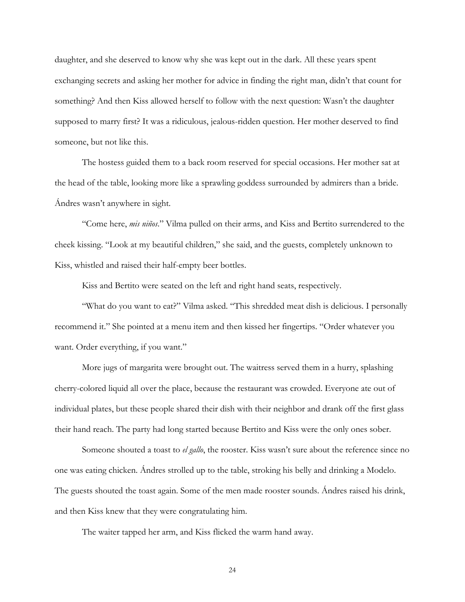daughter, and she deserved to know why she was kept out in the dark. All these years spent exchanging secrets and asking her mother for advice in finding the right man, didn't that count for something? And then Kiss allowed herself to follow with the next question: Wasn't the daughter supposed to marry first? It was a ridiculous, jealous-ridden question. Her mother deserved to find someone, but not like this.

The hostess guided them to a back room reserved for special occasions. Her mother sat at the head of the table, looking more like a sprawling goddess surrounded by admirers than a bride. Ándres wasn't anywhere in sight.

"Come here, *mis niños*." Vilma pulled on their arms, and Kiss and Bertito surrendered to the cheek kissing. "Look at my beautiful children," she said, and the guests, completely unknown to Kiss, whistled and raised their half-empty beer bottles.

Kiss and Bertito were seated on the left and right hand seats, respectively.

"What do you want to eat?" Vilma asked. "This shredded meat dish is delicious. I personally recommend it." She pointed at a menu item and then kissed her fingertips. "Order whatever you want. Order everything, if you want."

More jugs of margarita were brought out. The waitress served them in a hurry, splashing cherry-colored liquid all over the place, because the restaurant was crowded. Everyone ate out of individual plates, but these people shared their dish with their neighbor and drank off the first glass their hand reach. The party had long started because Bertito and Kiss were the only ones sober.

Someone shouted a toast to *el gallo*, the rooster. Kiss wasn't sure about the reference since no one was eating chicken. Ándres strolled up to the table, stroking his belly and drinking a Modelo. The guests shouted the toast again. Some of the men made rooster sounds. Ándres raised his drink, and then Kiss knew that they were congratulating him.

The waiter tapped her arm, and Kiss flicked the warm hand away.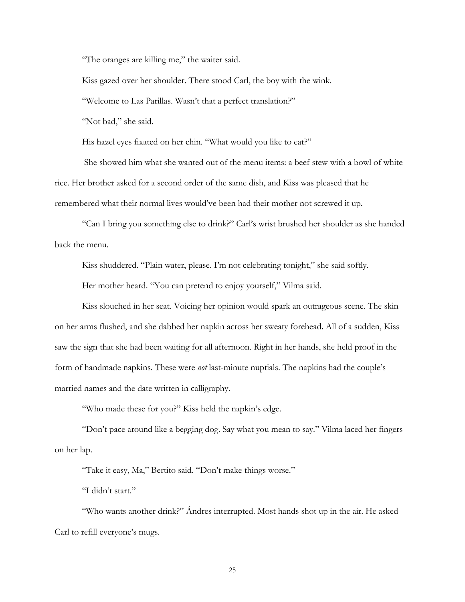"The oranges are killing me," the waiter said.

Kiss gazed over her shoulder. There stood Carl, the boy with the wink.

"Welcome to Las Parillas. Wasn't that a perfect translation?"

"Not bad," she said.

His hazel eyes fixated on her chin. "What would you like to eat?"

 She showed him what she wanted out of the menu items: a beef stew with a bowl of white rice. Her brother asked for a second order of the same dish, and Kiss was pleased that he remembered what their normal lives would've been had their mother not screwed it up.

"Can I bring you something else to drink?" Carl's wrist brushed her shoulder as she handed back the menu.

Kiss shuddered. "Plain water, please. I'm not celebrating tonight," she said softly.

Her mother heard. "You can pretend to enjoy yourself," Vilma said.

Kiss slouched in her seat. Voicing her opinion would spark an outrageous scene. The skin on her arms flushed, and she dabbed her napkin across her sweaty forehead. All of a sudden, Kiss saw the sign that she had been waiting for all afternoon. Right in her hands, she held proof in the form of handmade napkins. These were *not* last-minute nuptials. The napkins had the couple's married names and the date written in calligraphy.

"Who made these for you?" Kiss held the napkin's edge.

"Don't pace around like a begging dog. Say what you mean to say." Vilma laced her fingers on her lap.

"Take it easy, Ma," Bertito said. "Don't make things worse."

"I didn't start."

"Who wants another drink?" Ándres interrupted. Most hands shot up in the air. He asked Carl to refill everyone's mugs.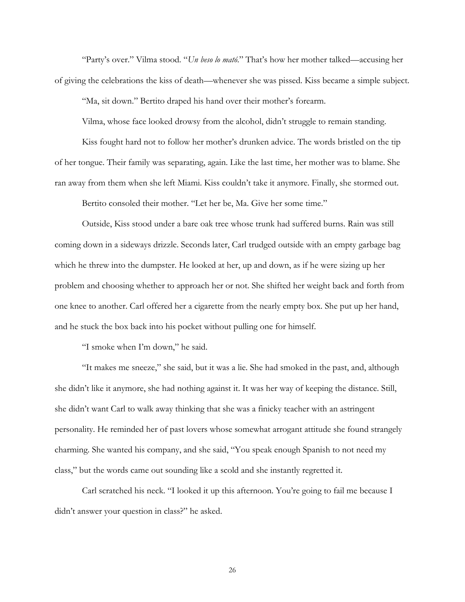"Party's over." Vilma stood. "*Un beso lo mató*." That's how her mother talked—accusing her of giving the celebrations the kiss of death—whenever she was pissed. Kiss became a simple subject.

"Ma, sit down." Bertito draped his hand over their mother's forearm.

Vilma, whose face looked drowsy from the alcohol, didn't struggle to remain standing.

Kiss fought hard not to follow her mother's drunken advice. The words bristled on the tip of her tongue. Their family was separating, again. Like the last time, her mother was to blame. She ran away from them when she left Miami. Kiss couldn't take it anymore. Finally, she stormed out.

Bertito consoled their mother. "Let her be, Ma. Give her some time."

Outside, Kiss stood under a bare oak tree whose trunk had suffered burns. Rain was still coming down in a sideways drizzle. Seconds later, Carl trudged outside with an empty garbage bag which he threw into the dumpster. He looked at her, up and down, as if he were sizing up her problem and choosing whether to approach her or not. She shifted her weight back and forth from one knee to another. Carl offered her a cigarette from the nearly empty box. She put up her hand, and he stuck the box back into his pocket without pulling one for himself.

"I smoke when I'm down," he said.

"It makes me sneeze," she said, but it was a lie. She had smoked in the past, and, although she didn't like it anymore, she had nothing against it. It was her way of keeping the distance. Still, she didn't want Carl to walk away thinking that she was a finicky teacher with an astringent personality. He reminded her of past lovers whose somewhat arrogant attitude she found strangely charming. She wanted his company, and she said, "You speak enough Spanish to not need my class," but the words came out sounding like a scold and she instantly regretted it.

Carl scratched his neck. "I looked it up this afternoon. You're going to fail me because I didn't answer your question in class?" he asked.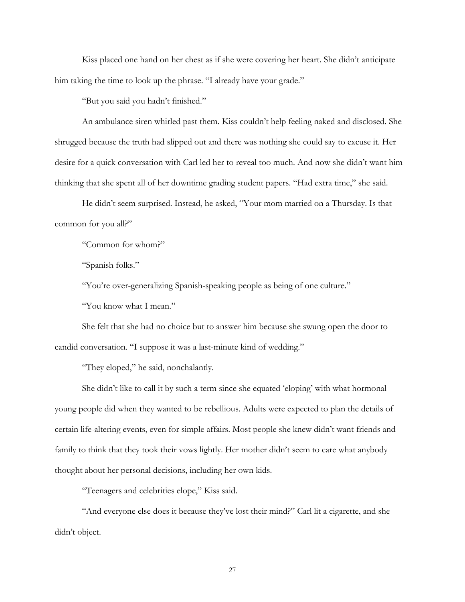Kiss placed one hand on her chest as if she were covering her heart. She didn't anticipate him taking the time to look up the phrase. "I already have your grade."

"But you said you hadn't finished."

An ambulance siren whirled past them. Kiss couldn't help feeling naked and disclosed. She shrugged because the truth had slipped out and there was nothing she could say to excuse it. Her desire for a quick conversation with Carl led her to reveal too much. And now she didn't want him thinking that she spent all of her downtime grading student papers. "Had extra time," she said.

He didn't seem surprised. Instead, he asked, "Your mom married on a Thursday. Is that common for you all?"

"Common for whom?"

"Spanish folks."

"You're over-generalizing Spanish-speaking people as being of one culture."

"You know what I mean."

She felt that she had no choice but to answer him because she swung open the door to candid conversation. "I suppose it was a last-minute kind of wedding."

"They eloped," he said, nonchalantly.

She didn't like to call it by such a term since she equated 'eloping' with what hormonal young people did when they wanted to be rebellious. Adults were expected to plan the details of certain life-altering events, even for simple affairs. Most people she knew didn't want friends and family to think that they took their vows lightly. Her mother didn't seem to care what anybody thought about her personal decisions, including her own kids.

"Teenagers and celebrities elope," Kiss said.

"And everyone else does it because they've lost their mind?" Carl lit a cigarette, and she didn't object.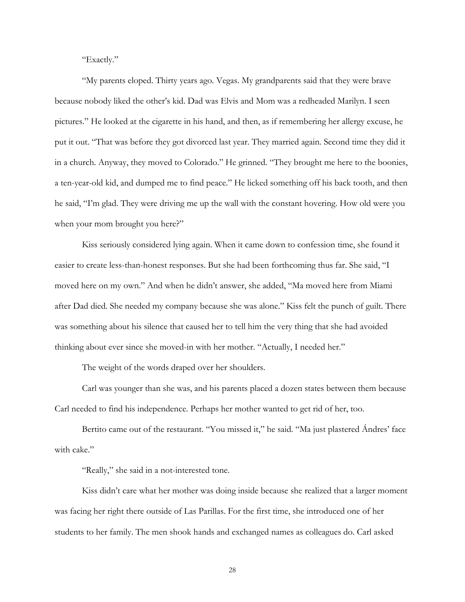"Exactly."

"My parents eloped. Thirty years ago. Vegas. My grandparents said that they were brave because nobody liked the other's kid. Dad was Elvis and Mom was a redheaded Marilyn. I seen pictures." He looked at the cigarette in his hand, and then, as if remembering her allergy excuse, he put it out. "That was before they got divorced last year. They married again. Second time they did it in a church. Anyway, they moved to Colorado." He grinned. "They brought me here to the boonies, a ten-year-old kid, and dumped me to find peace." He licked something off his back tooth, and then he said, "I'm glad. They were driving me up the wall with the constant hovering. How old were you when your mom brought you here?"

Kiss seriously considered lying again. When it came down to confession time, she found it easier to create less-than-honest responses. But she had been forthcoming thus far. She said, "I moved here on my own." And when he didn't answer, she added, "Ma moved here from Miami after Dad died. She needed my company because she was alone." Kiss felt the punch of guilt. There was something about his silence that caused her to tell him the very thing that she had avoided thinking about ever since she moved-in with her mother. "Actually, I needed her."

The weight of the words draped over her shoulders.

Carl was younger than she was, and his parents placed a dozen states between them because Carl needed to find his independence. Perhaps her mother wanted to get rid of her, too.

Bertito came out of the restaurant. "You missed it," he said. "Ma just plastered Ándres' face with cake."

"Really," she said in a not-interested tone.

Kiss didn't care what her mother was doing inside because she realized that a larger moment was facing her right there outside of Las Parillas. For the first time, she introduced one of her students to her family. The men shook hands and exchanged names as colleagues do. Carl asked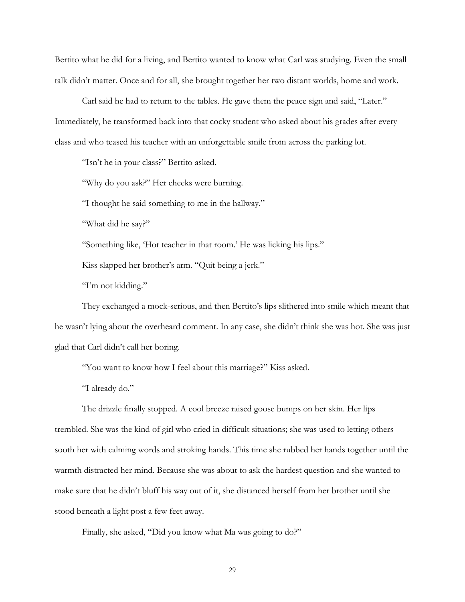Bertito what he did for a living, and Bertito wanted to know what Carl was studying. Even the small talk didn't matter. Once and for all, she brought together her two distant worlds, home and work.

Carl said he had to return to the tables. He gave them the peace sign and said, "Later." Immediately, he transformed back into that cocky student who asked about his grades after every class and who teased his teacher with an unforgettable smile from across the parking lot.

"Isn't he in your class?" Bertito asked.

"Why do you ask?" Her cheeks were burning.

"I thought he said something to me in the hallway."

"What did he say?"

"Something like, 'Hot teacher in that room.' He was licking his lips."

Kiss slapped her brother's arm. "Quit being a jerk."

"I'm not kidding."

They exchanged a mock-serious, and then Bertito's lips slithered into smile which meant that he wasn't lying about the overheard comment. In any case, she didn't think she was hot. She was just glad that Carl didn't call her boring.

"You want to know how I feel about this marriage?" Kiss asked.

"I already do."

The drizzle finally stopped. A cool breeze raised goose bumps on her skin. Her lips trembled. She was the kind of girl who cried in difficult situations; she was used to letting others sooth her with calming words and stroking hands. This time she rubbed her hands together until the warmth distracted her mind. Because she was about to ask the hardest question and she wanted to make sure that he didn't bluff his way out of it, she distanced herself from her brother until she stood beneath a light post a few feet away.

Finally, she asked, "Did you know what Ma was going to do?"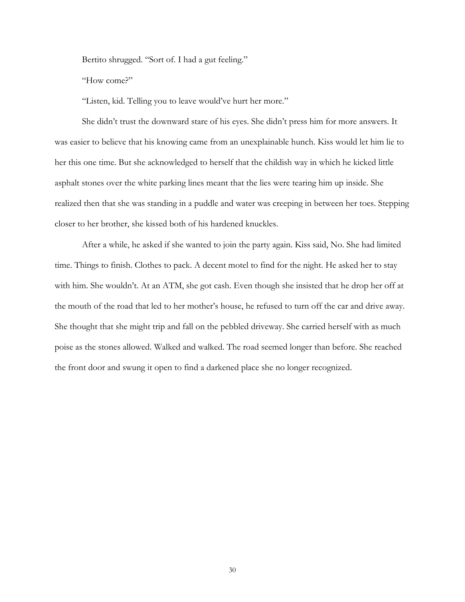Bertito shrugged. "Sort of. I had a gut feeling."

"How come?"

"Listen, kid. Telling you to leave would've hurt her more."

She didn't trust the downward stare of his eyes. She didn't press him for more answers. It was easier to believe that his knowing came from an unexplainable hunch. Kiss would let him lie to her this one time. But she acknowledged to herself that the childish way in which he kicked little asphalt stones over the white parking lines meant that the lies were tearing him up inside. She realized then that she was standing in a puddle and water was creeping in between her toes. Stepping closer to her brother, she kissed both of his hardened knuckles.

After a while, he asked if she wanted to join the party again. Kiss said, No. She had limited time. Things to finish. Clothes to pack. A decent motel to find for the night. He asked her to stay with him. She wouldn't. At an ATM, she got cash. Even though she insisted that he drop her off at the mouth of the road that led to her mother's house, he refused to turn off the car and drive away. She thought that she might trip and fall on the pebbled driveway. She carried herself with as much poise as the stones allowed. Walked and walked. The road seemed longer than before. She reached the front door and swung it open to find a darkened place she no longer recognized.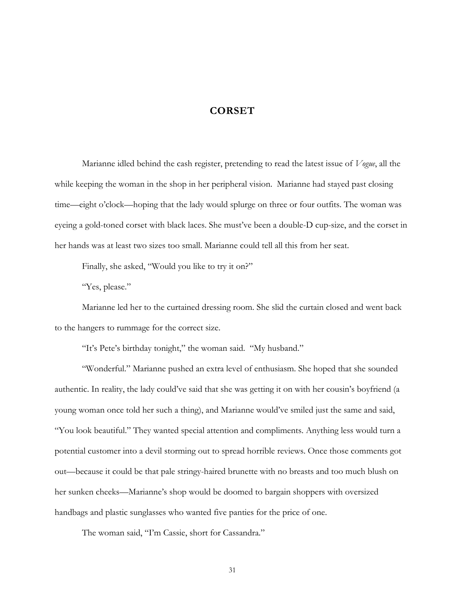## **CORSET**

Marianne idled behind the cash register, pretending to read the latest issue of *Vogue*, all the while keeping the woman in the shop in her peripheral vision. Marianne had stayed past closing time—eight o'clock—hoping that the lady would splurge on three or four outfits. The woman was eyeing a gold-toned corset with black laces. She must've been a double-D cup-size, and the corset in her hands was at least two sizes too small. Marianne could tell all this from her seat.

Finally, she asked, "Would you like to try it on?"

"Yes, please."

Marianne led her to the curtained dressing room. She slid the curtain closed and went back to the hangers to rummage for the correct size.

"It's Pete's birthday tonight," the woman said. "My husband."

"Wonderful." Marianne pushed an extra level of enthusiasm. She hoped that she sounded authentic. In reality, the lady could've said that she was getting it on with her cousin's boyfriend (a young woman once told her such a thing), and Marianne would've smiled just the same and said, "You look beautiful." They wanted special attention and compliments. Anything less would turn a potential customer into a devil storming out to spread horrible reviews. Once those comments got out—because it could be that pale stringy-haired brunette with no breasts and too much blush on her sunken cheeks—Marianne's shop would be doomed to bargain shoppers with oversized handbags and plastic sunglasses who wanted five panties for the price of one.

The woman said, "I'm Cassie, short for Cassandra."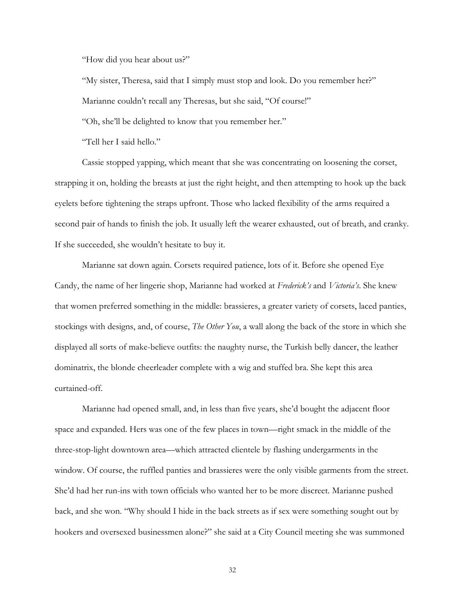"How did you hear about us?"

"My sister, Theresa, said that I simply must stop and look. Do you remember her?" Marianne couldn't recall any Theresas, but she said, "Of course!" "Oh, she'll be delighted to know that you remember her."

"Tell her I said hello."

Cassie stopped yapping, which meant that she was concentrating on loosening the corset, strapping it on, holding the breasts at just the right height, and then attempting to hook up the back eyelets before tightening the straps upfront. Those who lacked flexibility of the arms required a second pair of hands to finish the job. It usually left the wearer exhausted, out of breath, and cranky. If she succeeded, she wouldn't hesitate to buy it.

Marianne sat down again. Corsets required patience, lots of it. Before she opened Eye Candy, the name of her lingerie shop, Marianne had worked at *Frederick's* and *Victoria's*. She knew that women preferred something in the middle: brassieres, a greater variety of corsets, laced panties, stockings with designs, and, of course, *The Other You*, a wall along the back of the store in which she displayed all sorts of make-believe outfits: the naughty nurse, the Turkish belly dancer, the leather dominatrix, the blonde cheerleader complete with a wig and stuffed bra. She kept this area curtained-off.

Marianne had opened small, and, in less than five years, she'd bought the adjacent floor space and expanded. Hers was one of the few places in town—right smack in the middle of the three-stop-light downtown area—which attracted clientele by flashing undergarments in the window. Of course, the ruffled panties and brassieres were the only visible garments from the street. She'd had her run-ins with town officials who wanted her to be more discreet. Marianne pushed back, and she won. "Why should I hide in the back streets as if sex were something sought out by hookers and oversexed businessmen alone?" she said at a City Council meeting she was summoned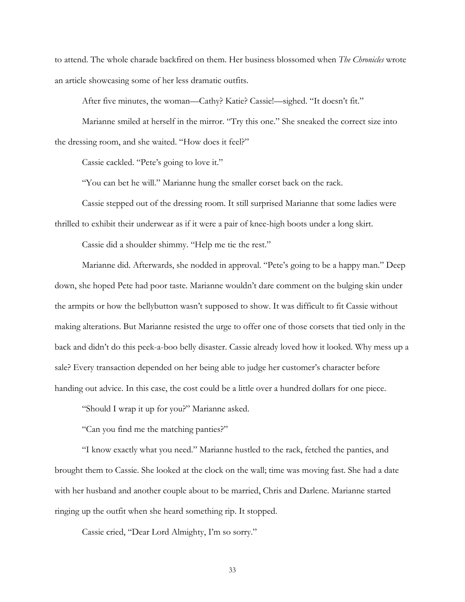to attend. The whole charade backfired on them. Her business blossomed when *The Chronicles* wrote an article showcasing some of her less dramatic outfits.

After five minutes, the woman—Cathy? Katie? Cassie!—sighed. "It doesn't fit."

Marianne smiled at herself in the mirror. "Try this one." She sneaked the correct size into the dressing room, and she waited. "How does it feel?"

Cassie cackled. "Pete's going to love it."

"You can bet he will." Marianne hung the smaller corset back on the rack.

Cassie stepped out of the dressing room. It still surprised Marianne that some ladies were thrilled to exhibit their underwear as if it were a pair of knee-high boots under a long skirt.

Cassie did a shoulder shimmy. "Help me tie the rest."

Marianne did. Afterwards, she nodded in approval. "Pete's going to be a happy man." Deep down, she hoped Pete had poor taste. Marianne wouldn't dare comment on the bulging skin under the armpits or how the bellybutton wasn't supposed to show. It was difficult to fit Cassie without making alterations. But Marianne resisted the urge to offer one of those corsets that tied only in the back and didn't do this peek-a-boo belly disaster. Cassie already loved how it looked. Why mess up a sale? Every transaction depended on her being able to judge her customer's character before handing out advice. In this case, the cost could be a little over a hundred dollars for one piece.

"Should I wrap it up for you?" Marianne asked.

"Can you find me the matching panties?"

"I know exactly what you need." Marianne hustled to the rack, fetched the panties, and brought them to Cassie. She looked at the clock on the wall; time was moving fast. She had a date with her husband and another couple about to be married, Chris and Darlene. Marianne started ringing up the outfit when she heard something rip. It stopped.

Cassie cried, "Dear Lord Almighty, I'm so sorry."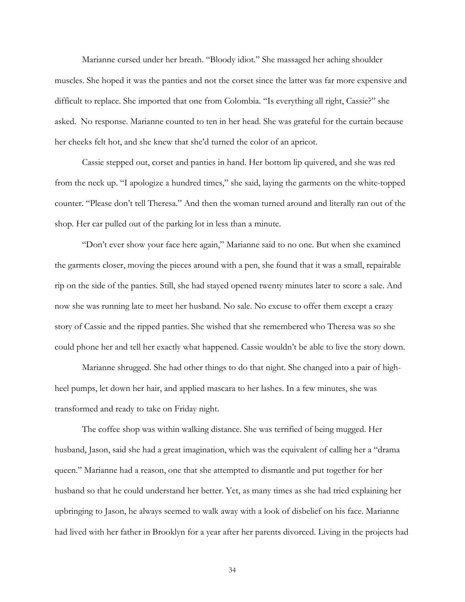Marianne cursed under her breath. "Bloody idiot." She massaged her aching shoulder muscles. She hoped it was the panties and not the corset since the latter was far more expensive and difficult to replace. She imported that one from Colombia. "Is everything all right, Cassie?" she asked. No response. Marianne counted to ten in her head. She was grateful for the curtain because her cheeks felt hot, and she knew that she'd turned the color of an apricot.

Cassie stepped out, corset and panties in hand. Her bottom lip quivered, and she was red from the neck up. "I apologize a hundred times," she said, laying the garments on the white-topped counter. "Please don't tell Theresa." And then the woman turned around and literally ran out of the shop. Her car pulled out of the parking lot in less than a minute.

"Don't ever show your face here again," Marianne said to no one. But when she examined the garments closer, moving the pieces around with a pen, she found that it was a small, repairable rip on the side of the panties. Still, she had stayed opened twenty minutes later to score a sale. And now she was running late to meet her husband. No sale. No excuse to offer them except a crazy story of Cassie and the ripped panties. She wished that she remembered who Theresa was so she could phone her and tell her exactly what happened. Cassie wouldn't be able to live the story down.

Marianne shrugged. She had other things to do that night. She changed into a pair of highheel pumps, let down her hair, and applied mascara to her lashes. In a few minutes, she was transformed and ready to take on Friday night.

The coffee shop was within walking distance. She was terrified of being mugged. Her husband, Jason, said she had a great imagination, which was the equivalent of calling her a "drama queen." Marianne had a reason, one that she attempted to dismantle and put together for her husband so that he could understand her better. Yet, as many times as she had tried explaining her upbringing to Jason, he always seemed to walk away with a look of disbelief on his face. Marianne had lived with her father in Brooklyn for a year after her parents divorced. Living in the projects had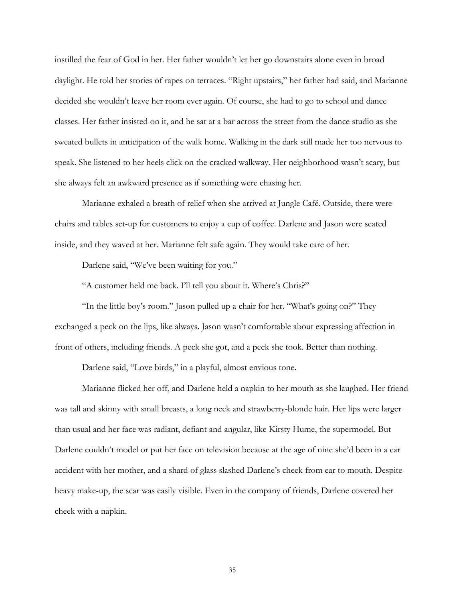instilled the fear of God in her. Her father wouldn't let her go downstairs alone even in broad daylight. He told her stories of rapes on terraces. "Right upstairs," her father had said, and Marianne decided she wouldn't leave her room ever again. Of course, she had to go to school and dance classes. Her father insisted on it, and he sat at a bar across the street from the dance studio as she sweated bullets in anticipation of the walk home. Walking in the dark still made her too nervous to speak. She listened to her heels click on the cracked walkway. Her neighborhood wasn't scary, but she always felt an awkward presence as if something were chasing her.

Marianne exhaled a breath of relief when she arrived at Jungle Café. Outside, there were chairs and tables set-up for customers to enjoy a cup of coffee. Darlene and Jason were seated inside, and they waved at her. Marianne felt safe again. They would take care of her.

Darlene said, "We've been waiting for you."

"A customer held me back. I'll tell you about it. Where's Chris?"

"In the little boy's room." Jason pulled up a chair for her. "What's going on?" They exchanged a peck on the lips, like always. Jason wasn't comfortable about expressing affection in front of others, including friends. A peck she got, and a peck she took. Better than nothing.

Darlene said, "Love birds," in a playful, almost envious tone.

Marianne flicked her off, and Darlene held a napkin to her mouth as she laughed. Her friend was tall and skinny with small breasts, a long neck and strawberry-blonde hair. Her lips were larger than usual and her face was radiant, defiant and angular, like Kirsty Hume, the supermodel. But Darlene couldn't model or put her face on television because at the age of nine she'd been in a car accident with her mother, and a shard of glass slashed Darlene's cheek from ear to mouth. Despite heavy make-up, the scar was easily visible. Even in the company of friends, Darlene covered her cheek with a napkin.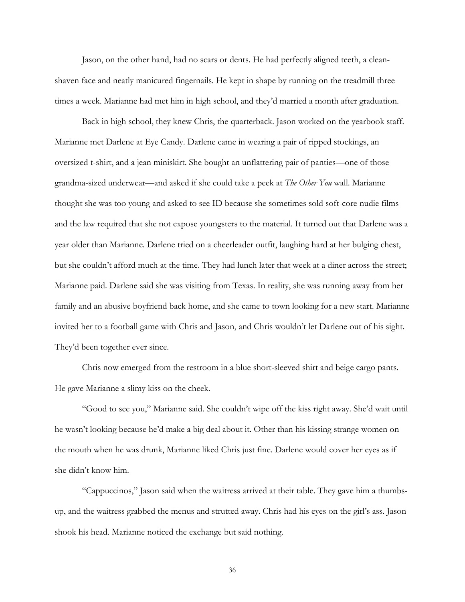Jason, on the other hand, had no scars or dents. He had perfectly aligned teeth, a cleanshaven face and neatly manicured fingernails. He kept in shape by running on the treadmill three times a week. Marianne had met him in high school, and they'd married a month after graduation.

Back in high school, they knew Chris, the quarterback. Jason worked on the yearbook staff. Marianne met Darlene at Eye Candy. Darlene came in wearing a pair of ripped stockings, an oversized t-shirt, and a jean miniskirt. She bought an unflattering pair of panties—one of those grandma-sized underwear—and asked if she could take a peek at *The Other You* wall. Marianne thought she was too young and asked to see ID because she sometimes sold soft-core nudie films and the law required that she not expose youngsters to the material. It turned out that Darlene was a year older than Marianne. Darlene tried on a cheerleader outfit, laughing hard at her bulging chest, but she couldn't afford much at the time. They had lunch later that week at a diner across the street; Marianne paid. Darlene said she was visiting from Texas. In reality, she was running away from her family and an abusive boyfriend back home, and she came to town looking for a new start. Marianne invited her to a football game with Chris and Jason, and Chris wouldn't let Darlene out of his sight. They'd been together ever since.

Chris now emerged from the restroom in a blue short-sleeved shirt and beige cargo pants. He gave Marianne a slimy kiss on the cheek.

"Good to see you," Marianne said. She couldn't wipe off the kiss right away. She'd wait until he wasn't looking because he'd make a big deal about it. Other than his kissing strange women on the mouth when he was drunk, Marianne liked Chris just fine. Darlene would cover her eyes as if she didn't know him.

"Cappuccinos," Jason said when the waitress arrived at their table. They gave him a thumbsup, and the waitress grabbed the menus and strutted away. Chris had his eyes on the girl's ass. Jason shook his head. Marianne noticed the exchange but said nothing.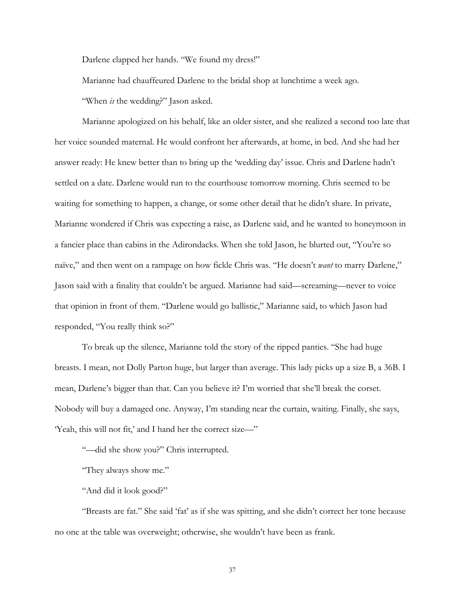Darlene clapped her hands. "We found my dress!"

Marianne had chauffeured Darlene to the bridal shop at lunchtime a week ago.

"When *is* the wedding?" Jason asked.

Marianne apologized on his behalf, like an older sister, and she realized a second too late that her voice sounded maternal. He would confront her afterwards, at home, in bed. And she had her answer ready: He knew better than to bring up the 'wedding day' issue. Chris and Darlene hadn't settled on a date. Darlene would run to the courthouse tomorrow morning. Chris seemed to be waiting for something to happen, a change, or some other detail that he didn't share. In private, Marianne wondered if Chris was expecting a raise, as Darlene said, and he wanted to honeymoon in a fancier place than cabins in the Adirondacks. When she told Jason, he blurted out, "You're so naïve," and then went on a rampage on how fickle Chris was. "He doesn't *want* to marry Darlene," Jason said with a finality that couldn't be argued. Marianne had said—screaming—never to voice that opinion in front of them. "Darlene would go ballistic," Marianne said, to which Jason had responded, "You really think so?"

To break up the silence, Marianne told the story of the ripped panties. "She had huge breasts. I mean, not Dolly Parton huge, but larger than average. This lady picks up a size B, a 36B. I mean, Darlene's bigger than that. Can you believe it? I'm worried that she'll break the corset. Nobody will buy a damaged one. Anyway, I'm standing near the curtain, waiting. Finally, she says, 'Yeah, this will not fit,' and I hand her the correct size—"

"—did she show you?" Chris interrupted.

"They always show me."

"And did it look good?"

"Breasts are fat." She said 'fat' as if she was spitting, and she didn't correct her tone because no one at the table was overweight; otherwise, she wouldn't have been as frank.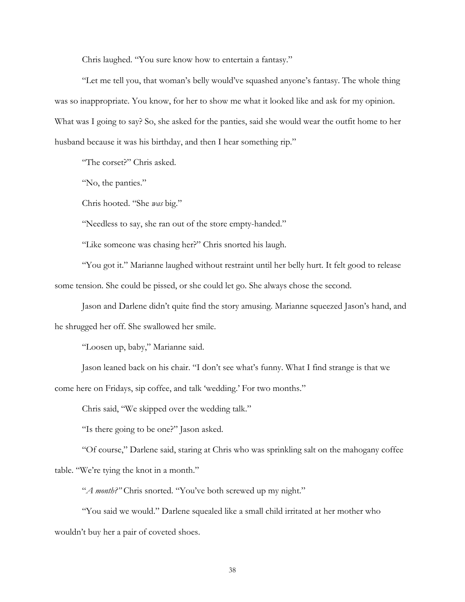Chris laughed. "You sure know how to entertain a fantasy."

"Let me tell you, that woman's belly would've squashed anyone's fantasy. The whole thing was so inappropriate. You know, for her to show me what it looked like and ask for my opinion. What was I going to say? So, she asked for the panties, said she would wear the outfit home to her husband because it was his birthday, and then I hear something rip."

"The corset?" Chris asked.

"No, the panties."

Chris hooted. "She *was* big."

"Needless to say, she ran out of the store empty-handed."

"Like someone was chasing her?" Chris snorted his laugh.

"You got it." Marianne laughed without restraint until her belly hurt. It felt good to release some tension. She could be pissed, or she could let go. She always chose the second.

Jason and Darlene didn't quite find the story amusing. Marianne squeezed Jason's hand, and he shrugged her off. She swallowed her smile.

"Loosen up, baby," Marianne said.

Jason leaned back on his chair. "I don't see what's funny. What I find strange is that we come here on Fridays, sip coffee, and talk 'wedding.' For two months."

Chris said, "We skipped over the wedding talk."

"Is there going to be one?" Jason asked.

"Of course," Darlene said, staring at Chris who was sprinkling salt on the mahogany coffee table. "We're tying the knot in a month."

"*A month?"* Chris snorted. "You've both screwed up my night."

"You said we would." Darlene squealed like a small child irritated at her mother who wouldn't buy her a pair of coveted shoes.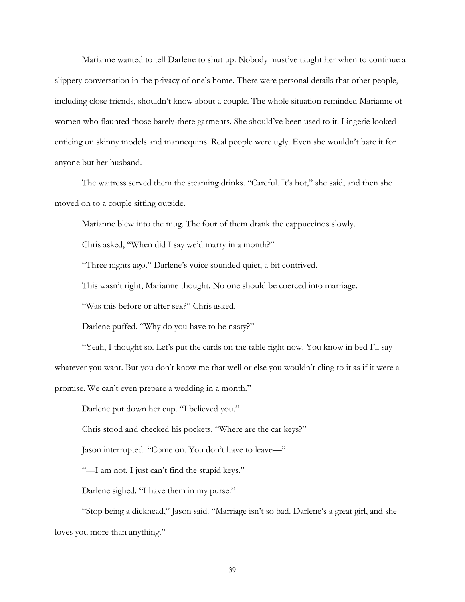Marianne wanted to tell Darlene to shut up. Nobody must've taught her when to continue a slippery conversation in the privacy of one's home. There were personal details that other people, including close friends, shouldn't know about a couple. The whole situation reminded Marianne of women who flaunted those barely-there garments. She should've been used to it. Lingerie looked enticing on skinny models and mannequins. Real people were ugly. Even she wouldn't bare it for anyone but her husband.

The waitress served them the steaming drinks. "Careful. It's hot," she said, and then she moved on to a couple sitting outside.

Marianne blew into the mug. The four of them drank the cappuccinos slowly.

Chris asked, "When did I say we'd marry in a month?"

"Three nights ago." Darlene's voice sounded quiet, a bit contrived.

This wasn't right, Marianne thought. No one should be coerced into marriage.

"Was this before or after sex?" Chris asked.

Darlene puffed. "Why do you have to be nasty?"

"Yeah, I thought so. Let's put the cards on the table right now. You know in bed I'll say whatever you want. But you don't know me that well or else you wouldn't cling to it as if it were a promise. We can't even prepare a wedding in a month."

Darlene put down her cup. "I believed you."

Chris stood and checked his pockets. "Where are the car keys?"

Jason interrupted. "Come on. You don't have to leave—"

"—I am not. I just can't find the stupid keys."

Darlene sighed. "I have them in my purse."

"Stop being a dickhead," Jason said. "Marriage isn't so bad. Darlene's a great girl, and she loves you more than anything."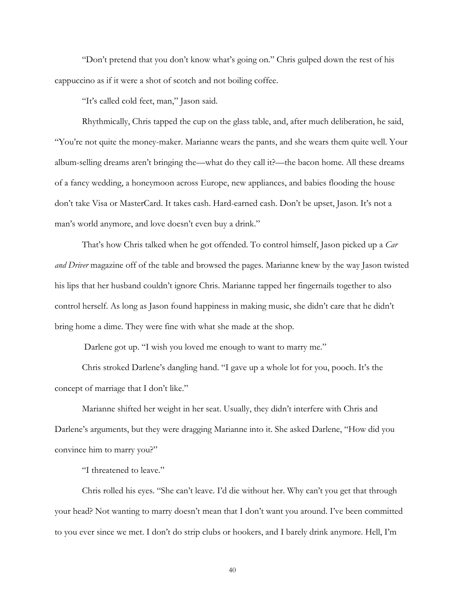"Don't pretend that you don't know what's going on." Chris gulped down the rest of his cappuccino as if it were a shot of scotch and not boiling coffee.

"It's called cold feet, man," Jason said.

Rhythmically, Chris tapped the cup on the glass table, and, after much deliberation, he said, "You're not quite the money-maker. Marianne wears the pants, and she wears them quite well. Your album-selling dreams aren't bringing the—what do they call it?—the bacon home. All these dreams of a fancy wedding, a honeymoon across Europe, new appliances, and babies flooding the house don't take Visa or MasterCard. It takes cash. Hard-earned cash. Don't be upset, Jason. It's not a man's world anymore, and love doesn't even buy a drink."

That's how Chris talked when he got offended. To control himself, Jason picked up a *Car and Driver* magazine off of the table and browsed the pages. Marianne knew by the way Jason twisted his lips that her husband couldn't ignore Chris. Marianne tapped her fingernails together to also control herself. As long as Jason found happiness in making music, she didn't care that he didn't bring home a dime. They were fine with what she made at the shop.

Darlene got up. "I wish you loved me enough to want to marry me."

Chris stroked Darlene's dangling hand. "I gave up a whole lot for you, pooch. It's the concept of marriage that I don't like."

Marianne shifted her weight in her seat. Usually, they didn't interfere with Chris and Darlene's arguments, but they were dragging Marianne into it. She asked Darlene, "How did you convince him to marry you?"

"I threatened to leave."

Chris rolled his eyes. "She can't leave. I'd die without her. Why can't you get that through your head? Not wanting to marry doesn't mean that I don't want you around. I've been committed to you ever since we met. I don't do strip clubs or hookers, and I barely drink anymore. Hell, I'm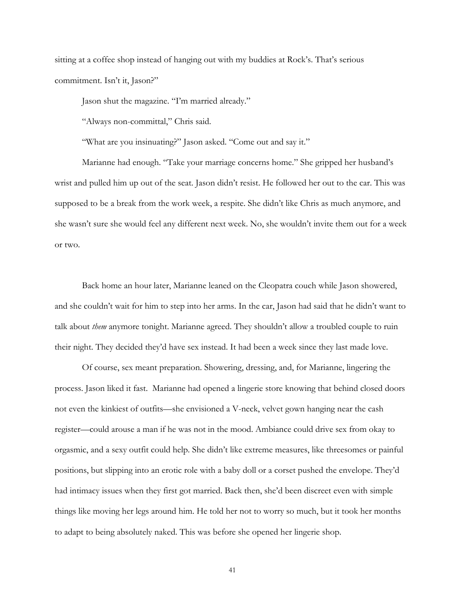sitting at a coffee shop instead of hanging out with my buddies at Rock's. That's serious commitment. Isn't it, Jason?"

Jason shut the magazine. "I'm married already."

"Always non-committal," Chris said.

"What are you insinuating?" Jason asked. "Come out and say it."

Marianne had enough. "Take your marriage concerns home." She gripped her husband's wrist and pulled him up out of the seat. Jason didn't resist. He followed her out to the car. This was supposed to be a break from the work week, a respite. She didn't like Chris as much anymore, and she wasn't sure she would feel any different next week. No, she wouldn't invite them out for a week or two.

Back home an hour later, Marianne leaned on the Cleopatra couch while Jason showered, and she couldn't wait for him to step into her arms. In the car, Jason had said that he didn't want to talk about *them* anymore tonight. Marianne agreed. They shouldn't allow a troubled couple to ruin their night. They decided they'd have sex instead. It had been a week since they last made love.

Of course, sex meant preparation. Showering, dressing, and, for Marianne, lingering the process. Jason liked it fast. Marianne had opened a lingerie store knowing that behind closed doors not even the kinkiest of outfits—she envisioned a V-neck, velvet gown hanging near the cash register—could arouse a man if he was not in the mood. Ambiance could drive sex from okay to orgasmic, and a sexy outfit could help. She didn't like extreme measures, like threesomes or painful positions, but slipping into an erotic role with a baby doll or a corset pushed the envelope. They'd had intimacy issues when they first got married. Back then, she'd been discreet even with simple things like moving her legs around him. He told her not to worry so much, but it took her months to adapt to being absolutely naked. This was before she opened her lingerie shop.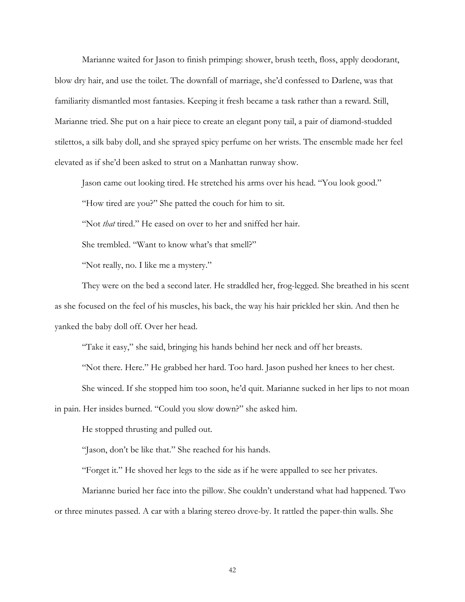Marianne waited for Jason to finish primping: shower, brush teeth, floss, apply deodorant, blow dry hair, and use the toilet. The downfall of marriage, she'd confessed to Darlene, was that familiarity dismantled most fantasies. Keeping it fresh became a task rather than a reward. Still, Marianne tried. She put on a hair piece to create an elegant pony tail, a pair of diamond-studded stilettos, a silk baby doll, and she sprayed spicy perfume on her wrists. The ensemble made her feel elevated as if she'd been asked to strut on a Manhattan runway show.

Jason came out looking tired. He stretched his arms over his head. "You look good."

"How tired are you?" She patted the couch for him to sit.

"Not *that* tired." He eased on over to her and sniffed her hair.

She trembled. "Want to know what's that smell?"

"Not really, no. I like me a mystery."

They were on the bed a second later. He straddled her, frog-legged. She breathed in his scent as she focused on the feel of his muscles, his back, the way his hair prickled her skin. And then he yanked the baby doll off. Over her head.

"Take it easy," she said, bringing his hands behind her neck and off her breasts.

"Not there. Here." He grabbed her hard. Too hard. Jason pushed her knees to her chest.

She winced. If she stopped him too soon, he'd quit. Marianne sucked in her lips to not moan

in pain. Her insides burned. "Could you slow down?" she asked him.

He stopped thrusting and pulled out.

"Jason, don't be like that." She reached for his hands.

"Forget it." He shoved her legs to the side as if he were appalled to see her privates.

Marianne buried her face into the pillow. She couldn't understand what had happened. Two or three minutes passed. A car with a blaring stereo drove-by. It rattled the paper-thin walls. She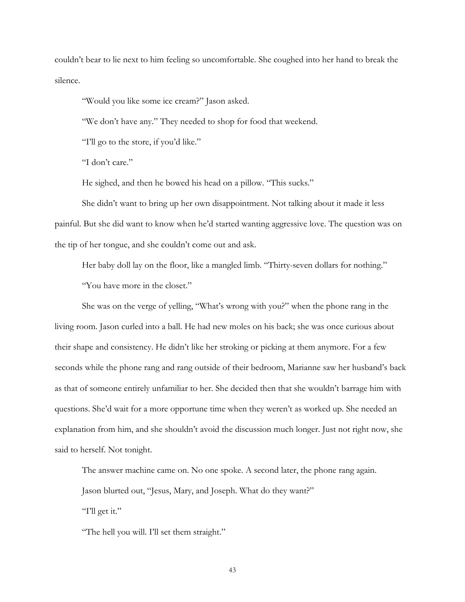couldn't bear to lie next to him feeling so uncomfortable. She coughed into her hand to break the silence.

"Would you like some ice cream?" Jason asked.

"We don't have any." They needed to shop for food that weekend.

"I'll go to the store, if you'd like."

"I don't care."

He sighed, and then he bowed his head on a pillow. "This sucks."

 She didn't want to bring up her own disappointment. Not talking about it made it less painful. But she did want to know when he'd started wanting aggressive love. The question was on the tip of her tongue, and she couldn't come out and ask.

Her baby doll lay on the floor, like a mangled limb. "Thirty-seven dollars for nothing." "You have more in the closet."

She was on the verge of yelling, "What's wrong with you?" when the phone rang in the living room. Jason curled into a ball. He had new moles on his back; she was once curious about their shape and consistency. He didn't like her stroking or picking at them anymore. For a few seconds while the phone rang and rang outside of their bedroom, Marianne saw her husband's back as that of someone entirely unfamiliar to her. She decided then that she wouldn't barrage him with questions. She'd wait for a more opportune time when they weren't as worked up. She needed an explanation from him, and she shouldn't avoid the discussion much longer. Just not right now, she said to herself. Not tonight.

The answer machine came on. No one spoke. A second later, the phone rang again. Jason blurted out, "Jesus, Mary, and Joseph. What do they want?"

"I'll get it."

"The hell you will. I'll set them straight."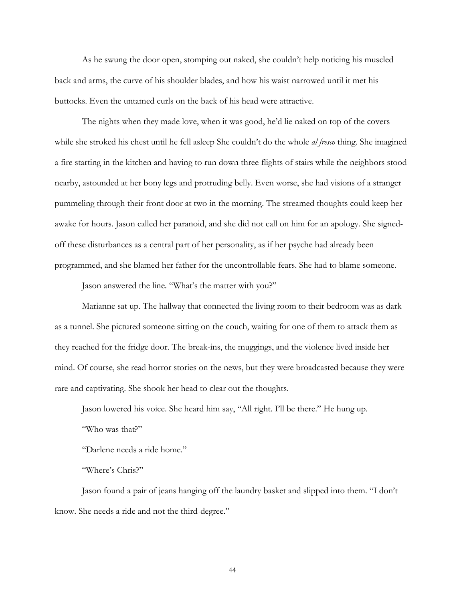As he swung the door open, stomping out naked, she couldn't help noticing his muscled back and arms, the curve of his shoulder blades, and how his waist narrowed until it met his buttocks. Even the untamed curls on the back of his head were attractive.

The nights when they made love, when it was good, he'd lie naked on top of the covers while she stroked his chest until he fell asleep She couldn't do the whole *al fresco* thing. She imagined a fire starting in the kitchen and having to run down three flights of stairs while the neighbors stood nearby, astounded at her bony legs and protruding belly. Even worse, she had visions of a stranger pummeling through their front door at two in the morning. The streamed thoughts could keep her awake for hours. Jason called her paranoid, and she did not call on him for an apology. She signedoff these disturbances as a central part of her personality, as if her psyche had already been programmed, and she blamed her father for the uncontrollable fears. She had to blame someone.

Jason answered the line. "What's the matter with you?"

Marianne sat up. The hallway that connected the living room to their bedroom was as dark as a tunnel. She pictured someone sitting on the couch, waiting for one of them to attack them as they reached for the fridge door. The break-ins, the muggings, and the violence lived inside her mind. Of course, she read horror stories on the news, but they were broadcasted because they were rare and captivating. She shook her head to clear out the thoughts.

Jason lowered his voice. She heard him say, "All right. I'll be there." He hung up.

"Who was that?"

"Darlene needs a ride home."

"Where's Chris?"

Jason found a pair of jeans hanging off the laundry basket and slipped into them. "I don't know. She needs a ride and not the third-degree."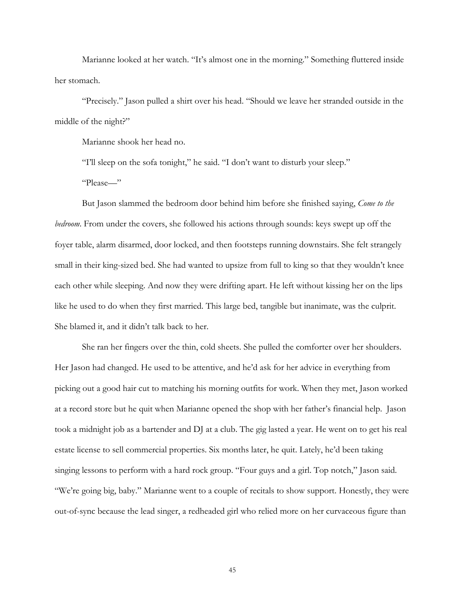Marianne looked at her watch. "It's almost one in the morning." Something fluttered inside her stomach.

"Precisely." Jason pulled a shirt over his head. "Should we leave her stranded outside in the middle of the night?"

Marianne shook her head no.

"I'll sleep on the sofa tonight," he said. "I don't want to disturb your sleep."

"Please—"

But Jason slammed the bedroom door behind him before she finished saying, *Come to the bedroom*. From under the covers, she followed his actions through sounds: keys swept up off the foyer table, alarm disarmed, door locked, and then footsteps running downstairs. She felt strangely small in their king-sized bed. She had wanted to upsize from full to king so that they wouldn't knee each other while sleeping. And now they were drifting apart. He left without kissing her on the lips like he used to do when they first married. This large bed, tangible but inanimate, was the culprit. She blamed it, and it didn't talk back to her.

She ran her fingers over the thin, cold sheets. She pulled the comforter over her shoulders. Her Jason had changed. He used to be attentive, and he'd ask for her advice in everything from picking out a good hair cut to matching his morning outfits for work. When they met, Jason worked at a record store but he quit when Marianne opened the shop with her father's financial help. Jason took a midnight job as a bartender and DJ at a club. The gig lasted a year. He went on to get his real estate license to sell commercial properties. Six months later, he quit. Lately, he'd been taking singing lessons to perform with a hard rock group. "Four guys and a girl. Top notch," Jason said. "We're going big, baby." Marianne went to a couple of recitals to show support. Honestly, they were out-of-sync because the lead singer, a redheaded girl who relied more on her curvaceous figure than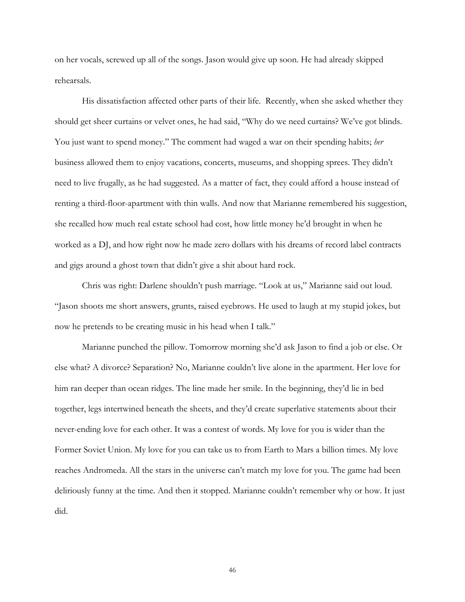on her vocals, screwed up all of the songs. Jason would give up soon. He had already skipped rehearsals.

His dissatisfaction affected other parts of their life. Recently, when she asked whether they should get sheer curtains or velvet ones, he had said, "Why do we need curtains? We've got blinds. You just want to spend money." The comment had waged a war on their spending habits; *her* business allowed them to enjoy vacations, concerts, museums, and shopping sprees. They didn't need to live frugally, as he had suggested. As a matter of fact, they could afford a house instead of renting a third-floor-apartment with thin walls. And now that Marianne remembered his suggestion, she recalled how much real estate school had cost, how little money he'd brought in when he worked as a DJ, and how right now he made zero dollars with his dreams of record label contracts and gigs around a ghost town that didn't give a shit about hard rock.

Chris was right: Darlene shouldn't push marriage. "Look at us," Marianne said out loud. "Jason shoots me short answers, grunts, raised eyebrows. He used to laugh at my stupid jokes, but now he pretends to be creating music in his head when I talk."

Marianne punched the pillow. Tomorrow morning she'd ask Jason to find a job or else. Or else what? A divorce? Separation? No, Marianne couldn't live alone in the apartment. Her love for him ran deeper than ocean ridges. The line made her smile. In the beginning, they'd lie in bed together, legs intertwined beneath the sheets, and they'd create superlative statements about their never-ending love for each other. It was a contest of words. My love for you is wider than the Former Soviet Union. My love for you can take us to from Earth to Mars a billion times. My love reaches Andromeda. All the stars in the universe can't match my love for you. The game had been deliriously funny at the time. And then it stopped. Marianne couldn't remember why or how. It just did.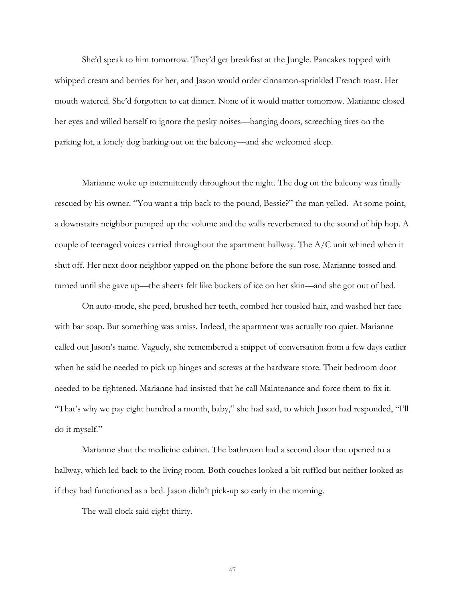She'd speak to him tomorrow. They'd get breakfast at the Jungle. Pancakes topped with whipped cream and berries for her, and Jason would order cinnamon-sprinkled French toast. Her mouth watered. She'd forgotten to eat dinner. None of it would matter tomorrow. Marianne closed her eyes and willed herself to ignore the pesky noises—banging doors, screeching tires on the parking lot, a lonely dog barking out on the balcony—and she welcomed sleep.

Marianne woke up intermittently throughout the night. The dog on the balcony was finally rescued by his owner. "You want a trip back to the pound, Bessie?" the man yelled. At some point, a downstairs neighbor pumped up the volume and the walls reverberated to the sound of hip hop. A couple of teenaged voices carried throughout the apartment hallway. The A/C unit whined when it shut off. Her next door neighbor yapped on the phone before the sun rose. Marianne tossed and turned until she gave up—the sheets felt like buckets of ice on her skin—and she got out of bed.

On auto-mode, she peed, brushed her teeth, combed her tousled hair, and washed her face with bar soap. But something was amiss. Indeed, the apartment was actually too quiet. Marianne called out Jason's name. Vaguely, she remembered a snippet of conversation from a few days earlier when he said he needed to pick up hinges and screws at the hardware store. Their bedroom door needed to be tightened. Marianne had insisted that he call Maintenance and force them to fix it. "That's why we pay eight hundred a month, baby," she had said, to which Jason had responded, "I'll do it myself."

Marianne shut the medicine cabinet. The bathroom had a second door that opened to a hallway, which led back to the living room. Both couches looked a bit ruffled but neither looked as if they had functioned as a bed. Jason didn't pick-up so early in the morning.

The wall clock said eight-thirty.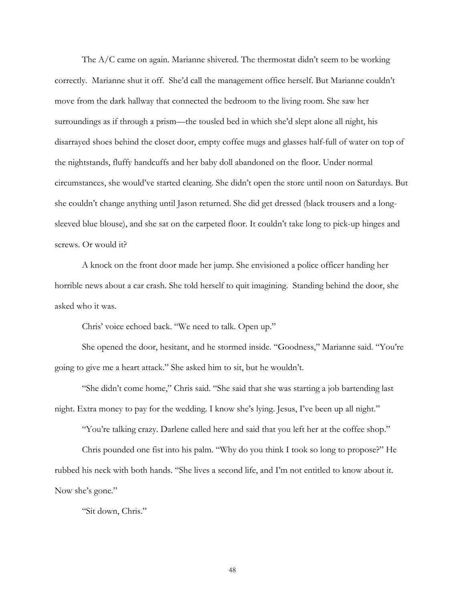The A/C came on again. Marianne shivered. The thermostat didn't seem to be working correctly. Marianne shut it off. She'd call the management office herself. But Marianne couldn't move from the dark hallway that connected the bedroom to the living room. She saw her surroundings as if through a prism—the tousled bed in which she'd slept alone all night, his disarrayed shoes behind the closet door, empty coffee mugs and glasses half-full of water on top of the nightstands, fluffy handcuffs and her baby doll abandoned on the floor. Under normal circumstances, she would've started cleaning. She didn't open the store until noon on Saturdays. But she couldn't change anything until Jason returned. She did get dressed (black trousers and a longsleeved blue blouse), and she sat on the carpeted floor. It couldn't take long to pick-up hinges and screws. Or would it?

A knock on the front door made her jump. She envisioned a police officer handing her horrible news about a car crash. She told herself to quit imagining. Standing behind the door, she asked who it was.

Chris' voice echoed back. "We need to talk. Open up."

She opened the door, hesitant, and he stormed inside. "Goodness," Marianne said. "You're going to give me a heart attack." She asked him to sit, but he wouldn't.

"She didn't come home," Chris said. "She said that she was starting a job bartending last night. Extra money to pay for the wedding. I know she's lying. Jesus, I've been up all night."

"You're talking crazy. Darlene called here and said that you left her at the coffee shop."

Chris pounded one fist into his palm. "Why do you think I took so long to propose?" He rubbed his neck with both hands. "She lives a second life, and I'm not entitled to know about it. Now she's gone."

"Sit down, Chris."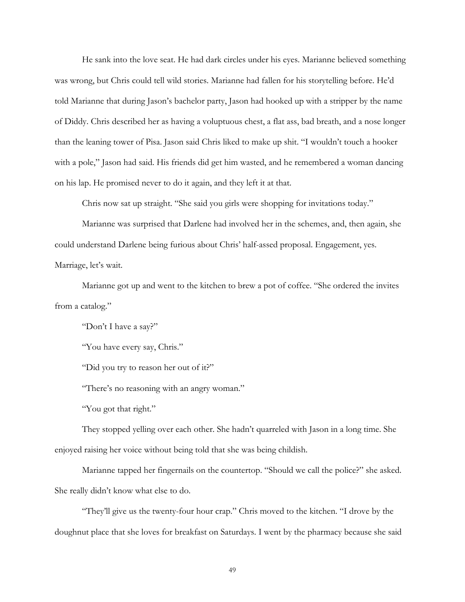He sank into the love seat. He had dark circles under his eyes. Marianne believed something was wrong, but Chris could tell wild stories. Marianne had fallen for his storytelling before. He'd told Marianne that during Jason's bachelor party, Jason had hooked up with a stripper by the name of Diddy. Chris described her as having a voluptuous chest, a flat ass, bad breath, and a nose longer than the leaning tower of Pisa. Jason said Chris liked to make up shit. "I wouldn't touch a hooker with a pole," Jason had said. His friends did get him wasted, and he remembered a woman dancing on his lap. He promised never to do it again, and they left it at that.

Chris now sat up straight. "She said you girls were shopping for invitations today."

Marianne was surprised that Darlene had involved her in the schemes, and, then again, she could understand Darlene being furious about Chris' half-assed proposal. Engagement, yes. Marriage, let's wait.

Marianne got up and went to the kitchen to brew a pot of coffee. "She ordered the invites from a catalog."

"Don't I have a say?"

"You have every say, Chris."

"Did you try to reason her out of it?"

"There's no reasoning with an angry woman."

"You got that right."

They stopped yelling over each other. She hadn't quarreled with Jason in a long time. She enjoyed raising her voice without being told that she was being childish.

Marianne tapped her fingernails on the countertop. "Should we call the police?" she asked. She really didn't know what else to do.

"They'll give us the twenty-four hour crap." Chris moved to the kitchen. "I drove by the doughnut place that she loves for breakfast on Saturdays. I went by the pharmacy because she said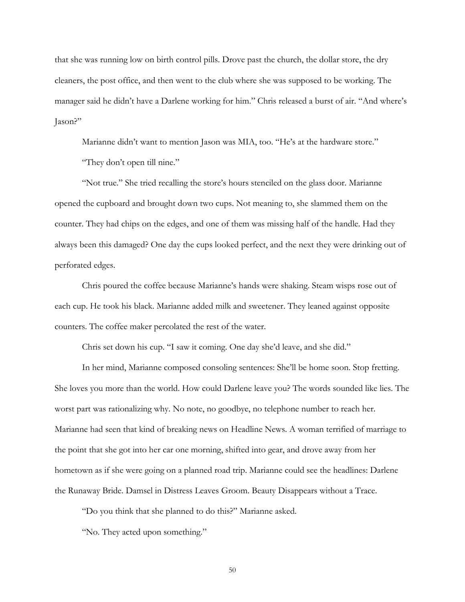that she was running low on birth control pills. Drove past the church, the dollar store, the dry cleaners, the post office, and then went to the club where she was supposed to be working. The manager said he didn't have a Darlene working for him." Chris released a burst of air. "And where's Jason?"

Marianne didn't want to mention Jason was MIA, too. "He's at the hardware store."

"They don't open till nine."

"Not true." She tried recalling the store's hours stenciled on the glass door. Marianne opened the cupboard and brought down two cups. Not meaning to, she slammed them on the counter. They had chips on the edges, and one of them was missing half of the handle. Had they always been this damaged? One day the cups looked perfect, and the next they were drinking out of perforated edges.

Chris poured the coffee because Marianne's hands were shaking. Steam wisps rose out of each cup. He took his black. Marianne added milk and sweetener. They leaned against opposite counters. The coffee maker percolated the rest of the water.

Chris set down his cup. "I saw it coming. One day she'd leave, and she did."

In her mind, Marianne composed consoling sentences: She'll be home soon. Stop fretting. She loves you more than the world. How could Darlene leave you? The words sounded like lies. The worst part was rationalizing why. No note, no goodbye, no telephone number to reach her. Marianne had seen that kind of breaking news on Headline News. A woman terrified of marriage to the point that she got into her car one morning, shifted into gear, and drove away from her hometown as if she were going on a planned road trip. Marianne could see the headlines: Darlene the Runaway Bride. Damsel in Distress Leaves Groom. Beauty Disappears without a Trace.

"Do you think that she planned to do this?" Marianne asked.

"No. They acted upon something."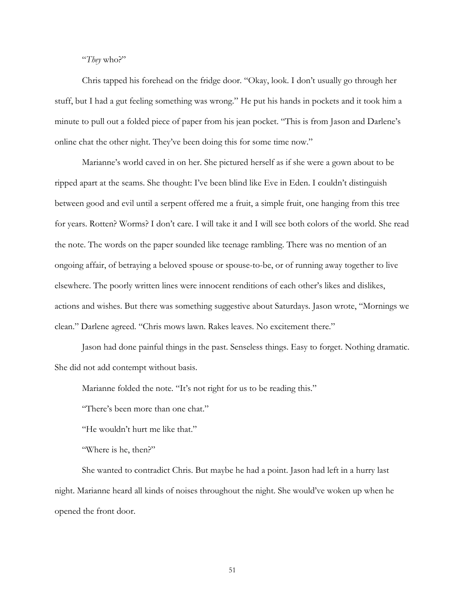"*They* who?"

Chris tapped his forehead on the fridge door. "Okay, look. I don't usually go through her stuff, but I had a gut feeling something was wrong." He put his hands in pockets and it took him a minute to pull out a folded piece of paper from his jean pocket. "This is from Jason and Darlene's online chat the other night. They've been doing this for some time now."

Marianne's world caved in on her. She pictured herself as if she were a gown about to be ripped apart at the seams. She thought: I've been blind like Eve in Eden. I couldn't distinguish between good and evil until a serpent offered me a fruit, a simple fruit, one hanging from this tree for years. Rotten? Worms? I don't care. I will take it and I will see both colors of the world. She read the note. The words on the paper sounded like teenage rambling. There was no mention of an ongoing affair, of betraying a beloved spouse or spouse-to-be, or of running away together to live elsewhere. The poorly written lines were innocent renditions of each other's likes and dislikes, actions and wishes. But there was something suggestive about Saturdays. Jason wrote, "Mornings we clean." Darlene agreed. "Chris mows lawn. Rakes leaves. No excitement there."

Jason had done painful things in the past. Senseless things. Easy to forget. Nothing dramatic. She did not add contempt without basis.

Marianne folded the note. "It's not right for us to be reading this."

"There's been more than one chat."

"He wouldn't hurt me like that."

"Where is he, then?"

She wanted to contradict Chris. But maybe he had a point. Jason had left in a hurry last night. Marianne heard all kinds of noises throughout the night. She would've woken up when he opened the front door.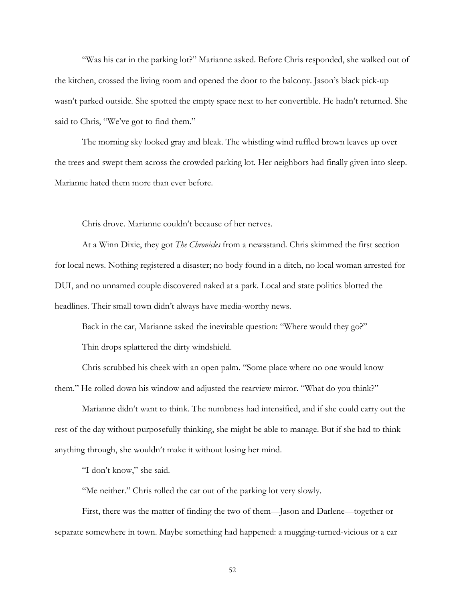"Was his car in the parking lot?" Marianne asked. Before Chris responded, she walked out of the kitchen, crossed the living room and opened the door to the balcony. Jason's black pick-up wasn't parked outside. She spotted the empty space next to her convertible. He hadn't returned. She said to Chris, "We've got to find them."

The morning sky looked gray and bleak. The whistling wind ruffled brown leaves up over the trees and swept them across the crowded parking lot. Her neighbors had finally given into sleep. Marianne hated them more than ever before.

Chris drove. Marianne couldn't because of her nerves.

At a Winn Dixie, they got *The Chronicles* from a newsstand. Chris skimmed the first section for local news. Nothing registered a disaster; no body found in a ditch, no local woman arrested for DUI, and no unnamed couple discovered naked at a park. Local and state politics blotted the headlines. Their small town didn't always have media-worthy news.

Back in the car, Marianne asked the inevitable question: "Where would they go?" Thin drops splattered the dirty windshield.

Chris scrubbed his cheek with an open palm. "Some place where no one would know them." He rolled down his window and adjusted the rearview mirror. "What do you think?"

Marianne didn't want to think. The numbness had intensified, and if she could carry out the rest of the day without purposefully thinking, she might be able to manage. But if she had to think anything through, she wouldn't make it without losing her mind.

"I don't know," she said.

"Me neither." Chris rolled the car out of the parking lot very slowly.

First, there was the matter of finding the two of them—Jason and Darlene—together or separate somewhere in town. Maybe something had happened: a mugging-turned-vicious or a car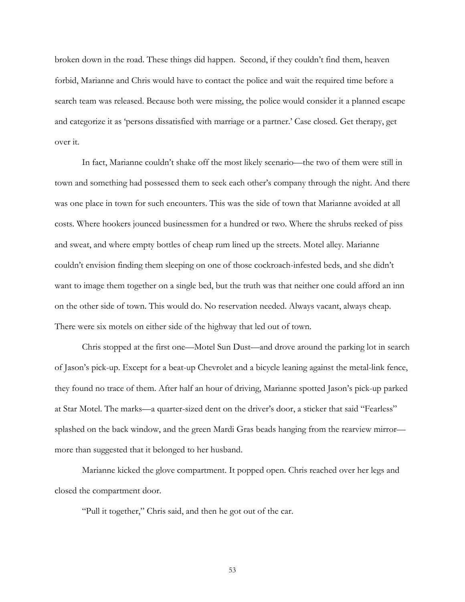broken down in the road. These things did happen. Second, if they couldn't find them, heaven forbid, Marianne and Chris would have to contact the police and wait the required time before a search team was released. Because both were missing, the police would consider it a planned escape and categorize it as 'persons dissatisfied with marriage or a partner.' Case closed. Get therapy, get over it.

In fact, Marianne couldn't shake off the most likely scenario—the two of them were still in town and something had possessed them to seek each other's company through the night. And there was one place in town for such encounters. This was the side of town that Marianne avoided at all costs. Where hookers jounced businessmen for a hundred or two. Where the shrubs reeked of piss and sweat, and where empty bottles of cheap rum lined up the streets. Motel alley. Marianne couldn't envision finding them sleeping on one of those cockroach-infested beds, and she didn't want to image them together on a single bed, but the truth was that neither one could afford an inn on the other side of town. This would do. No reservation needed. Always vacant, always cheap. There were six motels on either side of the highway that led out of town.

Chris stopped at the first one—Motel Sun Dust—and drove around the parking lot in search of Jason's pick-up. Except for a beat-up Chevrolet and a bicycle leaning against the metal-link fence, they found no trace of them. After half an hour of driving, Marianne spotted Jason's pick-up parked at Star Motel. The marks—a quarter-sized dent on the driver's door, a sticker that said "Fearless" splashed on the back window, and the green Mardi Gras beads hanging from the rearview mirror more than suggested that it belonged to her husband.

Marianne kicked the glove compartment. It popped open. Chris reached over her legs and closed the compartment door.

"Pull it together," Chris said, and then he got out of the car.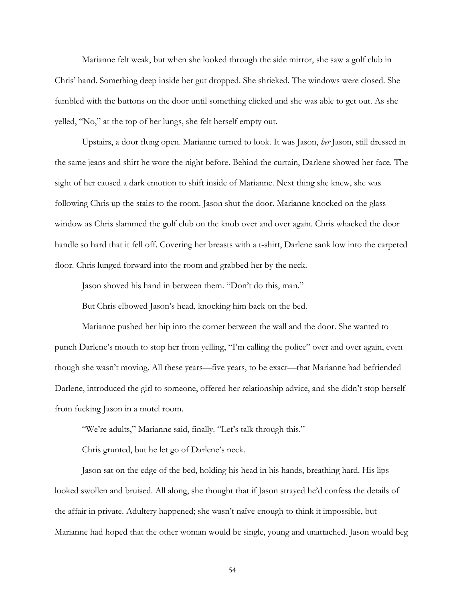Marianne felt weak, but when she looked through the side mirror, she saw a golf club in Chris' hand. Something deep inside her gut dropped. She shrieked. The windows were closed. She fumbled with the buttons on the door until something clicked and she was able to get out. As she yelled, "No," at the top of her lungs, she felt herself empty out.

Upstairs, a door flung open. Marianne turned to look. It was Jason, *her* Jason, still dressed in the same jeans and shirt he wore the night before. Behind the curtain, Darlene showed her face. The sight of her caused a dark emotion to shift inside of Marianne. Next thing she knew, she was following Chris up the stairs to the room. Jason shut the door. Marianne knocked on the glass window as Chris slammed the golf club on the knob over and over again. Chris whacked the door handle so hard that it fell off. Covering her breasts with a t-shirt, Darlene sank low into the carpeted floor. Chris lunged forward into the room and grabbed her by the neck.

Jason shoved his hand in between them. "Don't do this, man."

But Chris elbowed Jason's head, knocking him back on the bed.

Marianne pushed her hip into the corner between the wall and the door. She wanted to punch Darlene's mouth to stop her from yelling, "I'm calling the police" over and over again, even though she wasn't moving. All these years—five years, to be exact—that Marianne had befriended Darlene, introduced the girl to someone, offered her relationship advice, and she didn't stop herself from fucking Jason in a motel room.

"We're adults," Marianne said, finally. "Let's talk through this."

Chris grunted, but he let go of Darlene's neck.

Jason sat on the edge of the bed, holding his head in his hands, breathing hard. His lips looked swollen and bruised. All along, she thought that if Jason strayed he'd confess the details of the affair in private. Adultery happened; she wasn't naïve enough to think it impossible, but Marianne had hoped that the other woman would be single, young and unattached. Jason would beg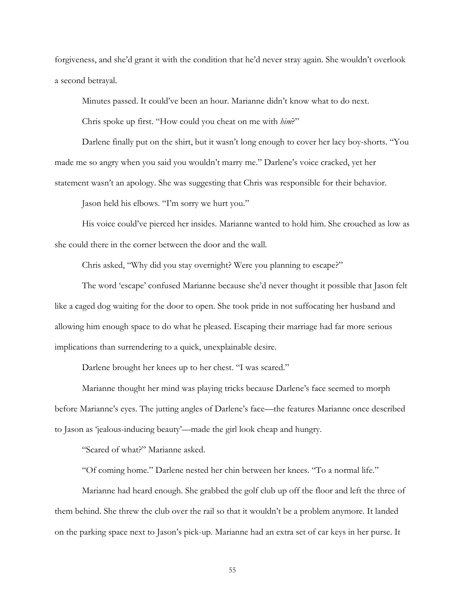forgiveness, and she'd grant it with the condition that he'd never stray again. She wouldn't overlook a second betrayal.

Minutes passed. It could've been an hour. Marianne didn't know what to do next.

Chris spoke up first. "How could you cheat on me with *him*?"

Darlene finally put on the shirt, but it wasn't long enough to cover her lacy boy-shorts. "You made me so angry when you said you wouldn't marry me." Darlene's voice cracked, yet her statement wasn't an apology. She was suggesting that Chris was responsible for their behavior.

Jason held his elbows. "I'm sorry we hurt you."

His voice could've pierced her insides. Marianne wanted to hold him. She crouched as low as she could there in the corner between the door and the wall.

Chris asked, "Why did you stay overnight? Were you planning to escape?"

The word 'escape' confused Marianne because she'd never thought it possible that Jason felt like a caged dog waiting for the door to open. She took pride in not suffocating her husband and allowing him enough space to do what he pleased. Escaping their marriage had far more serious implications than surrendering to a quick, unexplainable desire.

Darlene brought her knees up to her chest. "I was scared."

Marianne thought her mind was playing tricks because Darlene's face seemed to morph before Marianne's eyes. The jutting angles of Darlene's face—the features Marianne once described to Jason as 'jealous-inducing beauty'—made the girl look cheap and hungry.

"Scared of what?" Marianne asked.

"Of coming home." Darlene nested her chin between her knees. "To a normal life."

Marianne had heard enough. She grabbed the golf club up off the floor and left the three of them behind. She threw the club over the rail so that it wouldn't be a problem anymore. It landed on the parking space next to Jason's pick-up. Marianne had an extra set of car keys in her purse. It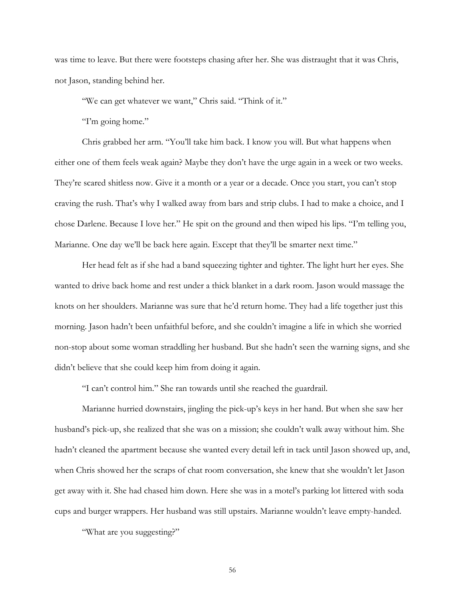was time to leave. But there were footsteps chasing after her. She was distraught that it was Chris, not Jason, standing behind her.

"We can get whatever we want," Chris said. "Think of it."

"I'm going home."

Chris grabbed her arm. "You'll take him back. I know you will. But what happens when either one of them feels weak again? Maybe they don't have the urge again in a week or two weeks. They're scared shitless now. Give it a month or a year or a decade. Once you start, you can't stop craving the rush. That's why I walked away from bars and strip clubs. I had to make a choice, and I chose Darlene. Because I love her." He spit on the ground and then wiped his lips. "I'm telling you, Marianne. One day we'll be back here again. Except that they'll be smarter next time."

Her head felt as if she had a band squeezing tighter and tighter. The light hurt her eyes. She wanted to drive back home and rest under a thick blanket in a dark room. Jason would massage the knots on her shoulders. Marianne was sure that he'd return home. They had a life together just this morning. Jason hadn't been unfaithful before, and she couldn't imagine a life in which she worried non-stop about some woman straddling her husband. But she hadn't seen the warning signs, and she didn't believe that she could keep him from doing it again.

"I can't control him." She ran towards until she reached the guardrail.

Marianne hurried downstairs, jingling the pick-up's keys in her hand. But when she saw her husband's pick-up, she realized that she was on a mission; she couldn't walk away without him. She hadn't cleaned the apartment because she wanted every detail left in tack until Jason showed up, and, when Chris showed her the scraps of chat room conversation, she knew that she wouldn't let Jason get away with it. She had chased him down. Here she was in a motel's parking lot littered with soda cups and burger wrappers. Her husband was still upstairs. Marianne wouldn't leave empty-handed.

"What are you suggesting?"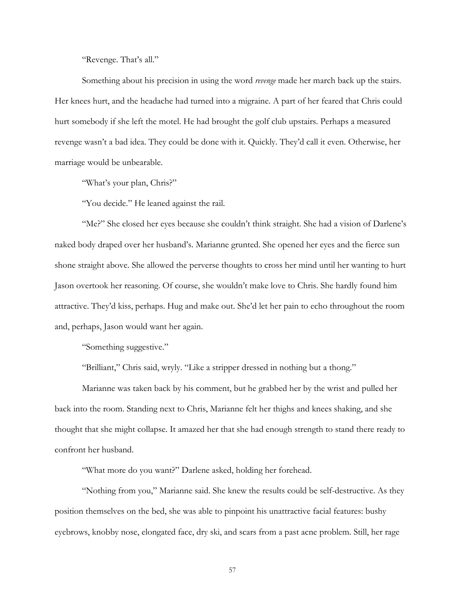"Revenge. That's all."

Something about his precision in using the word *revenge* made her march back up the stairs. Her knees hurt, and the headache had turned into a migraine. A part of her feared that Chris could hurt somebody if she left the motel. He had brought the golf club upstairs. Perhaps a measured revenge wasn't a bad idea. They could be done with it. Quickly. They'd call it even. Otherwise, her marriage would be unbearable.

"What's your plan, Chris?"

"You decide." He leaned against the rail.

"Me?" She closed her eyes because she couldn't think straight. She had a vision of Darlene's naked body draped over her husband's. Marianne grunted. She opened her eyes and the fierce sun shone straight above. She allowed the perverse thoughts to cross her mind until her wanting to hurt Jason overtook her reasoning. Of course, she wouldn't make love to Chris. She hardly found him attractive. They'd kiss, perhaps. Hug and make out. She'd let her pain to echo throughout the room and, perhaps, Jason would want her again.

"Something suggestive."

"Brilliant," Chris said, wryly. "Like a stripper dressed in nothing but a thong."

Marianne was taken back by his comment, but he grabbed her by the wrist and pulled her back into the room. Standing next to Chris, Marianne felt her thighs and knees shaking, and she thought that she might collapse. It amazed her that she had enough strength to stand there ready to confront her husband.

"What more do you want?" Darlene asked, holding her forehead.

"Nothing from you," Marianne said. She knew the results could be self-destructive. As they position themselves on the bed, she was able to pinpoint his unattractive facial features: bushy eyebrows, knobby nose, elongated face, dry ski, and scars from a past acne problem. Still, her rage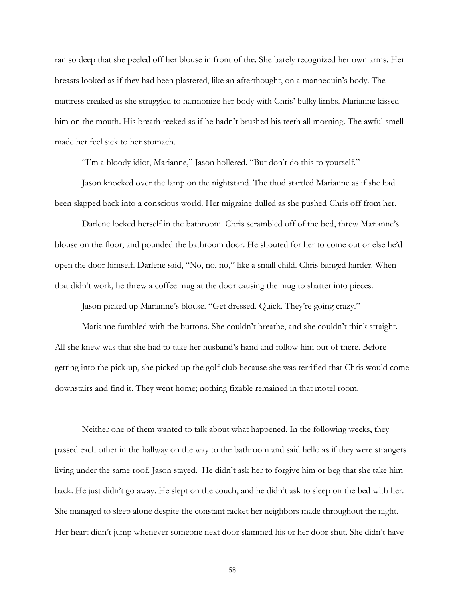ran so deep that she peeled off her blouse in front of the. She barely recognized her own arms. Her breasts looked as if they had been plastered, like an afterthought, on a mannequin's body. The mattress creaked as she struggled to harmonize her body with Chris' bulky limbs. Marianne kissed him on the mouth. His breath reeked as if he hadn't brushed his teeth all morning. The awful smell made her feel sick to her stomach.

"I'm a bloody idiot, Marianne," Jason hollered. "But don't do this to yourself."

Jason knocked over the lamp on the nightstand. The thud startled Marianne as if she had been slapped back into a conscious world. Her migraine dulled as she pushed Chris off from her.

Darlene locked herself in the bathroom. Chris scrambled off of the bed, threw Marianne's blouse on the floor, and pounded the bathroom door. He shouted for her to come out or else he'd open the door himself. Darlene said, "No, no, no," like a small child. Chris banged harder. When that didn't work, he threw a coffee mug at the door causing the mug to shatter into pieces.

Jason picked up Marianne's blouse. "Get dressed. Quick. They're going crazy."

Marianne fumbled with the buttons. She couldn't breathe, and she couldn't think straight. All she knew was that she had to take her husband's hand and follow him out of there. Before getting into the pick-up, she picked up the golf club because she was terrified that Chris would come downstairs and find it. They went home; nothing fixable remained in that motel room.

Neither one of them wanted to talk about what happened. In the following weeks, they passed each other in the hallway on the way to the bathroom and said hello as if they were strangers living under the same roof. Jason stayed. He didn't ask her to forgive him or beg that she take him back. He just didn't go away. He slept on the couch, and he didn't ask to sleep on the bed with her. She managed to sleep alone despite the constant racket her neighbors made throughout the night. Her heart didn't jump whenever someone next door slammed his or her door shut. She didn't have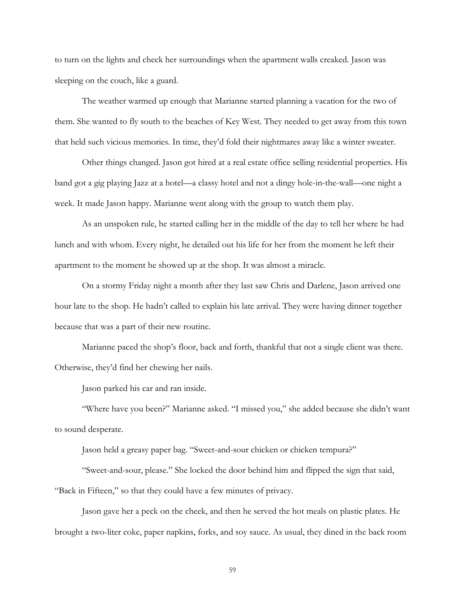to turn on the lights and check her surroundings when the apartment walls creaked. Jason was sleeping on the couch, like a guard.

The weather warmed up enough that Marianne started planning a vacation for the two of them. She wanted to fly south to the beaches of Key West. They needed to get away from this town that held such vicious memories. In time, they'd fold their nightmares away like a winter sweater.

Other things changed. Jason got hired at a real estate office selling residential properties. His band got a gig playing Jazz at a hotel—a classy hotel and not a dingy hole-in-the-wall—one night a week. It made Jason happy. Marianne went along with the group to watch them play.

As an unspoken rule, he started calling her in the middle of the day to tell her where he had lunch and with whom. Every night, he detailed out his life for her from the moment he left their apartment to the moment he showed up at the shop. It was almost a miracle.

On a stormy Friday night a month after they last saw Chris and Darlene, Jason arrived one hour late to the shop. He hadn't called to explain his late arrival. They were having dinner together because that was a part of their new routine.

Marianne paced the shop's floor, back and forth, thankful that not a single client was there. Otherwise, they'd find her chewing her nails.

Jason parked his car and ran inside.

"Where have you been?" Marianne asked. "I missed you," she added because she didn't want to sound desperate.

Jason held a greasy paper bag. "Sweet-and-sour chicken or chicken tempura?"

"Sweet-and-sour, please." She locked the door behind him and flipped the sign that said, "Back in Fifteen," so that they could have a few minutes of privacy.

Jason gave her a peck on the cheek, and then he served the hot meals on plastic plates. He brought a two-liter coke, paper napkins, forks, and soy sauce. As usual, they dined in the back room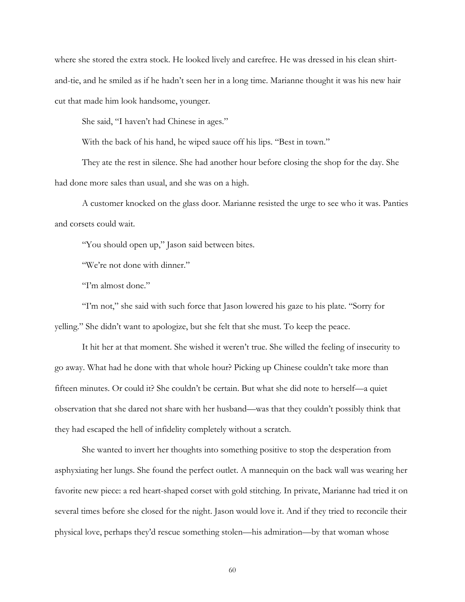where she stored the extra stock. He looked lively and carefree. He was dressed in his clean shirtand-tie, and he smiled as if he hadn't seen her in a long time. Marianne thought it was his new hair cut that made him look handsome, younger.

She said, "I haven't had Chinese in ages."

With the back of his hand, he wiped sauce off his lips. "Best in town."

They ate the rest in silence. She had another hour before closing the shop for the day. She had done more sales than usual, and she was on a high.

A customer knocked on the glass door. Marianne resisted the urge to see who it was. Panties and corsets could wait.

"You should open up," Jason said between bites.

"We're not done with dinner."

"I'm almost done."

"I'm not," she said with such force that Jason lowered his gaze to his plate. "Sorry for yelling." She didn't want to apologize, but she felt that she must. To keep the peace.

It hit her at that moment. She wished it weren't true. She willed the feeling of insecurity to go away. What had he done with that whole hour? Picking up Chinese couldn't take more than fifteen minutes. Or could it? She couldn't be certain. But what she did note to herself—a quiet observation that she dared not share with her husband—was that they couldn't possibly think that they had escaped the hell of infidelity completely without a scratch.

She wanted to invert her thoughts into something positive to stop the desperation from asphyxiating her lungs. She found the perfect outlet. A mannequin on the back wall was wearing her favorite new piece: a red heart-shaped corset with gold stitching. In private, Marianne had tried it on several times before she closed for the night. Jason would love it. And if they tried to reconcile their physical love, perhaps they'd rescue something stolen—his admiration—by that woman whose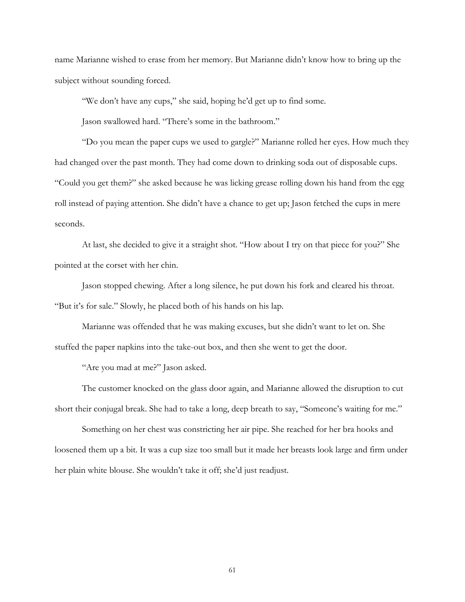name Marianne wished to erase from her memory. But Marianne didn't know how to bring up the subject without sounding forced.

"We don't have any cups," she said, hoping he'd get up to find some.

Jason swallowed hard. "There's some in the bathroom."

"Do you mean the paper cups we used to gargle?" Marianne rolled her eyes. How much they had changed over the past month. They had come down to drinking soda out of disposable cups. "Could you get them?" she asked because he was licking grease rolling down his hand from the egg roll instead of paying attention. She didn't have a chance to get up; Jason fetched the cups in mere seconds.

At last, she decided to give it a straight shot. "How about I try on that piece for you?" She pointed at the corset with her chin.

Jason stopped chewing. After a long silence, he put down his fork and cleared his throat. "But it's for sale." Slowly, he placed both of his hands on his lap.

Marianne was offended that he was making excuses, but she didn't want to let on. She stuffed the paper napkins into the take-out box, and then she went to get the door.

"Are you mad at me?" Jason asked.

The customer knocked on the glass door again, and Marianne allowed the disruption to cut short their conjugal break. She had to take a long, deep breath to say, "Someone's waiting for me."

Something on her chest was constricting her air pipe. She reached for her bra hooks and loosened them up a bit. It was a cup size too small but it made her breasts look large and firm under her plain white blouse. She wouldn't take it off; she'd just readjust.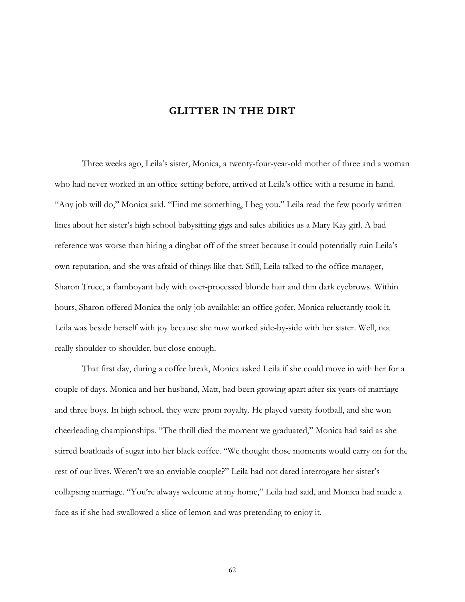## **GLITTER IN THE DIRT**

Three weeks ago, Leila's sister, Monica, a twenty-four-year-old mother of three and a woman who had never worked in an office setting before, arrived at Leila's office with a resume in hand. "Any job will do," Monica said. "Find me something, I beg you." Leila read the few poorly written lines about her sister's high school babysitting gigs and sales abilities as a Mary Kay girl. A bad reference was worse than hiring a dingbat off of the street because it could potentially ruin Leila's own reputation, and she was afraid of things like that. Still, Leila talked to the office manager, Sharon Truce, a flamboyant lady with over-processed blonde hair and thin dark eyebrows. Within hours, Sharon offered Monica the only job available: an office gofer. Monica reluctantly took it. Leila was beside herself with joy because she now worked side-by-side with her sister. Well, not really shoulder-to-shoulder, but close enough.

That first day, during a coffee break, Monica asked Leila if she could move in with her for a couple of days. Monica and her husband, Matt, had been growing apart after six years of marriage and three boys. In high school, they were prom royalty. He played varsity football, and she won cheerleading championships. "The thrill died the moment we graduated," Monica had said as she stirred boatloads of sugar into her black coffee. "We thought those moments would carry on for the rest of our lives. Weren't we an enviable couple?" Leila had not dared interrogate her sister's collapsing marriage. "You're always welcome at my home," Leila had said, and Monica had made a face as if she had swallowed a slice of lemon and was pretending to enjoy it.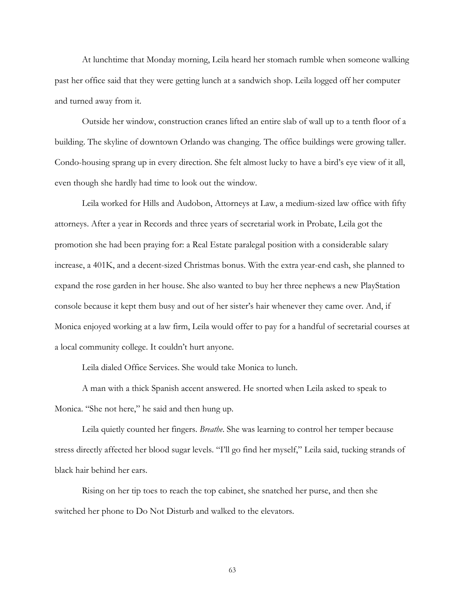At lunchtime that Monday morning, Leila heard her stomach rumble when someone walking past her office said that they were getting lunch at a sandwich shop. Leila logged off her computer and turned away from it.

Outside her window, construction cranes lifted an entire slab of wall up to a tenth floor of a building. The skyline of downtown Orlando was changing. The office buildings were growing taller. Condo-housing sprang up in every direction. She felt almost lucky to have a bird's eye view of it all, even though she hardly had time to look out the window.

Leila worked for Hills and Audobon, Attorneys at Law, a medium-sized law office with fifty attorneys. After a year in Records and three years of secretarial work in Probate, Leila got the promotion she had been praying for: a Real Estate paralegal position with a considerable salary increase, a 401K, and a decent-sized Christmas bonus. With the extra year-end cash, she planned to expand the rose garden in her house. She also wanted to buy her three nephews a new PlayStation console because it kept them busy and out of her sister's hair whenever they came over. And, if Monica enjoyed working at a law firm, Leila would offer to pay for a handful of secretarial courses at a local community college. It couldn't hurt anyone.

Leila dialed Office Services. She would take Monica to lunch.

A man with a thick Spanish accent answered. He snorted when Leila asked to speak to Monica. "She not here," he said and then hung up.

Leila quietly counted her fingers. *Breathe*. She was learning to control her temper because stress directly affected her blood sugar levels. "I'll go find her myself," Leila said, tucking strands of black hair behind her ears.

Rising on her tip toes to reach the top cabinet, she snatched her purse, and then she switched her phone to Do Not Disturb and walked to the elevators.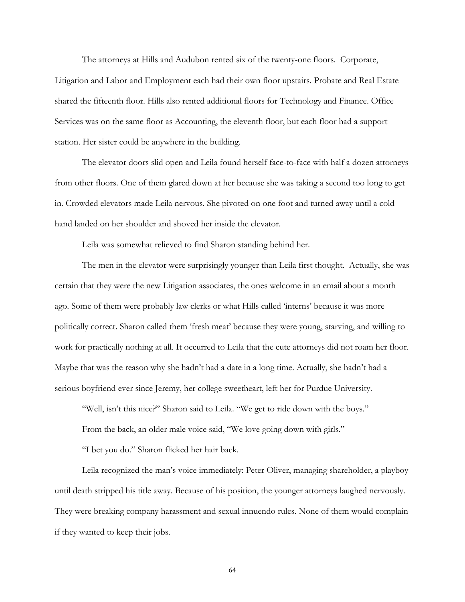The attorneys at Hills and Audubon rented six of the twenty-one floors. Corporate, Litigation and Labor and Employment each had their own floor upstairs. Probate and Real Estate shared the fifteenth floor. Hills also rented additional floors for Technology and Finance. Office Services was on the same floor as Accounting, the eleventh floor, but each floor had a support station. Her sister could be anywhere in the building.

The elevator doors slid open and Leila found herself face-to-face with half a dozen attorneys from other floors. One of them glared down at her because she was taking a second too long to get in. Crowded elevators made Leila nervous. She pivoted on one foot and turned away until a cold hand landed on her shoulder and shoved her inside the elevator.

Leila was somewhat relieved to find Sharon standing behind her.

The men in the elevator were surprisingly younger than Leila first thought. Actually, she was certain that they were the new Litigation associates, the ones welcome in an email about a month ago. Some of them were probably law clerks or what Hills called 'interns' because it was more politically correct. Sharon called them 'fresh meat' because they were young, starving, and willing to work for practically nothing at all. It occurred to Leila that the cute attorneys did not roam her floor. Maybe that was the reason why she hadn't had a date in a long time. Actually, she hadn't had a serious boyfriend ever since Jeremy, her college sweetheart, left her for Purdue University.

"Well, isn't this nice?" Sharon said to Leila. "We get to ride down with the boys."

From the back, an older male voice said, "We love going down with girls."

"I bet you do." Sharon flicked her hair back.

Leila recognized the man's voice immediately: Peter Oliver, managing shareholder, a playboy until death stripped his title away. Because of his position, the younger attorneys laughed nervously. They were breaking company harassment and sexual innuendo rules. None of them would complain if they wanted to keep their jobs.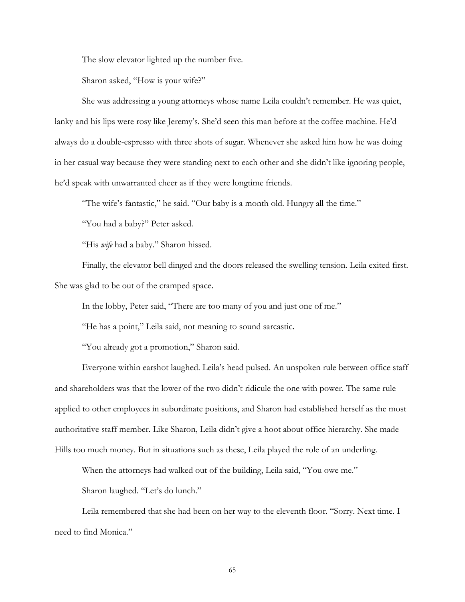The slow elevator lighted up the number five.

Sharon asked, "How is your wife?"

She was addressing a young attorneys whose name Leila couldn't remember. He was quiet, lanky and his lips were rosy like Jeremy's. She'd seen this man before at the coffee machine. He'd always do a double-espresso with three shots of sugar. Whenever she asked him how he was doing in her casual way because they were standing next to each other and she didn't like ignoring people, he'd speak with unwarranted cheer as if they were longtime friends.

"The wife's fantastic," he said. "Our baby is a month old. Hungry all the time."

"You had a baby?" Peter asked.

"His *wife* had a baby." Sharon hissed.

Finally, the elevator bell dinged and the doors released the swelling tension. Leila exited first. She was glad to be out of the cramped space.

In the lobby, Peter said, "There are too many of you and just one of me."

"He has a point," Leila said, not meaning to sound sarcastic.

"You already got a promotion," Sharon said.

Everyone within earshot laughed. Leila's head pulsed. An unspoken rule between office staff and shareholders was that the lower of the two didn't ridicule the one with power. The same rule applied to other employees in subordinate positions, and Sharon had established herself as the most authoritative staff member. Like Sharon, Leila didn't give a hoot about office hierarchy. She made Hills too much money. But in situations such as these, Leila played the role of an underling.

When the attorneys had walked out of the building, Leila said, "You owe me."

Sharon laughed. "Let's do lunch."

Leila remembered that she had been on her way to the eleventh floor. "Sorry. Next time. I need to find Monica."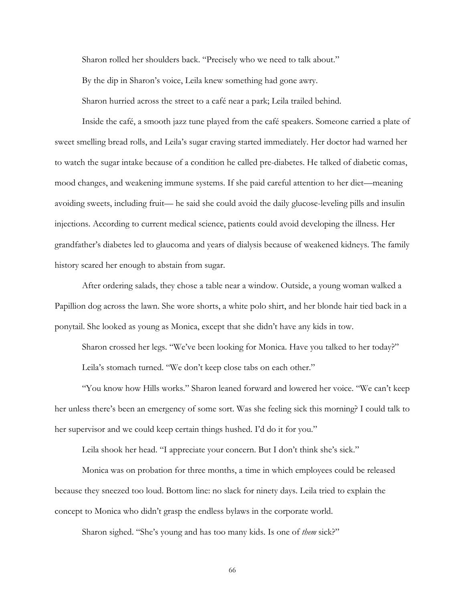Sharon rolled her shoulders back. "Precisely who we need to talk about."

By the dip in Sharon's voice, Leila knew something had gone awry.

Sharon hurried across the street to a café near a park; Leila trailed behind.

Inside the café, a smooth jazz tune played from the café speakers. Someone carried a plate of sweet smelling bread rolls, and Leila's sugar craving started immediately. Her doctor had warned her to watch the sugar intake because of a condition he called pre-diabetes. He talked of diabetic comas, mood changes, and weakening immune systems. If she paid careful attention to her diet—meaning avoiding sweets, including fruit— he said she could avoid the daily glucose-leveling pills and insulin injections. According to current medical science, patients could avoid developing the illness. Her grandfather's diabetes led to glaucoma and years of dialysis because of weakened kidneys. The family history scared her enough to abstain from sugar.

After ordering salads, they chose a table near a window. Outside, a young woman walked a Papillion dog across the lawn. She wore shorts, a white polo shirt, and her blonde hair tied back in a ponytail. She looked as young as Monica, except that she didn't have any kids in tow.

Sharon crossed her legs. "We've been looking for Monica. Have you talked to her today?" Leila's stomach turned. "We don't keep close tabs on each other."

"You know how Hills works." Sharon leaned forward and lowered her voice. "We can't keep her unless there's been an emergency of some sort. Was she feeling sick this morning? I could talk to her supervisor and we could keep certain things hushed. I'd do it for you."

Leila shook her head. "I appreciate your concern. But I don't think she's sick."

Monica was on probation for three months, a time in which employees could be released because they sneezed too loud. Bottom line: no slack for ninety days. Leila tried to explain the concept to Monica who didn't grasp the endless bylaws in the corporate world.

Sharon sighed. "She's young and has too many kids. Is one of *them* sick?"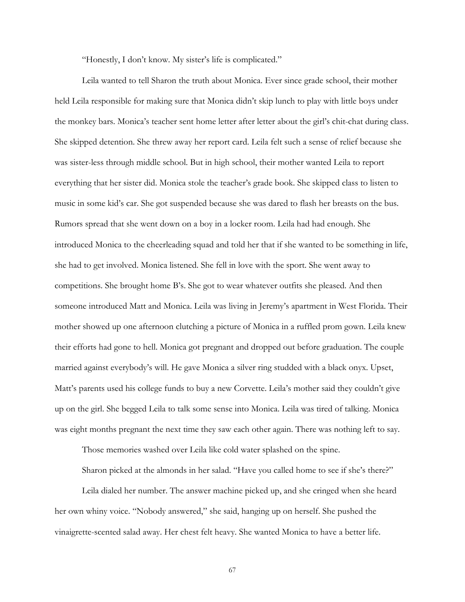"Honestly, I don't know. My sister's life is complicated."

Leila wanted to tell Sharon the truth about Monica. Ever since grade school, their mother held Leila responsible for making sure that Monica didn't skip lunch to play with little boys under the monkey bars. Monica's teacher sent home letter after letter about the girl's chit-chat during class. She skipped detention. She threw away her report card. Leila felt such a sense of relief because she was sister-less through middle school. But in high school, their mother wanted Leila to report everything that her sister did. Monica stole the teacher's grade book. She skipped class to listen to music in some kid's car. She got suspended because she was dared to flash her breasts on the bus. Rumors spread that she went down on a boy in a locker room. Leila had had enough. She introduced Monica to the cheerleading squad and told her that if she wanted to be something in life, she had to get involved. Monica listened. She fell in love with the sport. She went away to competitions. She brought home B's. She got to wear whatever outfits she pleased. And then someone introduced Matt and Monica. Leila was living in Jeremy's apartment in West Florida. Their mother showed up one afternoon clutching a picture of Monica in a ruffled prom gown. Leila knew their efforts had gone to hell. Monica got pregnant and dropped out before graduation. The couple married against everybody's will. He gave Monica a silver ring studded with a black onyx. Upset, Matt's parents used his college funds to buy a new Corvette. Leila's mother said they couldn't give up on the girl. She begged Leila to talk some sense into Monica. Leila was tired of talking. Monica was eight months pregnant the next time they saw each other again. There was nothing left to say.

Those memories washed over Leila like cold water splashed on the spine.

Sharon picked at the almonds in her salad. "Have you called home to see if she's there?"

Leila dialed her number. The answer machine picked up, and she cringed when she heard her own whiny voice. "Nobody answered," she said, hanging up on herself. She pushed the vinaigrette-scented salad away. Her chest felt heavy. She wanted Monica to have a better life.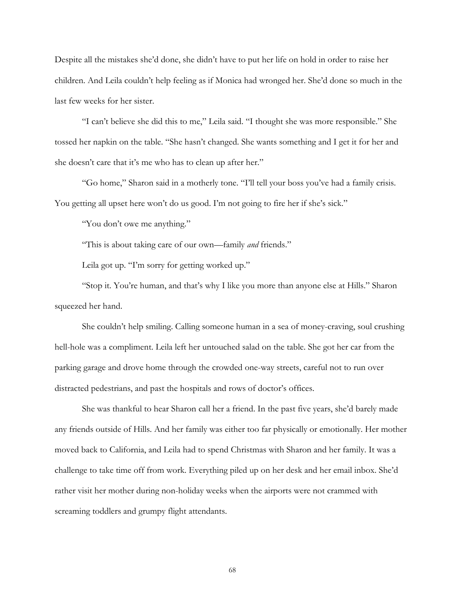Despite all the mistakes she'd done, she didn't have to put her life on hold in order to raise her children. And Leila couldn't help feeling as if Monica had wronged her. She'd done so much in the last few weeks for her sister.

"I can't believe she did this to me," Leila said. "I thought she was more responsible." She tossed her napkin on the table. "She hasn't changed. She wants something and I get it for her and she doesn't care that it's me who has to clean up after her."

"Go home," Sharon said in a motherly tone. "I'll tell your boss you've had a family crisis. You getting all upset here won't do us good. I'm not going to fire her if she's sick."

"You don't owe me anything."

"This is about taking care of our own—family *and* friends."

Leila got up. "I'm sorry for getting worked up."

 "Stop it. You're human, and that's why I like you more than anyone else at Hills." Sharon squeezed her hand.

She couldn't help smiling. Calling someone human in a sea of money-craving, soul crushing hell-hole was a compliment. Leila left her untouched salad on the table. She got her car from the parking garage and drove home through the crowded one-way streets, careful not to run over distracted pedestrians, and past the hospitals and rows of doctor's offices.

She was thankful to hear Sharon call her a friend. In the past five years, she'd barely made any friends outside of Hills. And her family was either too far physically or emotionally. Her mother moved back to California, and Leila had to spend Christmas with Sharon and her family. It was a challenge to take time off from work. Everything piled up on her desk and her email inbox. She'd rather visit her mother during non-holiday weeks when the airports were not crammed with screaming toddlers and grumpy flight attendants.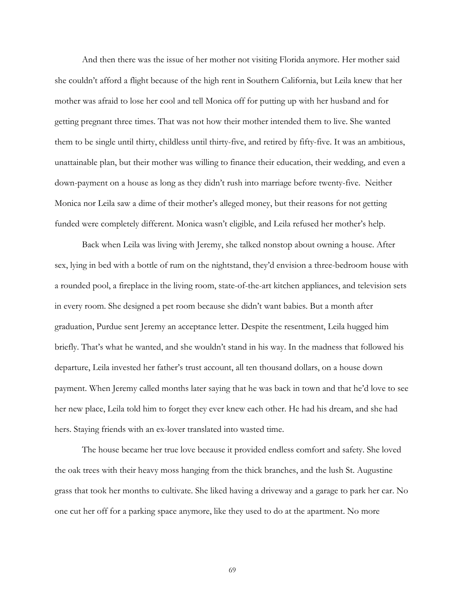And then there was the issue of her mother not visiting Florida anymore. Her mother said she couldn't afford a flight because of the high rent in Southern California, but Leila knew that her mother was afraid to lose her cool and tell Monica off for putting up with her husband and for getting pregnant three times. That was not how their mother intended them to live. She wanted them to be single until thirty, childless until thirty-five, and retired by fifty-five. It was an ambitious, unattainable plan, but their mother was willing to finance their education, their wedding, and even a down-payment on a house as long as they didn't rush into marriage before twenty-five. Neither Monica nor Leila saw a dime of their mother's alleged money, but their reasons for not getting funded were completely different. Monica wasn't eligible, and Leila refused her mother's help.

Back when Leila was living with Jeremy, she talked nonstop about owning a house. After sex, lying in bed with a bottle of rum on the nightstand, they'd envision a three-bedroom house with a rounded pool, a fireplace in the living room, state-of-the-art kitchen appliances, and television sets in every room. She designed a pet room because she didn't want babies. But a month after graduation, Purdue sent Jeremy an acceptance letter. Despite the resentment, Leila hugged him briefly. That's what he wanted, and she wouldn't stand in his way. In the madness that followed his departure, Leila invested her father's trust account, all ten thousand dollars, on a house down payment. When Jeremy called months later saying that he was back in town and that he'd love to see her new place, Leila told him to forget they ever knew each other. He had his dream, and she had hers. Staying friends with an ex-lover translated into wasted time.

The house became her true love because it provided endless comfort and safety. She loved the oak trees with their heavy moss hanging from the thick branches, and the lush St. Augustine grass that took her months to cultivate. She liked having a driveway and a garage to park her car. No one cut her off for a parking space anymore, like they used to do at the apartment. No more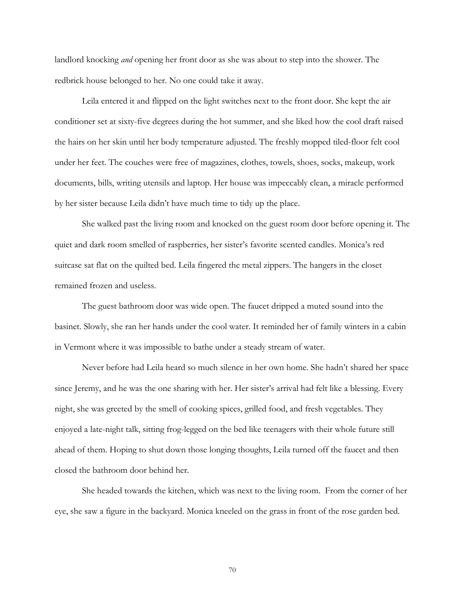landlord knocking *and* opening her front door as she was about to step into the shower. The redbrick house belonged to her. No one could take it away.

 Leila entered it and flipped on the light switches next to the front door. She kept the air conditioner set at sixty-five degrees during the hot summer, and she liked how the cool draft raised the hairs on her skin until her body temperature adjusted. The freshly mopped tiled-floor felt cool under her feet. The couches were free of magazines, clothes, towels, shoes, socks, makeup, work documents, bills, writing utensils and laptop. Her house was impeccably clean, a miracle performed by her sister because Leila didn't have much time to tidy up the place.

She walked past the living room and knocked on the guest room door before opening it. The quiet and dark room smelled of raspberries, her sister's favorite scented candles. Monica's red suitcase sat flat on the quilted bed. Leila fingered the metal zippers. The hangers in the closet remained frozen and useless.

The guest bathroom door was wide open. The faucet dripped a muted sound into the basinet. Slowly, she ran her hands under the cool water. It reminded her of family winters in a cabin in Vermont where it was impossible to bathe under a steady stream of water.

Never before had Leila heard so much silence in her own home. She hadn't shared her space since Jeremy, and he was the one sharing with her. Her sister's arrival had felt like a blessing. Every night, she was greeted by the smell of cooking spices, grilled food, and fresh vegetables. They enjoyed a late-night talk, sitting frog-legged on the bed like teenagers with their whole future still ahead of them. Hoping to shut down those longing thoughts, Leila turned off the faucet and then closed the bathroom door behind her.

She headed towards the kitchen, which was next to the living room. From the corner of her eye, she saw a figure in the backyard. Monica kneeled on the grass in front of the rose garden bed.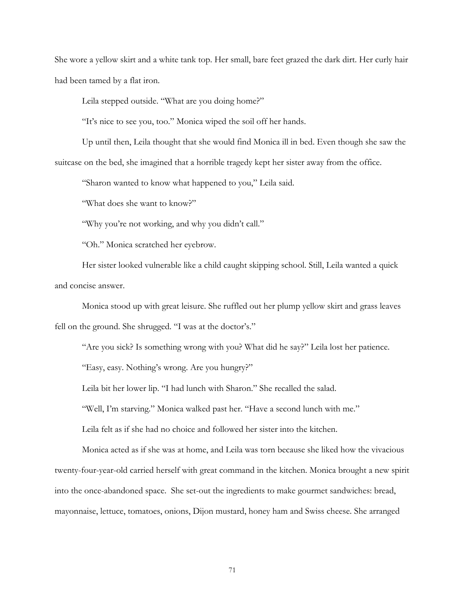She wore a yellow skirt and a white tank top. Her small, bare feet grazed the dark dirt. Her curly hair had been tamed by a flat iron.

Leila stepped outside. "What are you doing home?"

"It's nice to see you, too." Monica wiped the soil off her hands.

Up until then, Leila thought that she would find Monica ill in bed. Even though she saw the suitcase on the bed, she imagined that a horrible tragedy kept her sister away from the office.

"Sharon wanted to know what happened to you," Leila said.

"What does she want to know?"

"Why you're not working, and why you didn't call."

"Oh." Monica scratched her eyebrow.

Her sister looked vulnerable like a child caught skipping school. Still, Leila wanted a quick and concise answer.

Monica stood up with great leisure. She ruffled out her plump yellow skirt and grass leaves fell on the ground. She shrugged. "I was at the doctor's."

"Are you sick? Is something wrong with you? What did he say?" Leila lost her patience.

"Easy, easy. Nothing's wrong. Are you hungry?"

Leila bit her lower lip. "I had lunch with Sharon." She recalled the salad.

"Well, I'm starving." Monica walked past her. "Have a second lunch with me."

Leila felt as if she had no choice and followed her sister into the kitchen.

Monica acted as if she was at home, and Leila was torn because she liked how the vivacious twenty-four-year-old carried herself with great command in the kitchen. Monica brought a new spirit into the once-abandoned space. She set-out the ingredients to make gourmet sandwiches: bread, mayonnaise, lettuce, tomatoes, onions, Dijon mustard, honey ham and Swiss cheese. She arranged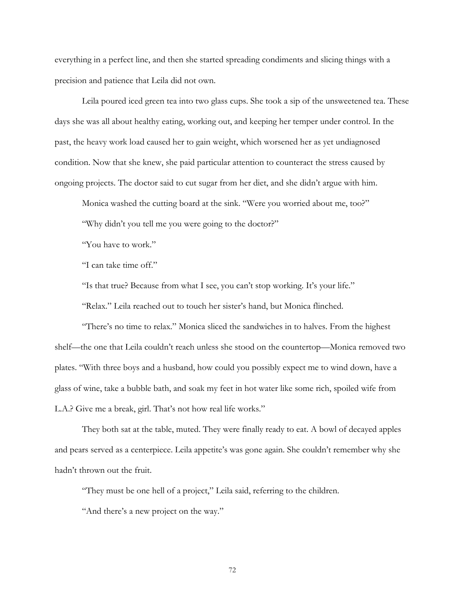everything in a perfect line, and then she started spreading condiments and slicing things with a precision and patience that Leila did not own.

Leila poured iced green tea into two glass cups. She took a sip of the unsweetened tea. These days she was all about healthy eating, working out, and keeping her temper under control. In the past, the heavy work load caused her to gain weight, which worsened her as yet undiagnosed condition. Now that she knew, she paid particular attention to counteract the stress caused by ongoing projects. The doctor said to cut sugar from her diet, and she didn't argue with him.

Monica washed the cutting board at the sink. "Were you worried about me, too?"

"Why didn't you tell me you were going to the doctor?"

"You have to work."

"I can take time off."

"Is that true? Because from what I see, you can't stop working. It's your life."

"Relax." Leila reached out to touch her sister's hand, but Monica flinched.

"There's no time to relax." Monica sliced the sandwiches in to halves. From the highest shelf—the one that Leila couldn't reach unless she stood on the countertop—Monica removed two plates. "With three boys and a husband, how could you possibly expect me to wind down, have a glass of wine, take a bubble bath, and soak my feet in hot water like some rich, spoiled wife from L.A.? Give me a break, girl. That's not how real life works."

They both sat at the table, muted. They were finally ready to eat. A bowl of decayed apples and pears served as a centerpiece. Leila appetite's was gone again. She couldn't remember why she hadn't thrown out the fruit.

"They must be one hell of a project," Leila said, referring to the children.

"And there's a new project on the way."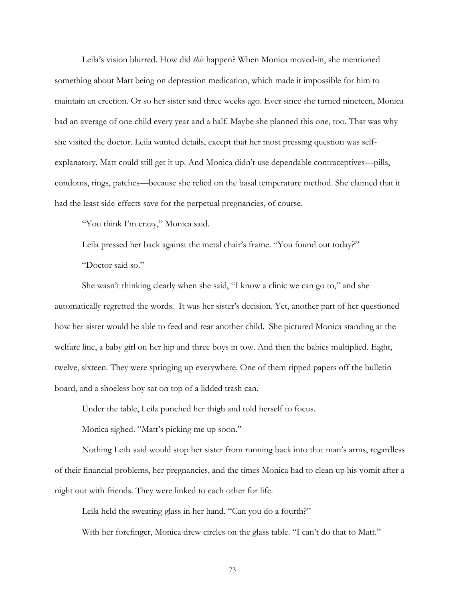Leila's vision blurred. How did *this* happen? When Monica moved-in, she mentioned something about Matt being on depression medication, which made it impossible for him to maintain an erection. Or so her sister said three weeks ago. Ever since she turned nineteen, Monica had an average of one child every year and a half. Maybe she planned this one, too. That was why she visited the doctor. Leila wanted details, except that her most pressing question was selfexplanatory. Matt could still get it up. And Monica didn't use dependable contraceptives—pills, condoms, rings, patches—because she relied on the basal temperature method. She claimed that it had the least side-effects save for the perpetual pregnancies, of course.

"You think I'm crazy," Monica said.

Leila pressed her back against the metal chair's frame. "You found out today?"

"Doctor said so."

She wasn't thinking clearly when she said, "I know a clinic we can go to," and she automatically regretted the words. It was her sister's decision. Yet, another part of her questioned how her sister would be able to feed and rear another child. She pictured Monica standing at the welfare line, a baby girl on her hip and three boys in tow. And then the babies multiplied. Eight, twelve, sixteen. They were springing up everywhere. One of them ripped papers off the bulletin board, and a shoeless boy sat on top of a lidded trash can.

Under the table, Leila punched her thigh and told herself to focus.

Monica sighed. "Matt's picking me up soon."

Nothing Leila said would stop her sister from running back into that man's arms, regardless of their financial problems, her pregnancies, and the times Monica had to clean up his vomit after a night out with friends. They were linked to each other for life.

Leila held the sweating glass in her hand. "Can you do a fourth?"

With her forefinger, Monica drew circles on the glass table. "I can't do that to Matt."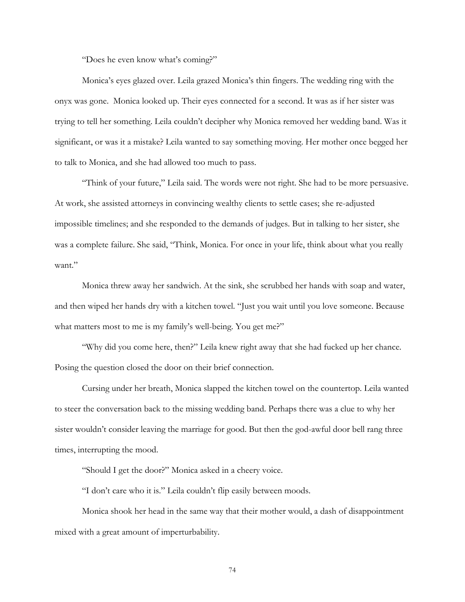"Does he even know what's coming?"

Monica's eyes glazed over. Leila grazed Monica's thin fingers. The wedding ring with the onyx was gone. Monica looked up. Their eyes connected for a second. It was as if her sister was trying to tell her something. Leila couldn't decipher why Monica removed her wedding band. Was it significant, or was it a mistake? Leila wanted to say something moving. Her mother once begged her to talk to Monica, and she had allowed too much to pass.

"Think of your future," Leila said. The words were not right. She had to be more persuasive. At work, she assisted attorneys in convincing wealthy clients to settle cases; she re-adjusted impossible timelines; and she responded to the demands of judges. But in talking to her sister, she was a complete failure. She said, "Think, Monica. For once in your life, think about what you really want."

Monica threw away her sandwich. At the sink, she scrubbed her hands with soap and water, and then wiped her hands dry with a kitchen towel. "Just you wait until you love someone. Because what matters most to me is my family's well-being. You get me?"

"Why did you come here, then?" Leila knew right away that she had fucked up her chance. Posing the question closed the door on their brief connection.

Cursing under her breath, Monica slapped the kitchen towel on the countertop. Leila wanted to steer the conversation back to the missing wedding band. Perhaps there was a clue to why her sister wouldn't consider leaving the marriage for good. But then the god-awful door bell rang three times, interrupting the mood.

"Should I get the door?" Monica asked in a cheery voice.

"I don't care who it is." Leila couldn't flip easily between moods.

Monica shook her head in the same way that their mother would, a dash of disappointment mixed with a great amount of imperturbability.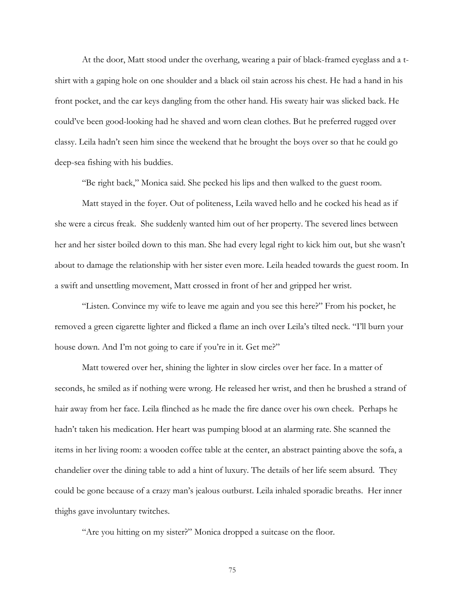At the door, Matt stood under the overhang, wearing a pair of black-framed eyeglass and a tshirt with a gaping hole on one shoulder and a black oil stain across his chest. He had a hand in his front pocket, and the car keys dangling from the other hand. His sweaty hair was slicked back. He could've been good-looking had he shaved and worn clean clothes. But he preferred rugged over classy. Leila hadn't seen him since the weekend that he brought the boys over so that he could go deep-sea fishing with his buddies.

"Be right back," Monica said. She pecked his lips and then walked to the guest room.

Matt stayed in the foyer. Out of politeness, Leila waved hello and he cocked his head as if she were a circus freak. She suddenly wanted him out of her property. The severed lines between her and her sister boiled down to this man. She had every legal right to kick him out, but she wasn't about to damage the relationship with her sister even more. Leila headed towards the guest room. In a swift and unsettling movement, Matt crossed in front of her and gripped her wrist.

"Listen. Convince my wife to leave me again and you see this here?" From his pocket, he removed a green cigarette lighter and flicked a flame an inch over Leila's tilted neck. "I'll burn your house down. And I'm not going to care if you're in it. Get me?"

Matt towered over her, shining the lighter in slow circles over her face. In a matter of seconds, he smiled as if nothing were wrong. He released her wrist, and then he brushed a strand of hair away from her face. Leila flinched as he made the fire dance over his own cheek. Perhaps he hadn't taken his medication. Her heart was pumping blood at an alarming rate. She scanned the items in her living room: a wooden coffee table at the center, an abstract painting above the sofa, a chandelier over the dining table to add a hint of luxury. The details of her life seem absurd. They could be gone because of a crazy man's jealous outburst. Leila inhaled sporadic breaths. Her inner thighs gave involuntary twitches.

"Are you hitting on my sister?" Monica dropped a suitcase on the floor.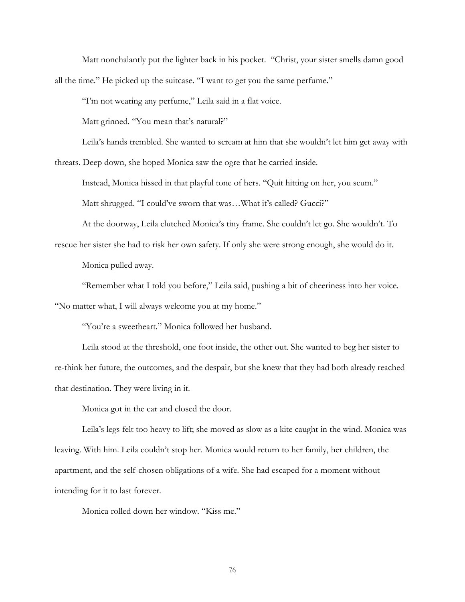Matt nonchalantly put the lighter back in his pocket. "Christ, your sister smells damn good all the time." He picked up the suitcase. "I want to get you the same perfume."

"I'm not wearing any perfume," Leila said in a flat voice.

Matt grinned. "You mean that's natural?"

Leila's hands trembled. She wanted to scream at him that she wouldn't let him get away with threats. Deep down, she hoped Monica saw the ogre that he carried inside.

Instead, Monica hissed in that playful tone of hers. "Quit hitting on her, you scum." Matt shrugged. "I could've sworn that was...What it's called? Gucci?"

At the doorway, Leila clutched Monica's tiny frame. She couldn't let go. She wouldn't. To rescue her sister she had to risk her own safety. If only she were strong enough, she would do it.

Monica pulled away.

"Remember what I told you before," Leila said, pushing a bit of cheeriness into her voice. "No matter what, I will always welcome you at my home."

"You're a sweetheart." Monica followed her husband.

Leila stood at the threshold, one foot inside, the other out. She wanted to beg her sister to re-think her future, the outcomes, and the despair, but she knew that they had both already reached that destination. They were living in it.

Monica got in the car and closed the door.

Leila's legs felt too heavy to lift; she moved as slow as a kite caught in the wind. Monica was leaving. With him. Leila couldn't stop her. Monica would return to her family, her children, the apartment, and the self-chosen obligations of a wife. She had escaped for a moment without intending for it to last forever.

Monica rolled down her window. "Kiss me."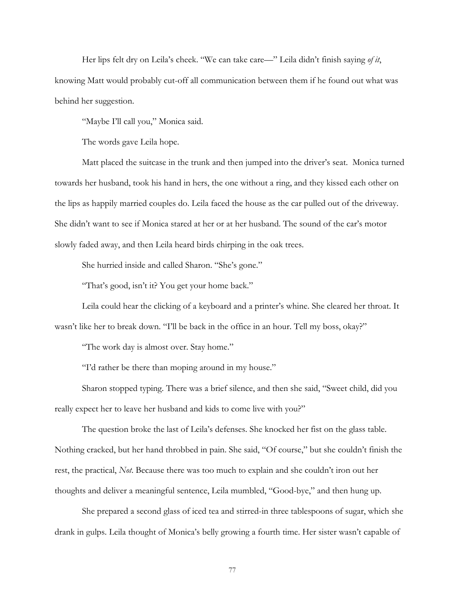Her lips felt dry on Leila's cheek. "We can take care—" Leila didn't finish saying *of it*, knowing Matt would probably cut-off all communication between them if he found out what was behind her suggestion.

"Maybe I'll call you," Monica said.

The words gave Leila hope.

Matt placed the suitcase in the trunk and then jumped into the driver's seat. Monica turned towards her husband, took his hand in hers, the one without a ring, and they kissed each other on the lips as happily married couples do. Leila faced the house as the car pulled out of the driveway. She didn't want to see if Monica stared at her or at her husband. The sound of the car's motor slowly faded away, and then Leila heard birds chirping in the oak trees.

She hurried inside and called Sharon. "She's gone."

"That's good, isn't it? You get your home back."

Leila could hear the clicking of a keyboard and a printer's whine. She cleared her throat. It wasn't like her to break down. "I'll be back in the office in an hour. Tell my boss, okay?"

"The work day is almost over. Stay home."

"I'd rather be there than moping around in my house."

Sharon stopped typing. There was a brief silence, and then she said, "Sweet child, did you really expect her to leave her husband and kids to come live with you?"

The question broke the last of Leila's defenses. She knocked her fist on the glass table. Nothing cracked, but her hand throbbed in pain. She said, "Of course," but she couldn't finish the rest, the practical, *Not*. Because there was too much to explain and she couldn't iron out her thoughts and deliver a meaningful sentence, Leila mumbled, "Good-bye," and then hung up.

She prepared a second glass of iced tea and stirred-in three tablespoons of sugar, which she drank in gulps. Leila thought of Monica's belly growing a fourth time. Her sister wasn't capable of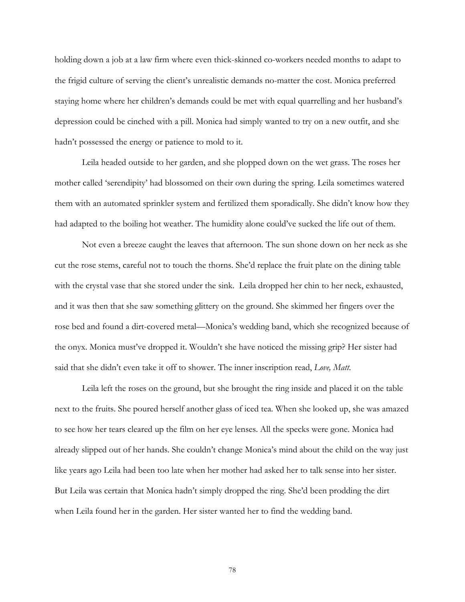holding down a job at a law firm where even thick-skinned co-workers needed months to adapt to the frigid culture of serving the client's unrealistic demands no-matter the cost. Monica preferred staying home where her children's demands could be met with equal quarrelling and her husband's depression could be cinched with a pill. Monica had simply wanted to try on a new outfit, and she hadn't possessed the energy or patience to mold to it.

Leila headed outside to her garden, and she plopped down on the wet grass. The roses her mother called 'serendipity' had blossomed on their own during the spring. Leila sometimes watered them with an automated sprinkler system and fertilized them sporadically. She didn't know how they had adapted to the boiling hot weather. The humidity alone could've sucked the life out of them.

Not even a breeze caught the leaves that afternoon. The sun shone down on her neck as she cut the rose stems, careful not to touch the thorns. She'd replace the fruit plate on the dining table with the crystal vase that she stored under the sink. Leila dropped her chin to her neck, exhausted, and it was then that she saw something glittery on the ground. She skimmed her fingers over the rose bed and found a dirt-covered metal—Monica's wedding band, which she recognized because of the onyx. Monica must've dropped it. Wouldn't she have noticed the missing grip? Her sister had said that she didn't even take it off to shower. The inner inscription read, *Love, Matt*.

Leila left the roses on the ground, but she brought the ring inside and placed it on the table next to the fruits. She poured herself another glass of iced tea. When she looked up, she was amazed to see how her tears cleared up the film on her eye lenses. All the specks were gone. Monica had already slipped out of her hands. She couldn't change Monica's mind about the child on the way just like years ago Leila had been too late when her mother had asked her to talk sense into her sister. But Leila was certain that Monica hadn't simply dropped the ring. She'd been prodding the dirt when Leila found her in the garden. Her sister wanted her to find the wedding band.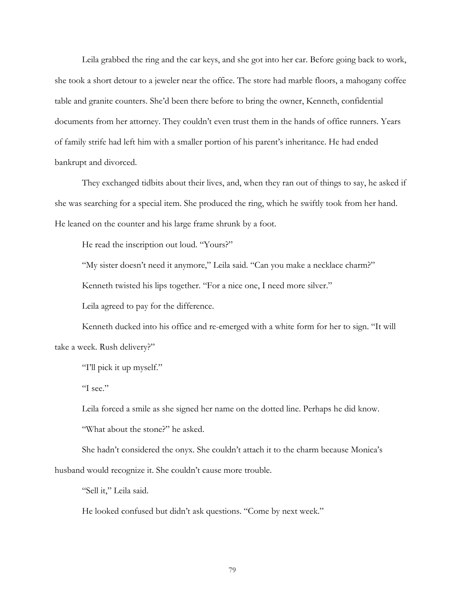Leila grabbed the ring and the car keys, and she got into her car. Before going back to work, she took a short detour to a jeweler near the office. The store had marble floors, a mahogany coffee table and granite counters. She'd been there before to bring the owner, Kenneth, confidential documents from her attorney. They couldn't even trust them in the hands of office runners. Years of family strife had left him with a smaller portion of his parent's inheritance. He had ended bankrupt and divorced.

They exchanged tidbits about their lives, and, when they ran out of things to say, he asked if she was searching for a special item. She produced the ring, which he swiftly took from her hand. He leaned on the counter and his large frame shrunk by a foot.

He read the inscription out loud. "Yours?"

"My sister doesn't need it anymore," Leila said. "Can you make a necklace charm?"

Kenneth twisted his lips together. "For a nice one, I need more silver."

Leila agreed to pay for the difference.

Kenneth ducked into his office and re-emerged with a white form for her to sign. "It will take a week. Rush delivery?"

"I'll pick it up myself."

"I see."

Leila forced a smile as she signed her name on the dotted line. Perhaps he did know. "What about the stone?" he asked.

She hadn't considered the onyx. She couldn't attach it to the charm because Monica's husband would recognize it. She couldn't cause more trouble.

"Sell it," Leila said.

He looked confused but didn't ask questions. "Come by next week."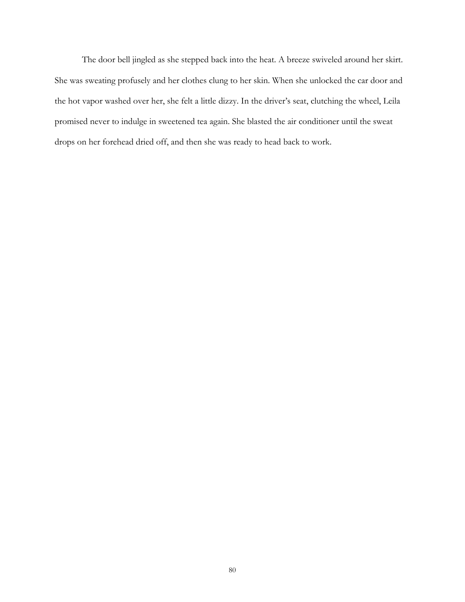The door bell jingled as she stepped back into the heat. A breeze swiveled around her skirt. She was sweating profusely and her clothes clung to her skin. When she unlocked the car door and the hot vapor washed over her, she felt a little dizzy. In the driver's seat, clutching the wheel, Leila promised never to indulge in sweetened tea again. She blasted the air conditioner until the sweat drops on her forehead dried off, and then she was ready to head back to work.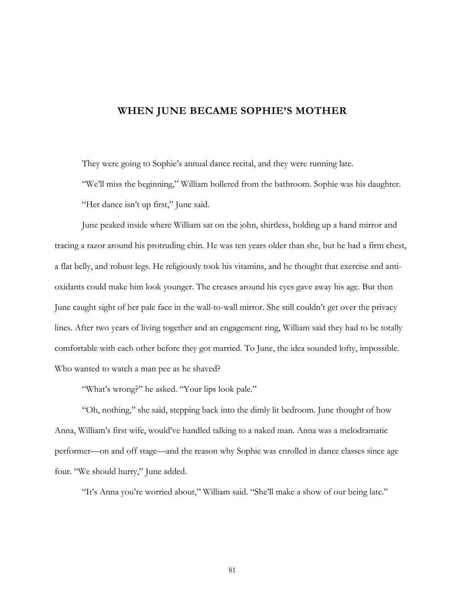## **WHEN JUNE BECAME SOPHIE'S MOTHER**

They were going to Sophie's annual dance recital, and they were running late.

"We'll miss the beginning," William hollered from the bathroom. Sophie was his daughter. "Her dance isn't up first," June said.

June peaked inside where William sat on the john, shirtless, holding up a hand mirror and tracing a razor around his protruding chin. He was ten years older than she, but he had a firm chest, a flat belly, and robust legs. He religiously took his vitamins, and he thought that exercise and antioxidants could make him look younger. The creases around his eyes gave away his age. But then June caught sight of her pale face in the wall-to-wall mirror. She still couldn't get over the privacy lines. After two years of living together and an engagement ring, William said they had to be totally comfortable with each other before they got married. To June, the idea sounded lofty, impossible. Who wanted to watch a man pee as he shaved?

"What's wrong?" he asked. "Your lips look pale."

"Oh, nothing," she said, stepping back into the dimly lit bedroom. June thought of how Anna, William's first wife, would've handled talking to a naked man. Anna was a melodramatic performer—on and off stage—and the reason why Sophie was enrolled in dance classes since age four. "We should hurry," June added.

"It's Anna you're worried about," William said. "She'll make a show of our being late."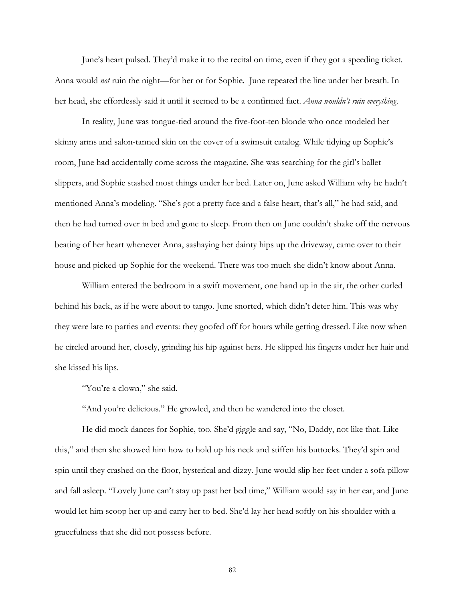June's heart pulsed. They'd make it to the recital on time, even if they got a speeding ticket. Anna would *not* ruin the night—for her or for Sophie. June repeated the line under her breath. In her head, she effortlessly said it until it seemed to be a confirmed fact. *Anna wouldn't ruin everything*.

In reality, June was tongue-tied around the five-foot-ten blonde who once modeled her skinny arms and salon-tanned skin on the cover of a swimsuit catalog. While tidying up Sophie's room, June had accidentally come across the magazine. She was searching for the girl's ballet slippers, and Sophie stashed most things under her bed. Later on, June asked William why he hadn't mentioned Anna's modeling. "She's got a pretty face and a false heart, that's all," he had said, and then he had turned over in bed and gone to sleep. From then on June couldn't shake off the nervous beating of her heart whenever Anna, sashaying her dainty hips up the driveway, came over to their house and picked-up Sophie for the weekend. There was too much she didn't know about Anna.

William entered the bedroom in a swift movement, one hand up in the air, the other curled behind his back, as if he were about to tango. June snorted, which didn't deter him. This was why they were late to parties and events: they goofed off for hours while getting dressed. Like now when he circled around her, closely, grinding his hip against hers. He slipped his fingers under her hair and she kissed his lips.

"You're a clown," she said.

"And you're delicious." He growled, and then he wandered into the closet.

He did mock dances for Sophie, too. She'd giggle and say, "No, Daddy, not like that. Like this," and then she showed him how to hold up his neck and stiffen his buttocks. They'd spin and spin until they crashed on the floor, hysterical and dizzy. June would slip her feet under a sofa pillow and fall asleep. "Lovely June can't stay up past her bed time," William would say in her ear, and June would let him scoop her up and carry her to bed. She'd lay her head softly on his shoulder with a gracefulness that she did not possess before.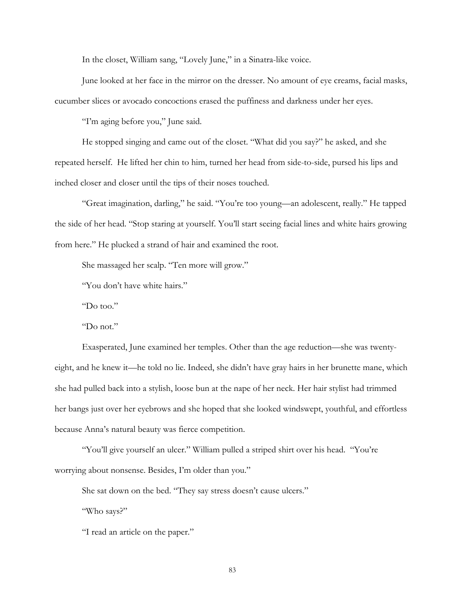In the closet, William sang, "Lovely June," in a Sinatra-like voice.

June looked at her face in the mirror on the dresser. No amount of eye creams, facial masks, cucumber slices or avocado concoctions erased the puffiness and darkness under her eyes.

"I'm aging before you," June said.

He stopped singing and came out of the closet. "What did you say?" he asked, and she repeated herself. He lifted her chin to him, turned her head from side-to-side, pursed his lips and inched closer and closer until the tips of their noses touched.

"Great imagination, darling," he said. "You're too young—an adolescent, really." He tapped the side of her head. "Stop staring at yourself. You'll start seeing facial lines and white hairs growing from here." He plucked a strand of hair and examined the root.

She massaged her scalp. "Ten more will grow."

"You don't have white hairs."

"Do too."

"Do not."

Exasperated, June examined her temples. Other than the age reduction—she was twentyeight, and he knew it—he told no lie. Indeed, she didn't have gray hairs in her brunette mane, which she had pulled back into a stylish, loose bun at the nape of her neck. Her hair stylist had trimmed her bangs just over her eyebrows and she hoped that she looked windswept, youthful, and effortless because Anna's natural beauty was fierce competition.

"You'll give yourself an ulcer." William pulled a striped shirt over his head. "You're worrying about nonsense. Besides, I'm older than you."

She sat down on the bed. "They say stress doesn't cause ulcers."

"Who says?"

"I read an article on the paper."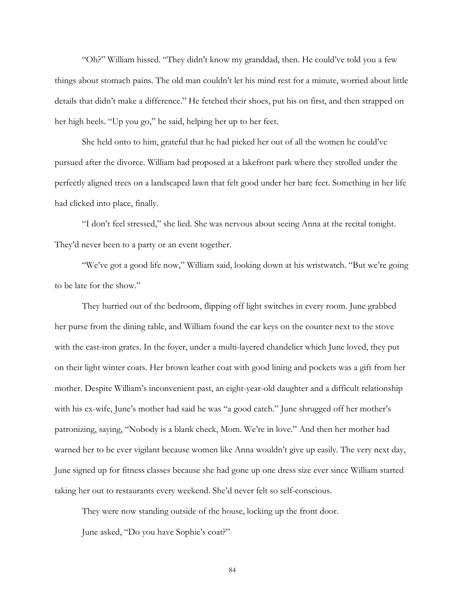"Oh?" William hissed. "They didn't know my granddad, then. He could've told you a few things about stomach pains. The old man couldn't let his mind rest for a minute, worried about little details that didn't make a difference." He fetched their shoes, put his on first, and then strapped on her high heels. "Up you go," he said, helping her up to her feet.

She held onto to him, grateful that he had picked her out of all the women he could've pursued after the divorce. William had proposed at a lakefront park where they strolled under the perfectly aligned trees on a landscaped lawn that felt good under her bare feet. Something in her life had clicked into place, finally.

"I don't feel stressed," she lied. She was nervous about seeing Anna at the recital tonight. They'd never been to a party or an event together.

"We've got a good life now," William said, looking down at his wristwatch. "But we're going to be late for the show."

They hurried out of the bedroom, flipping off light switches in every room. June grabbed her purse from the dining table, and William found the car keys on the counter next to the stove with the cast-iron grates. In the foyer, under a multi-layered chandelier which June loved, they put on their light winter coats. Her brown leather coat with good lining and pockets was a gift from her mother. Despite William's inconvenient past, an eight-year-old daughter and a difficult relationship with his ex-wife, June's mother had said he was "a good catch." June shrugged off her mother's patronizing, saying, "Nobody is a blank check, Mom. We're in love." And then her mother had warned her to be ever vigilant because women like Anna wouldn't give up easily. The very next day, June signed up for fitness classes because she had gone up one dress size ever since William started taking her out to restaurants every weekend. She'd never felt so self-conscious.

They were now standing outside of the house, locking up the front door. June asked, "Do you have Sophie's coat?"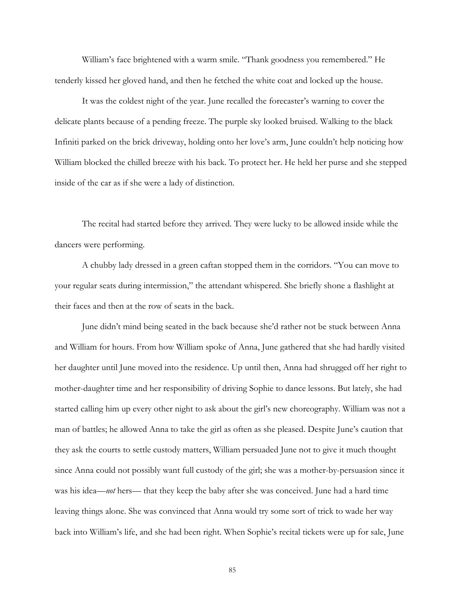William's face brightened with a warm smile. "Thank goodness you remembered." He tenderly kissed her gloved hand, and then he fetched the white coat and locked up the house.

It was the coldest night of the year. June recalled the forecaster's warning to cover the delicate plants because of a pending freeze. The purple sky looked bruised. Walking to the black Infiniti parked on the brick driveway, holding onto her love's arm, June couldn't help noticing how William blocked the chilled breeze with his back. To protect her. He held her purse and she stepped inside of the car as if she were a lady of distinction.

The recital had started before they arrived. They were lucky to be allowed inside while the dancers were performing.

A chubby lady dressed in a green caftan stopped them in the corridors. "You can move to your regular seats during intermission," the attendant whispered. She briefly shone a flashlight at their faces and then at the row of seats in the back.

June didn't mind being seated in the back because she'd rather not be stuck between Anna and William for hours. From how William spoke of Anna, June gathered that she had hardly visited her daughter until June moved into the residence. Up until then, Anna had shrugged off her right to mother-daughter time and her responsibility of driving Sophie to dance lessons. But lately, she had started calling him up every other night to ask about the girl's new choreography. William was not a man of battles; he allowed Anna to take the girl as often as she pleased. Despite June's caution that they ask the courts to settle custody matters, William persuaded June not to give it much thought since Anna could not possibly want full custody of the girl; she was a mother-by-persuasion since it was his idea—*not* hers— that they keep the baby after she was conceived. June had a hard time leaving things alone. She was convinced that Anna would try some sort of trick to wade her way back into William's life, and she had been right. When Sophie's recital tickets were up for sale, June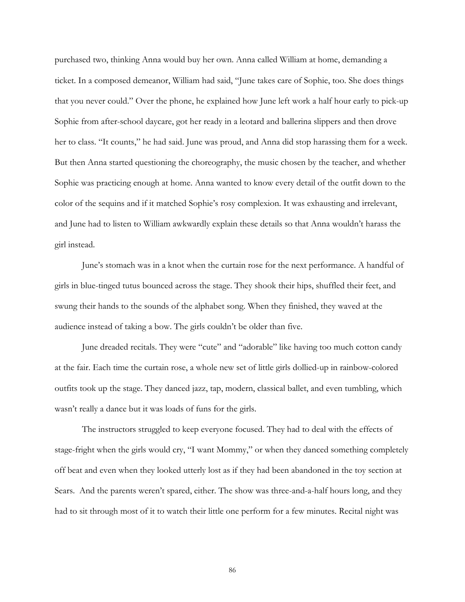purchased two, thinking Anna would buy her own. Anna called William at home, demanding a ticket. In a composed demeanor, William had said, "June takes care of Sophie, too. She does things that you never could." Over the phone, he explained how June left work a half hour early to pick-up Sophie from after-school daycare, got her ready in a leotard and ballerina slippers and then drove her to class. "It counts," he had said. June was proud, and Anna did stop harassing them for a week. But then Anna started questioning the choreography, the music chosen by the teacher, and whether Sophie was practicing enough at home. Anna wanted to know every detail of the outfit down to the color of the sequins and if it matched Sophie's rosy complexion. It was exhausting and irrelevant, and June had to listen to William awkwardly explain these details so that Anna wouldn't harass the girl instead.

June's stomach was in a knot when the curtain rose for the next performance. A handful of girls in blue-tinged tutus bounced across the stage. They shook their hips, shuffled their feet, and swung their hands to the sounds of the alphabet song. When they finished, they waved at the audience instead of taking a bow. The girls couldn't be older than five.

June dreaded recitals. They were "cute" and "adorable" like having too much cotton candy at the fair. Each time the curtain rose, a whole new set of little girls dollied-up in rainbow-colored outfits took up the stage. They danced jazz, tap, modern, classical ballet, and even tumbling, which wasn't really a dance but it was loads of funs for the girls.

The instructors struggled to keep everyone focused. They had to deal with the effects of stage-fright when the girls would cry, "I want Mommy," or when they danced something completely off beat and even when they looked utterly lost as if they had been abandoned in the toy section at Sears. And the parents weren't spared, either. The show was three-and-a-half hours long, and they had to sit through most of it to watch their little one perform for a few minutes. Recital night was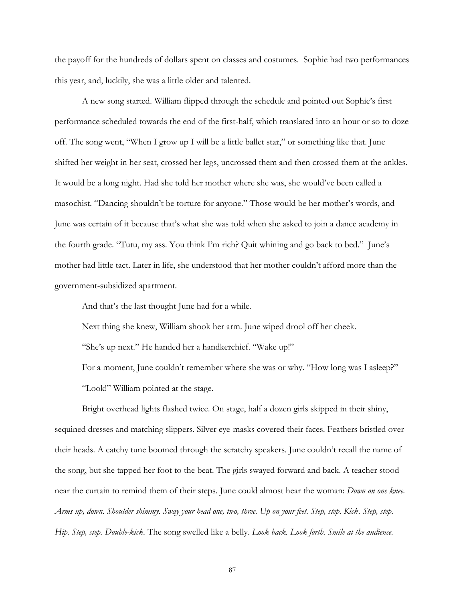the payoff for the hundreds of dollars spent on classes and costumes. Sophie had two performances this year, and, luckily, she was a little older and talented.

A new song started. William flipped through the schedule and pointed out Sophie's first performance scheduled towards the end of the first-half, which translated into an hour or so to doze off. The song went, "When I grow up I will be a little ballet star," or something like that. June shifted her weight in her seat, crossed her legs, uncrossed them and then crossed them at the ankles. It would be a long night. Had she told her mother where she was, she would've been called a masochist. "Dancing shouldn't be torture for anyone." Those would be her mother's words, and June was certain of it because that's what she was told when she asked to join a dance academy in the fourth grade. "Tutu, my ass. You think I'm rich? Quit whining and go back to bed." June's mother had little tact. Later in life, she understood that her mother couldn't afford more than the government-subsidized apartment.

And that's the last thought June had for a while.

Next thing she knew, William shook her arm. June wiped drool off her cheek.

"She's up next." He handed her a handkerchief. "Wake up!"

For a moment, June couldn't remember where she was or why. "How long was I asleep?" "Look!" William pointed at the stage.

Bright overhead lights flashed twice. On stage, half a dozen girls skipped in their shiny, sequined dresses and matching slippers. Silver eye-masks covered their faces. Feathers bristled over their heads. A catchy tune boomed through the scratchy speakers. June couldn't recall the name of the song, but she tapped her foot to the beat. The girls swayed forward and back. A teacher stood near the curtain to remind them of their steps. June could almost hear the woman: *Down on one knee. Arms up, down. Shoulder shimmy. Sway your head one, two, three. Up on your feet. Step, step. Kick. Step, step. Hip. Step, step. Double-kick.* The song swelled like a belly. *Look back. Look forth. Smile at the audience.*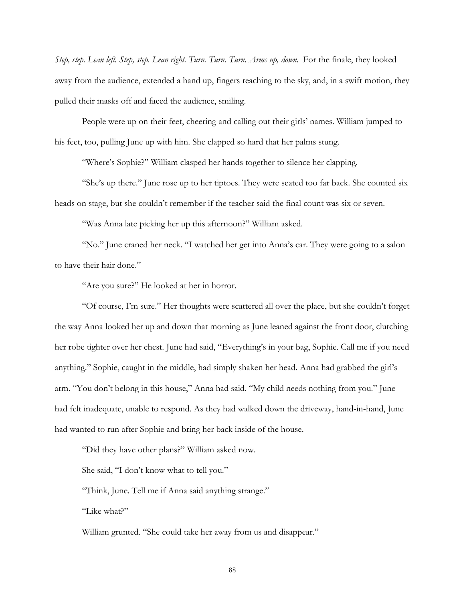*Step, step. Lean left. Step, step. Lean right. Turn. Turn. Turn. Arms up, down.* For the finale, they looked away from the audience, extended a hand up, fingers reaching to the sky, and, in a swift motion, they pulled their masks off and faced the audience, smiling.

People were up on their feet, cheering and calling out their girls' names. William jumped to his feet, too, pulling June up with him. She clapped so hard that her palms stung.

"Where's Sophie?" William clasped her hands together to silence her clapping.

"She's up there." June rose up to her tiptoes. They were seated too far back. She counted six heads on stage, but she couldn't remember if the teacher said the final count was six or seven.

"Was Anna late picking her up this afternoon?" William asked.

"No." June craned her neck. "I watched her get into Anna's car. They were going to a salon to have their hair done."

"Are you sure?" He looked at her in horror.

"Of course, I'm sure." Her thoughts were scattered all over the place, but she couldn't forget the way Anna looked her up and down that morning as June leaned against the front door, clutching her robe tighter over her chest. June had said, "Everything's in your bag, Sophie. Call me if you need anything." Sophie, caught in the middle, had simply shaken her head. Anna had grabbed the girl's arm. "You don't belong in this house," Anna had said. "My child needs nothing from you." June had felt inadequate, unable to respond. As they had walked down the driveway, hand-in-hand, June had wanted to run after Sophie and bring her back inside of the house.

"Did they have other plans?" William asked now.

She said, "I don't know what to tell you."

"Think, June. Tell me if Anna said anything strange."

"Like what?"

William grunted. "She could take her away from us and disappear."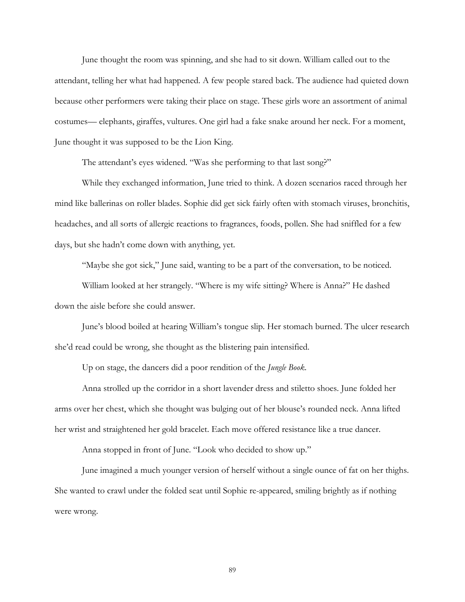June thought the room was spinning, and she had to sit down. William called out to the attendant, telling her what had happened. A few people stared back. The audience had quieted down because other performers were taking their place on stage. These girls wore an assortment of animal costumes— elephants, giraffes, vultures. One girl had a fake snake around her neck. For a moment, June thought it was supposed to be the Lion King.

The attendant's eyes widened. "Was she performing to that last song?"

While they exchanged information, June tried to think. A dozen scenarios raced through her mind like ballerinas on roller blades. Sophie did get sick fairly often with stomach viruses, bronchitis, headaches, and all sorts of allergic reactions to fragrances, foods, pollen. She had sniffled for a few days, but she hadn't come down with anything, yet.

"Maybe she got sick," June said, wanting to be a part of the conversation, to be noticed.

William looked at her strangely. "Where is my wife sitting? Where is Anna?" He dashed down the aisle before she could answer.

June's blood boiled at hearing William's tongue slip. Her stomach burned. The ulcer research she'd read could be wrong, she thought as the blistering pain intensified.

Up on stage, the dancers did a poor rendition of the *Jungle Book*.

Anna strolled up the corridor in a short lavender dress and stiletto shoes. June folded her arms over her chest, which she thought was bulging out of her blouse's rounded neck. Anna lifted her wrist and straightened her gold bracelet. Each move offered resistance like a true dancer.

Anna stopped in front of June. "Look who decided to show up."

June imagined a much younger version of herself without a single ounce of fat on her thighs. She wanted to crawl under the folded seat until Sophie re-appeared, smiling brightly as if nothing were wrong.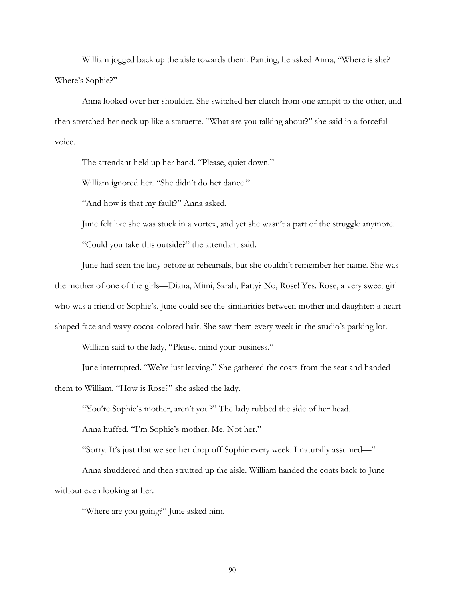William jogged back up the aisle towards them. Panting, he asked Anna, "Where is she? Where's Sophie?"

Anna looked over her shoulder. She switched her clutch from one armpit to the other, and then stretched her neck up like a statuette. "What are you talking about?" she said in a forceful voice.

The attendant held up her hand. "Please, quiet down."

William ignored her. "She didn't do her dance."

"And how is that my fault?" Anna asked.

June felt like she was stuck in a vortex, and yet she wasn't a part of the struggle anymore.

"Could you take this outside?" the attendant said.

June had seen the lady before at rehearsals, but she couldn't remember her name. She was the mother of one of the girls—Diana, Mimi, Sarah, Patty? No, Rose! Yes. Rose, a very sweet girl who was a friend of Sophie's. June could see the similarities between mother and daughter: a heartshaped face and wavy cocoa-colored hair. She saw them every week in the studio's parking lot.

William said to the lady, "Please, mind your business."

June interrupted. "We're just leaving." She gathered the coats from the seat and handed them to William. "How is Rose?" she asked the lady.

"You're Sophie's mother, aren't you?" The lady rubbed the side of her head.

Anna huffed. "I'm Sophie's mother. Me. Not her."

"Sorry. It's just that we see her drop off Sophie every week. I naturally assumed—"

Anna shuddered and then strutted up the aisle. William handed the coats back to June without even looking at her.

"Where are you going?" June asked him.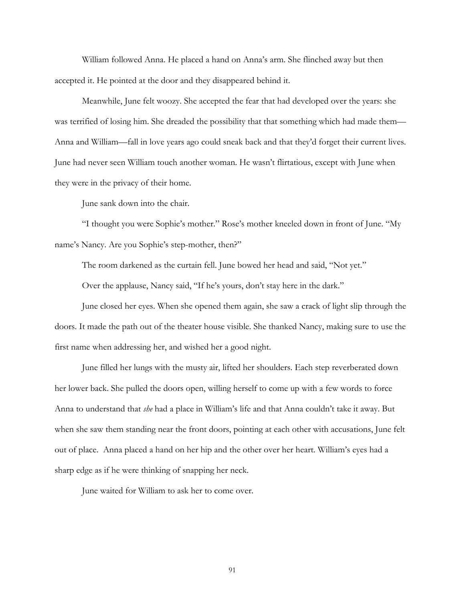William followed Anna. He placed a hand on Anna's arm. She flinched away but then accepted it. He pointed at the door and they disappeared behind it.

Meanwhile, June felt woozy. She accepted the fear that had developed over the years: she was terrified of losing him. She dreaded the possibility that that something which had made them— Anna and William—fall in love years ago could sneak back and that they'd forget their current lives. June had never seen William touch another woman. He wasn't flirtatious, except with June when they were in the privacy of their home.

June sank down into the chair.

"I thought you were Sophie's mother." Rose's mother kneeled down in front of June. "My name's Nancy. Are you Sophie's step-mother, then?"

The room darkened as the curtain fell. June bowed her head and said, "Not yet."

Over the applause, Nancy said, "If he's yours, don't stay here in the dark."

June closed her eyes. When she opened them again, she saw a crack of light slip through the doors. It made the path out of the theater house visible. She thanked Nancy, making sure to use the first name when addressing her, and wished her a good night.

June filled her lungs with the musty air, lifted her shoulders. Each step reverberated down her lower back. She pulled the doors open, willing herself to come up with a few words to force Anna to understand that *she* had a place in William's life and that Anna couldn't take it away. But when she saw them standing near the front doors, pointing at each other with accusations, June felt out of place. Anna placed a hand on her hip and the other over her heart. William's eyes had a sharp edge as if he were thinking of snapping her neck.

June waited for William to ask her to come over.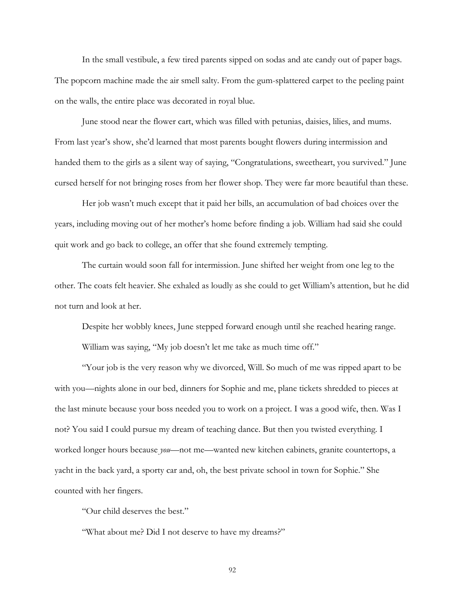In the small vestibule, a few tired parents sipped on sodas and ate candy out of paper bags. The popcorn machine made the air smell salty. From the gum-splattered carpet to the peeling paint on the walls, the entire place was decorated in royal blue.

June stood near the flower cart, which was filled with petunias, daisies, lilies, and mums. From last year's show, she'd learned that most parents bought flowers during intermission and handed them to the girls as a silent way of saying, "Congratulations, sweetheart, you survived." June cursed herself for not bringing roses from her flower shop. They were far more beautiful than these.

Her job wasn't much except that it paid her bills, an accumulation of bad choices over the years, including moving out of her mother's home before finding a job. William had said she could quit work and go back to college, an offer that she found extremely tempting.

The curtain would soon fall for intermission. June shifted her weight from one leg to the other. The coats felt heavier. She exhaled as loudly as she could to get William's attention, but he did not turn and look at her.

Despite her wobbly knees, June stepped forward enough until she reached hearing range. William was saying, "My job doesn't let me take as much time off."

"Your job is the very reason why we divorced, Will. So much of me was ripped apart to be with you—nights alone in our bed, dinners for Sophie and me, plane tickets shredded to pieces at the last minute because your boss needed you to work on a project. I was a good wife, then. Was I not? You said I could pursue my dream of teaching dance. But then you twisted everything. I worked longer hours because *you*—not me—wanted new kitchen cabinets, granite countertops, a yacht in the back yard, a sporty car and, oh, the best private school in town for Sophie." She counted with her fingers.

"Our child deserves the best."

"What about me? Did I not deserve to have my dreams?"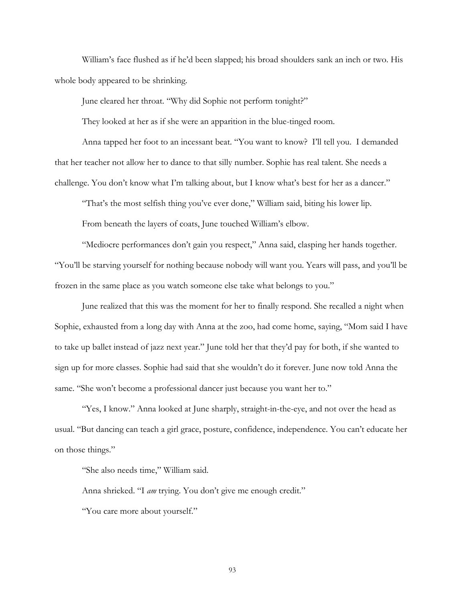William's face flushed as if he'd been slapped; his broad shoulders sank an inch or two. His whole body appeared to be shrinking.

June cleared her throat. "Why did Sophie not perform tonight?"

They looked at her as if she were an apparition in the blue-tinged room.

Anna tapped her foot to an incessant beat. "You want to know? I'll tell you. I demanded that her teacher not allow her to dance to that silly number. Sophie has real talent. She needs a challenge. You don't know what I'm talking about, but I know what's best for her as a dancer."

"That's the most selfish thing you've ever done," William said, biting his lower lip.

From beneath the layers of coats, June touched William's elbow.

"Mediocre performances don't gain you respect," Anna said, clasping her hands together. "You'll be starving yourself for nothing because nobody will want you. Years will pass, and you'll be frozen in the same place as you watch someone else take what belongs to you."

June realized that this was the moment for her to finally respond. She recalled a night when Sophie, exhausted from a long day with Anna at the zoo, had come home, saying, "Mom said I have to take up ballet instead of jazz next year." June told her that they'd pay for both, if she wanted to sign up for more classes. Sophie had said that she wouldn't do it forever. June now told Anna the same. "She won't become a professional dancer just because you want her to."

"Yes, I know." Anna looked at June sharply, straight-in-the-eye, and not over the head as usual. "But dancing can teach a girl grace, posture, confidence, independence. You can't educate her on those things."

"She also needs time," William said.

Anna shrieked. "I *am* trying. You don't give me enough credit."

"You care more about yourself."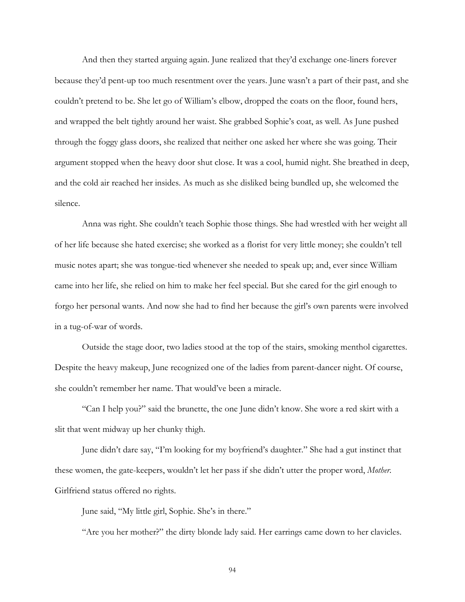And then they started arguing again. June realized that they'd exchange one-liners forever because they'd pent-up too much resentment over the years. June wasn't a part of their past, and she couldn't pretend to be. She let go of William's elbow, dropped the coats on the floor, found hers, and wrapped the belt tightly around her waist. She grabbed Sophie's coat, as well. As June pushed through the foggy glass doors, she realized that neither one asked her where she was going. Their argument stopped when the heavy door shut close. It was a cool, humid night. She breathed in deep, and the cold air reached her insides. As much as she disliked being bundled up, she welcomed the silence.

Anna was right. She couldn't teach Sophie those things. She had wrestled with her weight all of her life because she hated exercise; she worked as a florist for very little money; she couldn't tell music notes apart; she was tongue-tied whenever she needed to speak up; and, ever since William came into her life, she relied on him to make her feel special. But she cared for the girl enough to forgo her personal wants. And now she had to find her because the girl's own parents were involved in a tug-of-war of words.

Outside the stage door, two ladies stood at the top of the stairs, smoking menthol cigarettes. Despite the heavy makeup, June recognized one of the ladies from parent-dancer night. Of course, she couldn't remember her name. That would've been a miracle.

"Can I help you?" said the brunette, the one June didn't know. She wore a red skirt with a slit that went midway up her chunky thigh.

June didn't dare say, "I'm looking for my boyfriend's daughter." She had a gut instinct that these women, the gate-keepers, wouldn't let her pass if she didn't utter the proper word, *Mother*. Girlfriend status offered no rights.

June said, "My little girl, Sophie. She's in there."

"Are you her mother?" the dirty blonde lady said. Her earrings came down to her clavicles.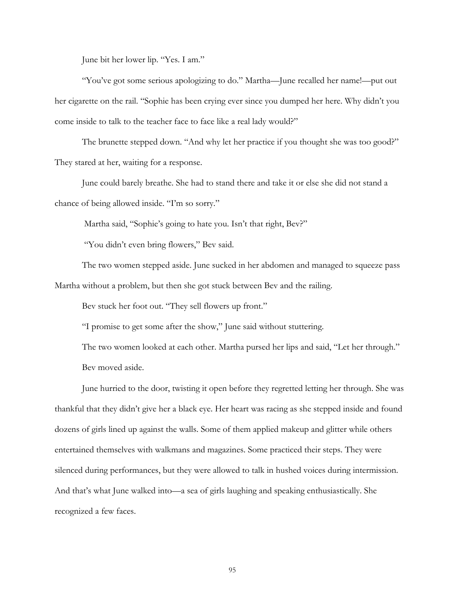June bit her lower lip. "Yes. I am."

"You've got some serious apologizing to do." Martha—June recalled her name!—put out her cigarette on the rail. "Sophie has been crying ever since you dumped her here. Why didn't you come inside to talk to the teacher face to face like a real lady would?"

The brunette stepped down. "And why let her practice if you thought she was too good?" They stared at her, waiting for a response.

June could barely breathe. She had to stand there and take it or else she did not stand a chance of being allowed inside. "I'm so sorry."

Martha said, "Sophie's going to hate you. Isn't that right, Bev?"

"You didn't even bring flowers," Bev said.

The two women stepped aside. June sucked in her abdomen and managed to squeeze pass Martha without a problem, but then she got stuck between Bev and the railing.

Bev stuck her foot out. "They sell flowers up front."

"I promise to get some after the show," June said without stuttering.

The two women looked at each other. Martha pursed her lips and said, "Let her through." Bev moved aside.

June hurried to the door, twisting it open before they regretted letting her through. She was thankful that they didn't give her a black eye. Her heart was racing as she stepped inside and found dozens of girls lined up against the walls. Some of them applied makeup and glitter while others entertained themselves with walkmans and magazines. Some practiced their steps. They were silenced during performances, but they were allowed to talk in hushed voices during intermission. And that's what June walked into—a sea of girls laughing and speaking enthusiastically. She recognized a few faces.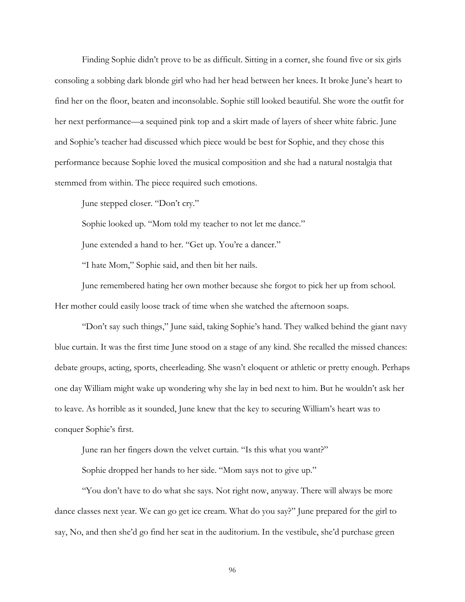Finding Sophie didn't prove to be as difficult. Sitting in a corner, she found five or six girls consoling a sobbing dark blonde girl who had her head between her knees. It broke June's heart to find her on the floor, beaten and inconsolable. Sophie still looked beautiful. She wore the outfit for her next performance—a sequined pink top and a skirt made of layers of sheer white fabric. June and Sophie's teacher had discussed which piece would be best for Sophie, and they chose this performance because Sophie loved the musical composition and she had a natural nostalgia that stemmed from within. The piece required such emotions.

June stepped closer. "Don't cry."

Sophie looked up. "Mom told my teacher to not let me dance."

June extended a hand to her. "Get up. You're a dancer."

"I hate Mom," Sophie said, and then bit her nails.

June remembered hating her own mother because she forgot to pick her up from school. Her mother could easily loose track of time when she watched the afternoon soaps.

"Don't say such things," June said, taking Sophie's hand. They walked behind the giant navy blue curtain. It was the first time June stood on a stage of any kind. She recalled the missed chances: debate groups, acting, sports, cheerleading. She wasn't eloquent or athletic or pretty enough. Perhaps one day William might wake up wondering why she lay in bed next to him. But he wouldn't ask her to leave. As horrible as it sounded, June knew that the key to securing William's heart was to conquer Sophie's first.

June ran her fingers down the velvet curtain. "Is this what you want?"

Sophie dropped her hands to her side. "Mom says not to give up."

 "You don't have to do what she says. Not right now, anyway. There will always be more dance classes next year. We can go get ice cream. What do you say?" June prepared for the girl to say, No, and then she'd go find her seat in the auditorium. In the vestibule, she'd purchase green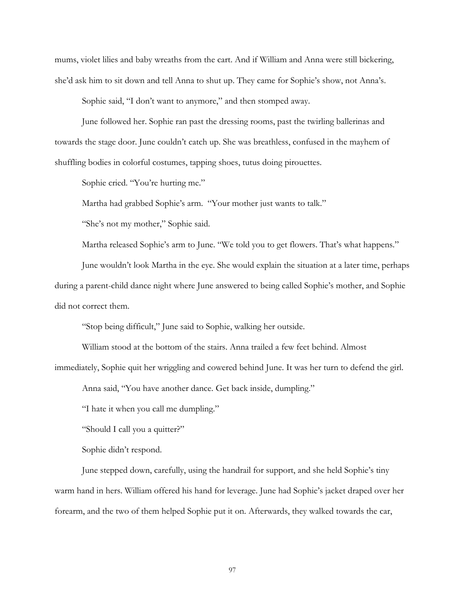mums, violet lilies and baby wreaths from the cart. And if William and Anna were still bickering, she'd ask him to sit down and tell Anna to shut up. They came for Sophie's show, not Anna's.

Sophie said, "I don't want to anymore," and then stomped away.

June followed her. Sophie ran past the dressing rooms, past the twirling ballerinas and towards the stage door. June couldn't catch up. She was breathless, confused in the mayhem of shuffling bodies in colorful costumes, tapping shoes, tutus doing pirouettes.

Sophie cried. "You're hurting me."

Martha had grabbed Sophie's arm. "Your mother just wants to talk."

"She's not my mother," Sophie said.

Martha released Sophie's arm to June. "We told you to get flowers. That's what happens."

June wouldn't look Martha in the eye. She would explain the situation at a later time, perhaps during a parent-child dance night where June answered to being called Sophie's mother, and Sophie did not correct them.

"Stop being difficult," June said to Sophie, walking her outside.

William stood at the bottom of the stairs. Anna trailed a few feet behind. Almost

immediately, Sophie quit her wriggling and cowered behind June. It was her turn to defend the girl.

Anna said, "You have another dance. Get back inside, dumpling."

"I hate it when you call me dumpling."

"Should I call you a quitter?"

Sophie didn't respond.

June stepped down, carefully, using the handrail for support, and she held Sophie's tiny warm hand in hers. William offered his hand for leverage. June had Sophie's jacket draped over her forearm, and the two of them helped Sophie put it on. Afterwards, they walked towards the car,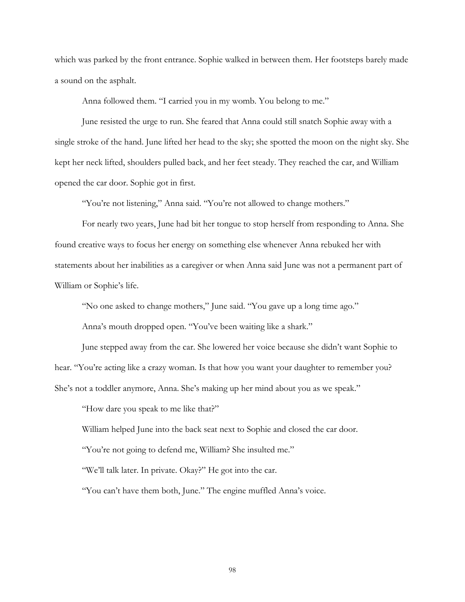which was parked by the front entrance. Sophie walked in between them. Her footsteps barely made a sound on the asphalt.

Anna followed them. "I carried you in my womb. You belong to me."

June resisted the urge to run. She feared that Anna could still snatch Sophie away with a single stroke of the hand. June lifted her head to the sky; she spotted the moon on the night sky. She kept her neck lifted, shoulders pulled back, and her feet steady. They reached the car, and William opened the car door. Sophie got in first.

"You're not listening," Anna said. "You're not allowed to change mothers."

For nearly two years, June had bit her tongue to stop herself from responding to Anna. She found creative ways to focus her energy on something else whenever Anna rebuked her with statements about her inabilities as a caregiver or when Anna said June was not a permanent part of William or Sophie's life.

"No one asked to change mothers," June said. "You gave up a long time ago."

Anna's mouth dropped open. "You've been waiting like a shark."

June stepped away from the car. She lowered her voice because she didn't want Sophie to hear. "You're acting like a crazy woman. Is that how you want your daughter to remember you? She's not a toddler anymore, Anna. She's making up her mind about you as we speak."

"How dare you speak to me like that?"

William helped June into the back seat next to Sophie and closed the car door.

"You're not going to defend me, William? She insulted me."

"We'll talk later. In private. Okay?" He got into the car.

"You can't have them both, June." The engine muffled Anna's voice.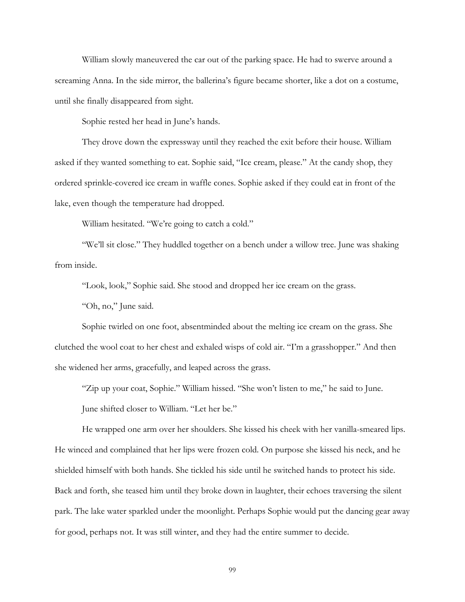William slowly maneuvered the car out of the parking space. He had to swerve around a screaming Anna. In the side mirror, the ballerina's figure became shorter, like a dot on a costume, until she finally disappeared from sight.

Sophie rested her head in June's hands.

They drove down the expressway until they reached the exit before their house. William asked if they wanted something to eat. Sophie said, "Ice cream, please." At the candy shop, they ordered sprinkle-covered ice cream in waffle cones. Sophie asked if they could eat in front of the lake, even though the temperature had dropped.

William hesitated. "We're going to catch a cold."

"We'll sit close." They huddled together on a bench under a willow tree. June was shaking from inside.

"Look, look," Sophie said. She stood and dropped her ice cream on the grass.

"Oh, no," June said.

Sophie twirled on one foot, absentminded about the melting ice cream on the grass. She clutched the wool coat to her chest and exhaled wisps of cold air. "I'm a grasshopper." And then she widened her arms, gracefully, and leaped across the grass.

"Zip up your coat, Sophie." William hissed. "She won't listen to me," he said to June.

June shifted closer to William. "Let her be."

He wrapped one arm over her shoulders. She kissed his cheek with her vanilla-smeared lips. He winced and complained that her lips were frozen cold. On purpose she kissed his neck, and he shielded himself with both hands. She tickled his side until he switched hands to protect his side. Back and forth, she teased him until they broke down in laughter, their echoes traversing the silent park. The lake water sparkled under the moonlight. Perhaps Sophie would put the dancing gear away for good, perhaps not. It was still winter, and they had the entire summer to decide.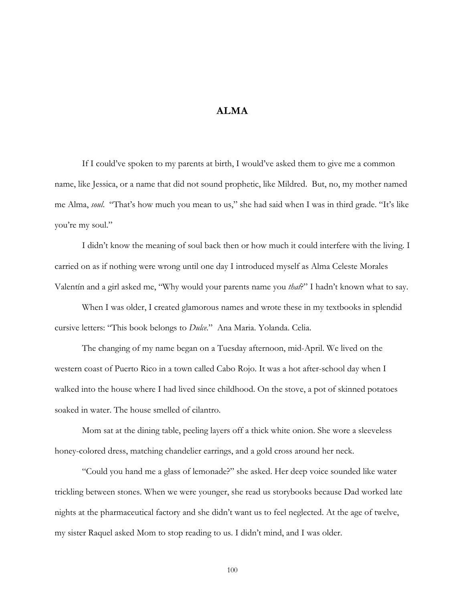## **ALMA**

If I could've spoken to my parents at birth, I would've asked them to give me a common name, like Jessica, or a name that did not sound prophetic, like Mildred. But, no, my mother named me Alma, *soul*. "That's how much you mean to us," she had said when I was in third grade. "It's like you're my soul."

I didn't know the meaning of soul back then or how much it could interfere with the living. I carried on as if nothing were wrong until one day I introduced myself as Alma Celeste Morales Valentín and a girl asked me, "Why would your parents name you *that*?" I hadn't known what to say.

When I was older, I created glamorous names and wrote these in my textbooks in splendid cursive letters: "This book belongs to *Dulce*." Ana Maria. Yolanda. Celia.

The changing of my name began on a Tuesday afternoon, mid-April. We lived on the western coast of Puerto Rico in a town called Cabo Rojo. It was a hot after-school day when I walked into the house where I had lived since childhood. On the stove, a pot of skinned potatoes soaked in water. The house smelled of cilantro.

Mom sat at the dining table, peeling layers off a thick white onion. She wore a sleeveless honey-colored dress, matching chandelier earrings, and a gold cross around her neck.

"Could you hand me a glass of lemonade?" she asked. Her deep voice sounded like water trickling between stones. When we were younger, she read us storybooks because Dad worked late nights at the pharmaceutical factory and she didn't want us to feel neglected. At the age of twelve, my sister Raquel asked Mom to stop reading to us. I didn't mind, and I was older.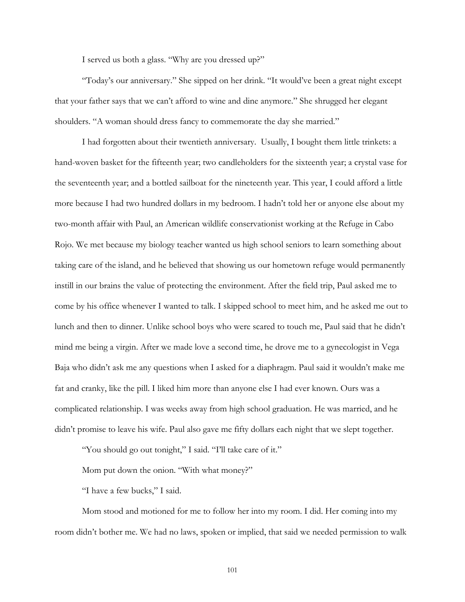I served us both a glass. "Why are you dressed up?"

"Today's our anniversary." She sipped on her drink. "It would've been a great night except that your father says that we can't afford to wine and dine anymore." She shrugged her elegant shoulders. "A woman should dress fancy to commemorate the day she married."

I had forgotten about their twentieth anniversary. Usually, I bought them little trinkets: a hand-woven basket for the fifteenth year; two candleholders for the sixteenth year; a crystal vase for the seventeenth year; and a bottled sailboat for the nineteenth year. This year, I could afford a little more because I had two hundred dollars in my bedroom. I hadn't told her or anyone else about my two-month affair with Paul, an American wildlife conservationist working at the Refuge in Cabo Rojo. We met because my biology teacher wanted us high school seniors to learn something about taking care of the island, and he believed that showing us our hometown refuge would permanently instill in our brains the value of protecting the environment. After the field trip, Paul asked me to come by his office whenever I wanted to talk. I skipped school to meet him, and he asked me out to lunch and then to dinner. Unlike school boys who were scared to touch me, Paul said that he didn't mind me being a virgin. After we made love a second time, he drove me to a gynecologist in Vega Baja who didn't ask me any questions when I asked for a diaphragm. Paul said it wouldn't make me fat and cranky, like the pill. I liked him more than anyone else I had ever known. Ours was a complicated relationship. I was weeks away from high school graduation. He was married, and he didn't promise to leave his wife. Paul also gave me fifty dollars each night that we slept together.

"You should go out tonight," I said. "I'll take care of it."

Mom put down the onion. "With what money?"

"I have a few bucks," I said.

Mom stood and motioned for me to follow her into my room. I did. Her coming into my room didn't bother me. We had no laws, spoken or implied, that said we needed permission to walk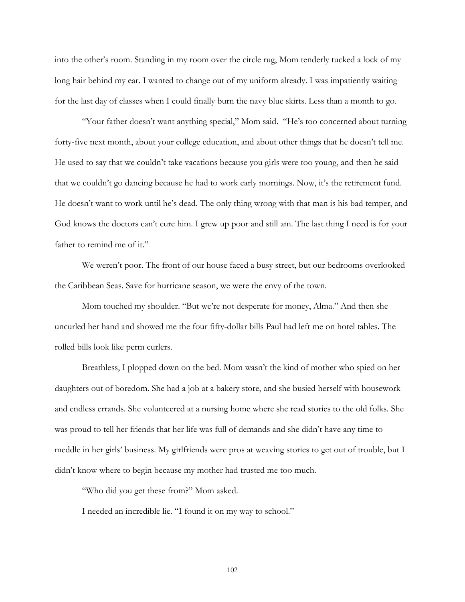into the other's room. Standing in my room over the circle rug, Mom tenderly tucked a lock of my long hair behind my ear. I wanted to change out of my uniform already. I was impatiently waiting for the last day of classes when I could finally burn the navy blue skirts. Less than a month to go.

"Your father doesn't want anything special," Mom said. "He's too concerned about turning forty-five next month, about your college education, and about other things that he doesn't tell me. He used to say that we couldn't take vacations because you girls were too young, and then he said that we couldn't go dancing because he had to work early mornings. Now, it's the retirement fund. He doesn't want to work until he's dead. The only thing wrong with that man is his bad temper, and God knows the doctors can't cure him. I grew up poor and still am. The last thing I need is for your father to remind me of it."

We weren't poor. The front of our house faced a busy street, but our bedrooms overlooked the Caribbean Seas. Save for hurricane season, we were the envy of the town.

Mom touched my shoulder. "But we're not desperate for money, Alma." And then she uncurled her hand and showed me the four fifty-dollar bills Paul had left me on hotel tables. The rolled bills look like perm curlers.

Breathless, I plopped down on the bed. Mom wasn't the kind of mother who spied on her daughters out of boredom. She had a job at a bakery store, and she busied herself with housework and endless errands. She volunteered at a nursing home where she read stories to the old folks. She was proud to tell her friends that her life was full of demands and she didn't have any time to meddle in her girls' business. My girlfriends were pros at weaving stories to get out of trouble, but I didn't know where to begin because my mother had trusted me too much.

"Who did you get these from?" Mom asked.

I needed an incredible lie. "I found it on my way to school."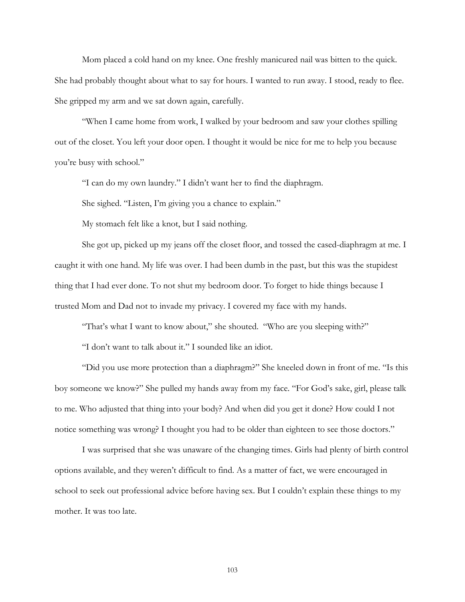Mom placed a cold hand on my knee. One freshly manicured nail was bitten to the quick. She had probably thought about what to say for hours. I wanted to run away. I stood, ready to flee. She gripped my arm and we sat down again, carefully.

"When I came home from work, I walked by your bedroom and saw your clothes spilling out of the closet. You left your door open. I thought it would be nice for me to help you because you're busy with school."

"I can do my own laundry." I didn't want her to find the diaphragm.

She sighed. "Listen, I'm giving you a chance to explain."

My stomach felt like a knot, but I said nothing.

She got up, picked up my jeans off the closet floor, and tossed the cased-diaphragm at me. I caught it with one hand. My life was over. I had been dumb in the past, but this was the stupidest thing that I had ever done. To not shut my bedroom door. To forget to hide things because I trusted Mom and Dad not to invade my privacy. I covered my face with my hands.

"That's what I want to know about," she shouted. "Who are you sleeping with?"

"I don't want to talk about it." I sounded like an idiot.

"Did you use more protection than a diaphragm?" She kneeled down in front of me. "Is this boy someone we know?" She pulled my hands away from my face. "For God's sake, girl, please talk to me. Who adjusted that thing into your body? And when did you get it done? How could I not notice something was wrong? I thought you had to be older than eighteen to see those doctors."

I was surprised that she was unaware of the changing times. Girls had plenty of birth control options available, and they weren't difficult to find. As a matter of fact, we were encouraged in school to seek out professional advice before having sex. But I couldn't explain these things to my mother. It was too late.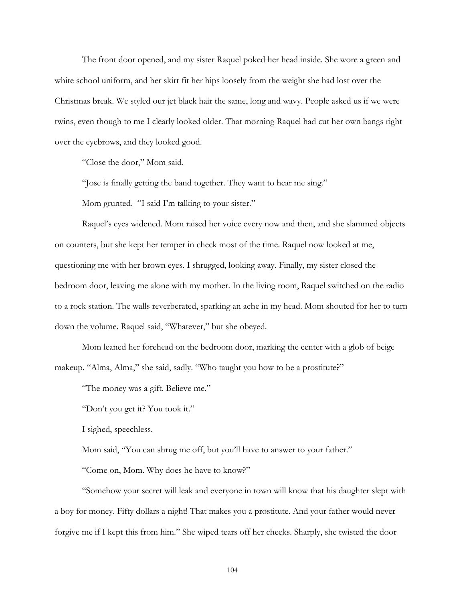The front door opened, and my sister Raquel poked her head inside. She wore a green and white school uniform, and her skirt fit her hips loosely from the weight she had lost over the Christmas break. We styled our jet black hair the same, long and wavy. People asked us if we were twins, even though to me I clearly looked older. That morning Raquel had cut her own bangs right over the eyebrows, and they looked good.

"Close the door," Mom said.

"Jose is finally getting the band together. They want to hear me sing."

Mom grunted. "I said I'm talking to your sister."

Raquel's eyes widened. Mom raised her voice every now and then, and she slammed objects on counters, but she kept her temper in check most of the time. Raquel now looked at me, questioning me with her brown eyes. I shrugged, looking away. Finally, my sister closed the bedroom door, leaving me alone with my mother. In the living room, Raquel switched on the radio to a rock station. The walls reverberated, sparking an ache in my head. Mom shouted for her to turn down the volume. Raquel said, "Whatever," but she obeyed.

Mom leaned her forehead on the bedroom door, marking the center with a glob of beige makeup. "Alma, Alma," she said, sadly. "Who taught you how to be a prostitute?"

"The money was a gift. Believe me."

"Don't you get it? You took it."

I sighed, speechless.

Mom said, "You can shrug me off, but you'll have to answer to your father."

"Come on, Mom. Why does he have to know?"

"Somehow your secret will leak and everyone in town will know that his daughter slept with a boy for money. Fifty dollars a night! That makes you a prostitute. And your father would never forgive me if I kept this from him." She wiped tears off her cheeks. Sharply, she twisted the door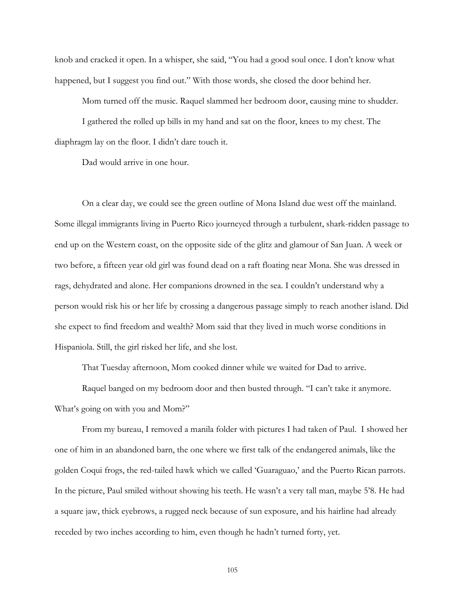knob and cracked it open. In a whisper, she said, "You had a good soul once. I don't know what happened, but I suggest you find out." With those words, she closed the door behind her.

Mom turned off the music. Raquel slammed her bedroom door, causing mine to shudder.

I gathered the rolled up bills in my hand and sat on the floor, knees to my chest. The diaphragm lay on the floor. I didn't dare touch it.

Dad would arrive in one hour.

On a clear day, we could see the green outline of Mona Island due west off the mainland. Some illegal immigrants living in Puerto Rico journeyed through a turbulent, shark-ridden passage to end up on the Western coast, on the opposite side of the glitz and glamour of San Juan. A week or two before, a fifteen year old girl was found dead on a raft floating near Mona. She was dressed in rags, dehydrated and alone. Her companions drowned in the sea. I couldn't understand why a person would risk his or her life by crossing a dangerous passage simply to reach another island. Did she expect to find freedom and wealth? Mom said that they lived in much worse conditions in Hispaniola. Still, the girl risked her life, and she lost.

That Tuesday afternoon, Mom cooked dinner while we waited for Dad to arrive.

Raquel banged on my bedroom door and then busted through. "I can't take it anymore. What's going on with you and Mom?"

From my bureau, I removed a manila folder with pictures I had taken of Paul. I showed her one of him in an abandoned barn, the one where we first talk of the endangered animals, like the golden Coqui frogs, the red-tailed hawk which we called 'Guaraguao,' and the Puerto Rican parrots. In the picture, Paul smiled without showing his teeth. He wasn't a very tall man, maybe 5'8. He had a square jaw, thick eyebrows, a rugged neck because of sun exposure, and his hairline had already receded by two inches according to him, even though he hadn't turned forty, yet.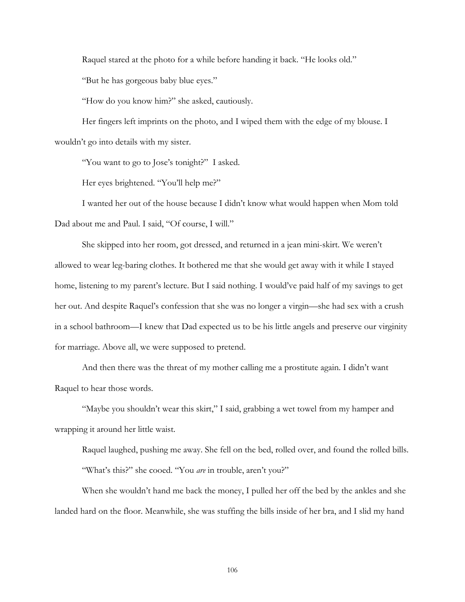Raquel stared at the photo for a while before handing it back. "He looks old."

"But he has gorgeous baby blue eyes."

"How do you know him?" she asked, cautiously.

Her fingers left imprints on the photo, and I wiped them with the edge of my blouse. I wouldn't go into details with my sister.

"You want to go to Jose's tonight?" I asked.

Her eyes brightened. "You'll help me?"

I wanted her out of the house because I didn't know what would happen when Mom told Dad about me and Paul. I said, "Of course, I will."

She skipped into her room, got dressed, and returned in a jean mini-skirt. We weren't allowed to wear leg-baring clothes. It bothered me that she would get away with it while I stayed home, listening to my parent's lecture. But I said nothing. I would've paid half of my savings to get her out. And despite Raquel's confession that she was no longer a virgin—she had sex with a crush in a school bathroom—I knew that Dad expected us to be his little angels and preserve our virginity for marriage. Above all, we were supposed to pretend.

And then there was the threat of my mother calling me a prostitute again. I didn't want Raquel to hear those words.

"Maybe you shouldn't wear this skirt," I said, grabbing a wet towel from my hamper and wrapping it around her little waist.

Raquel laughed, pushing me away. She fell on the bed, rolled over, and found the rolled bills. "What's this?" she cooed. "You *are* in trouble, aren't you?"

When she wouldn't hand me back the money, I pulled her off the bed by the ankles and she landed hard on the floor. Meanwhile, she was stuffing the bills inside of her bra, and I slid my hand

106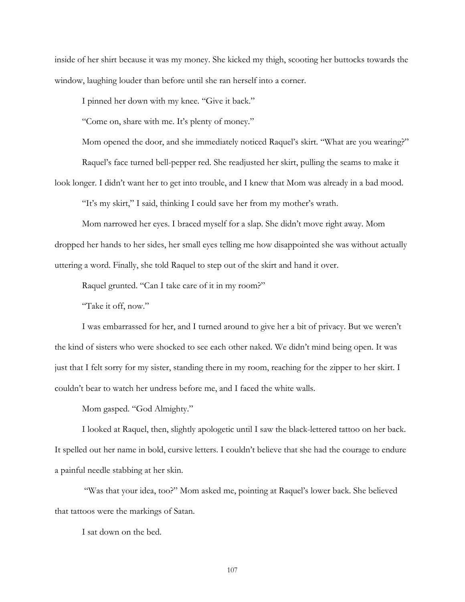inside of her shirt because it was my money. She kicked my thigh, scooting her buttocks towards the window, laughing louder than before until she ran herself into a corner.

I pinned her down with my knee. "Give it back."

"Come on, share with me. It's plenty of money."

Mom opened the door, and she immediately noticed Raquel's skirt. "What are you wearing?"

Raquel's face turned bell-pepper red. She readjusted her skirt, pulling the seams to make it

look longer. I didn't want her to get into trouble, and I knew that Mom was already in a bad mood.

"It's my skirt," I said, thinking I could save her from my mother's wrath.

Mom narrowed her eyes. I braced myself for a slap. She didn't move right away. Mom dropped her hands to her sides, her small eyes telling me how disappointed she was without actually uttering a word. Finally, she told Raquel to step out of the skirt and hand it over.

Raquel grunted. "Can I take care of it in my room?"

"Take it off, now."

I was embarrassed for her, and I turned around to give her a bit of privacy. But we weren't the kind of sisters who were shocked to see each other naked. We didn't mind being open. It was just that I felt sorry for my sister, standing there in my room, reaching for the zipper to her skirt. I couldn't bear to watch her undress before me, and I faced the white walls.

Mom gasped. "God Almighty."

I looked at Raquel, then, slightly apologetic until I saw the black-lettered tattoo on her back. It spelled out her name in bold, cursive letters. I couldn't believe that she had the courage to endure a painful needle stabbing at her skin.

 "Was that your idea, too?" Mom asked me, pointing at Raquel's lower back. She believed that tattoos were the markings of Satan.

I sat down on the bed.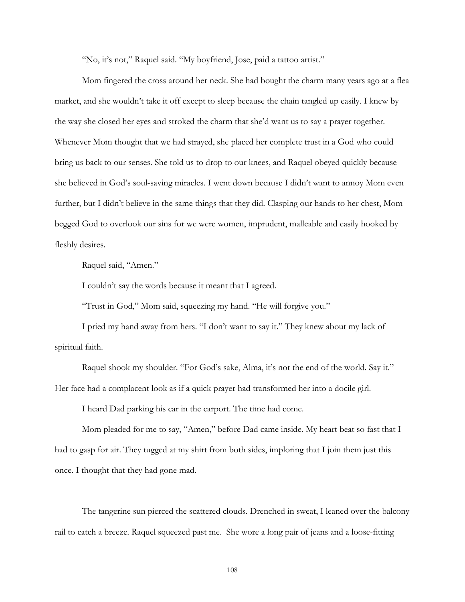"No, it's not," Raquel said. "My boyfriend, Jose, paid a tattoo artist."

Mom fingered the cross around her neck. She had bought the charm many years ago at a flea market, and she wouldn't take it off except to sleep because the chain tangled up easily. I knew by the way she closed her eyes and stroked the charm that she'd want us to say a prayer together. Whenever Mom thought that we had strayed, she placed her complete trust in a God who could bring us back to our senses. She told us to drop to our knees, and Raquel obeyed quickly because she believed in God's soul-saving miracles. I went down because I didn't want to annoy Mom even further, but I didn't believe in the same things that they did. Clasping our hands to her chest, Mom begged God to overlook our sins for we were women, imprudent, malleable and easily hooked by fleshly desires.

Raquel said, "Amen."

I couldn't say the words because it meant that I agreed.

"Trust in God," Mom said, squeezing my hand. "He will forgive you."

I pried my hand away from hers. "I don't want to say it." They knew about my lack of spiritual faith.

Raquel shook my shoulder. "For God's sake, Alma, it's not the end of the world. Say it." Her face had a complacent look as if a quick prayer had transformed her into a docile girl.

I heard Dad parking his car in the carport. The time had come.

Mom pleaded for me to say, "Amen," before Dad came inside. My heart beat so fast that I had to gasp for air. They tugged at my shirt from both sides, imploring that I join them just this once. I thought that they had gone mad.

The tangerine sun pierced the scattered clouds. Drenched in sweat, I leaned over the balcony rail to catch a breeze. Raquel squeezed past me. She wore a long pair of jeans and a loose-fitting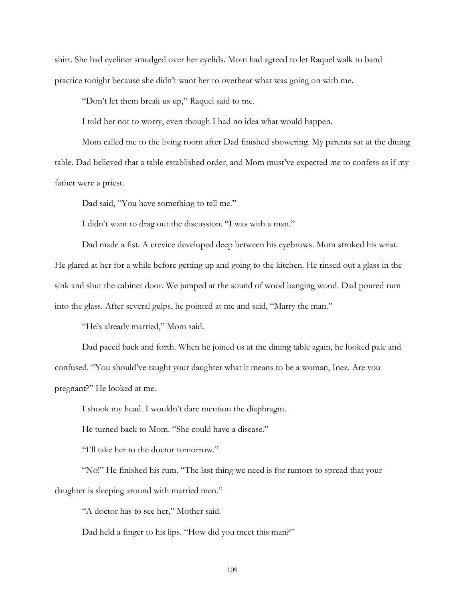shirt. She had eyeliner smudged over her eyelids. Mom had agreed to let Raquel walk to band practice tonight because she didn't want her to overhear what was going on with me.

"Don't let them break us up," Raquel said to me.

I told her not to worry, even though I had no idea what would happen.

Mom called me to the living room after Dad finished showering. My parents sat at the dining table. Dad believed that a table established order, and Mom must've expected me to confess as if my father were a priest.

Dad said, "You have something to tell me."

I didn't want to drag out the discussion. "I was with a man."

Dad made a fist. A crevice developed deep between his eyebrows. Mom stroked his wrist. He glared at her for a while before getting up and going to the kitchen. He rinsed out a glass in the sink and shut the cabinet door. We jumped at the sound of wood banging wood. Dad poured rum into the glass. After several gulps, he pointed at me and said, "Marry the man."

"He's already married," Mom said.

Dad paced back and forth. When he joined us at the dining table again, he looked pale and confused. "You should've taught your daughter what it means to be a woman, Inez. Are you pregnant?" He looked at me.

I shook my head. I wouldn't dare mention the diaphragm.

He turned back to Mom. "She could have a disease."

"I'll take her to the doctor tomorrow."

"No!" He finished his rum. "The last thing we need is for rumors to spread that your daughter is sleeping around with married men."

"A doctor has to see her," Mother said.

Dad held a finger to his lips. "How did you meet this man?"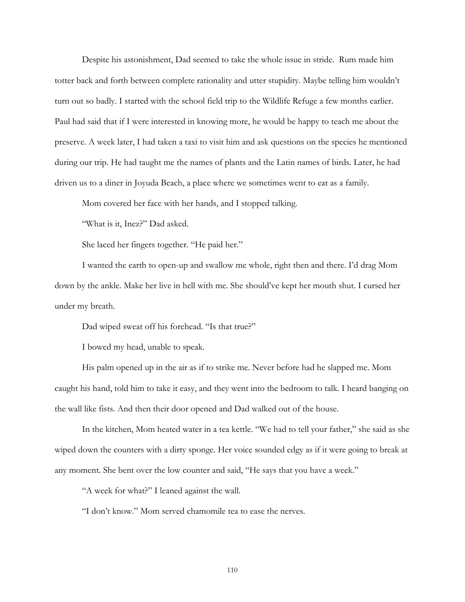Despite his astonishment, Dad seemed to take the whole issue in stride. Rum made him totter back and forth between complete rationality and utter stupidity. Maybe telling him wouldn't turn out so badly. I started with the school field trip to the Wildlife Refuge a few months earlier. Paul had said that if I were interested in knowing more, he would be happy to teach me about the preserve. A week later, I had taken a taxi to visit him and ask questions on the species he mentioned during our trip. He had taught me the names of plants and the Latin names of birds. Later, he had driven us to a diner in Joyuda Beach, a place where we sometimes went to eat as a family.

Mom covered her face with her hands, and I stopped talking.

"What is it, Inez?" Dad asked.

She laced her fingers together. "He paid her."

I wanted the earth to open-up and swallow me whole, right then and there. I'd drag Mom down by the ankle. Make her live in hell with me. She should've kept her mouth shut. I cursed her under my breath.

Dad wiped sweat off his forehead. "Is that true?"

I bowed my head, unable to speak.

His palm opened up in the air as if to strike me. Never before had he slapped me. Mom caught his hand, told him to take it easy, and they went into the bedroom to talk. I heard banging on the wall like fists. And then their door opened and Dad walked out of the house.

In the kitchen, Mom heated water in a tea kettle. "We had to tell your father," she said as she wiped down the counters with a dirty sponge. Her voice sounded edgy as if it were going to break at any moment. She bent over the low counter and said, "He says that you have a week."

"A week for what?" I leaned against the wall.

"I don't know." Mom served chamomile tea to ease the nerves.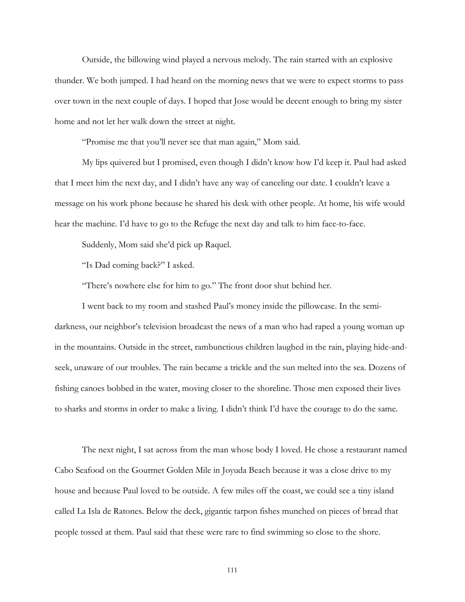Outside, the billowing wind played a nervous melody. The rain started with an explosive thunder. We both jumped. I had heard on the morning news that we were to expect storms to pass over town in the next couple of days. I hoped that Jose would be decent enough to bring my sister home and not let her walk down the street at night.

"Promise me that you'll never see that man again," Mom said.

My lips quivered but I promised, even though I didn't know how I'd keep it. Paul had asked that I meet him the next day, and I didn't have any way of canceling our date. I couldn't leave a message on his work phone because he shared his desk with other people. At home, his wife would hear the machine. I'd have to go to the Refuge the next day and talk to him face-to-face.

Suddenly, Mom said she'd pick up Raquel.

"Is Dad coming back?" I asked.

"There's nowhere else for him to go." The front door shut behind her.

I went back to my room and stashed Paul's money inside the pillowcase. In the semidarkness, our neighbor's television broadcast the news of a man who had raped a young woman up in the mountains. Outside in the street, rambunctious children laughed in the rain, playing hide-andseek, unaware of our troubles. The rain became a trickle and the sun melted into the sea. Dozens of fishing canoes bobbed in the water, moving closer to the shoreline. Those men exposed their lives to sharks and storms in order to make a living. I didn't think I'd have the courage to do the same.

The next night, I sat across from the man whose body I loved. He chose a restaurant named Cabo Seafood on the Gourmet Golden Mile in Joyuda Beach because it was a close drive to my house and because Paul loved to be outside. A few miles off the coast, we could see a tiny island called La Isla de Ratones. Below the deck, gigantic tarpon fishes munched on pieces of bread that people tossed at them. Paul said that these were rare to find swimming so close to the shore.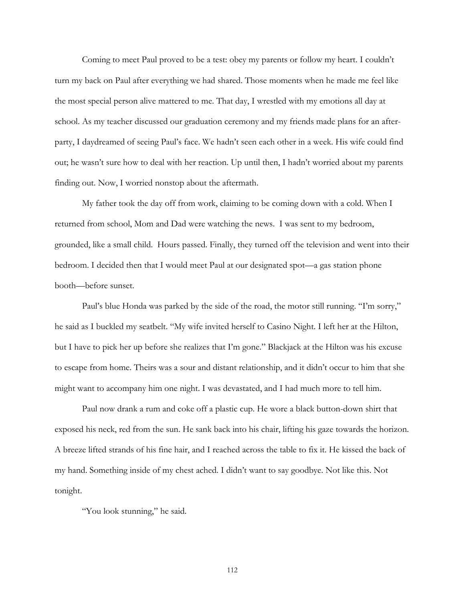Coming to meet Paul proved to be a test: obey my parents or follow my heart. I couldn't turn my back on Paul after everything we had shared. Those moments when he made me feel like the most special person alive mattered to me. That day, I wrestled with my emotions all day at school. As my teacher discussed our graduation ceremony and my friends made plans for an afterparty, I daydreamed of seeing Paul's face. We hadn't seen each other in a week. His wife could find out; he wasn't sure how to deal with her reaction. Up until then, I hadn't worried about my parents finding out. Now, I worried nonstop about the aftermath.

My father took the day off from work, claiming to be coming down with a cold. When I returned from school, Mom and Dad were watching the news. I was sent to my bedroom, grounded, like a small child. Hours passed. Finally, they turned off the television and went into their bedroom. I decided then that I would meet Paul at our designated spot—a gas station phone booth—before sunset.

Paul's blue Honda was parked by the side of the road, the motor still running. "I'm sorry," he said as I buckled my seatbelt. "My wife invited herself to Casino Night. I left her at the Hilton, but I have to pick her up before she realizes that I'm gone." Blackjack at the Hilton was his excuse to escape from home. Theirs was a sour and distant relationship, and it didn't occur to him that she might want to accompany him one night. I was devastated, and I had much more to tell him.

Paul now drank a rum and coke off a plastic cup. He wore a black button-down shirt that exposed his neck, red from the sun. He sank back into his chair, lifting his gaze towards the horizon. A breeze lifted strands of his fine hair, and I reached across the table to fix it. He kissed the back of my hand. Something inside of my chest ached. I didn't want to say goodbye. Not like this. Not tonight.

"You look stunning," he said.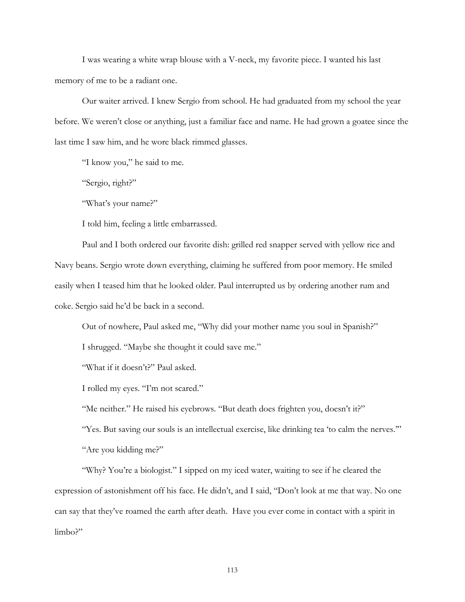I was wearing a white wrap blouse with a V-neck, my favorite piece. I wanted his last memory of me to be a radiant one.

Our waiter arrived. I knew Sergio from school. He had graduated from my school the year before. We weren't close or anything, just a familiar face and name. He had grown a goatee since the last time I saw him, and he wore black rimmed glasses.

"I know you," he said to me.

"Sergio, right?"

"What's your name?"

I told him, feeling a little embarrassed.

Paul and I both ordered our favorite dish: grilled red snapper served with yellow rice and Navy beans. Sergio wrote down everything, claiming he suffered from poor memory. He smiled easily when I teased him that he looked older. Paul interrupted us by ordering another rum and coke. Sergio said he'd be back in a second.

Out of nowhere, Paul asked me, "Why did your mother name you soul in Spanish?"

I shrugged. "Maybe she thought it could save me."

"What if it doesn't?" Paul asked.

I rolled my eyes. "I'm not scared."

"Me neither." He raised his eyebrows. "But death does frighten you, doesn't it?"

"Yes. But saving our souls is an intellectual exercise, like drinking tea 'to calm the nerves.'"

"Are you kidding me?"

"Why? You're a biologist." I sipped on my iced water, waiting to see if he cleared the expression of astonishment off his face. He didn't, and I said, "Don't look at me that way. No one can say that they've roamed the earth after death. Have you ever come in contact with a spirit in limbo?"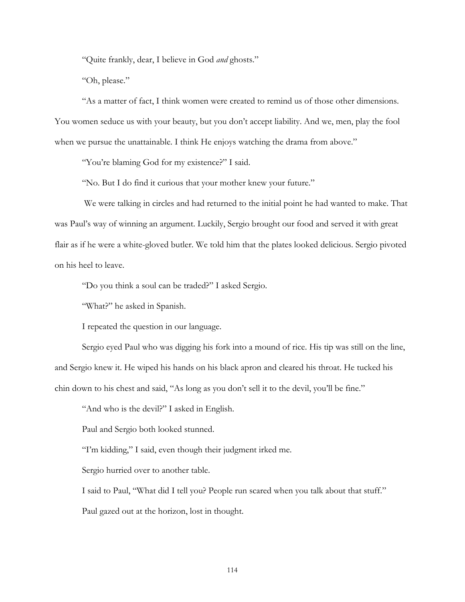"Quite frankly, dear, I believe in God *and* ghosts."

"Oh, please."

"As a matter of fact, I think women were created to remind us of those other dimensions. You women seduce us with your beauty, but you don't accept liability. And we, men, play the fool when we pursue the unattainable. I think He enjoys watching the drama from above."

"You're blaming God for my existence?" I said.

"No. But I do find it curious that your mother knew your future."

 We were talking in circles and had returned to the initial point he had wanted to make. That was Paul's way of winning an argument. Luckily, Sergio brought our food and served it with great flair as if he were a white-gloved butler. We told him that the plates looked delicious. Sergio pivoted on his heel to leave.

"Do you think a soul can be traded?" I asked Sergio.

"What?" he asked in Spanish.

I repeated the question in our language.

Sergio eyed Paul who was digging his fork into a mound of rice. His tip was still on the line, and Sergio knew it. He wiped his hands on his black apron and cleared his throat. He tucked his chin down to his chest and said, "As long as you don't sell it to the devil, you'll be fine."

"And who is the devil?" I asked in English.

Paul and Sergio both looked stunned.

"I'm kidding," I said, even though their judgment irked me.

Sergio hurried over to another table.

I said to Paul, "What did I tell you? People run scared when you talk about that stuff."

Paul gazed out at the horizon, lost in thought.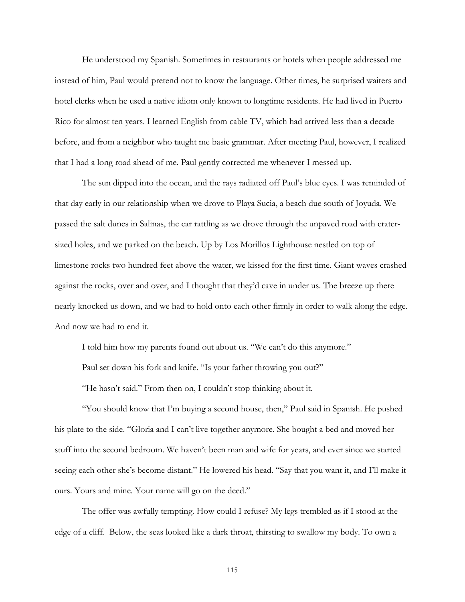He understood my Spanish. Sometimes in restaurants or hotels when people addressed me instead of him, Paul would pretend not to know the language. Other times, he surprised waiters and hotel clerks when he used a native idiom only known to longtime residents. He had lived in Puerto Rico for almost ten years. I learned English from cable TV, which had arrived less than a decade before, and from a neighbor who taught me basic grammar. After meeting Paul, however, I realized that I had a long road ahead of me. Paul gently corrected me whenever I messed up.

The sun dipped into the ocean, and the rays radiated off Paul's blue eyes. I was reminded of that day early in our relationship when we drove to Playa Sucia, a beach due south of Joyuda. We passed the salt dunes in Salinas, the car rattling as we drove through the unpaved road with cratersized holes, and we parked on the beach. Up by Los Morillos Lighthouse nestled on top of limestone rocks two hundred feet above the water, we kissed for the first time. Giant waves crashed against the rocks, over and over, and I thought that they'd cave in under us. The breeze up there nearly knocked us down, and we had to hold onto each other firmly in order to walk along the edge. And now we had to end it.

I told him how my parents found out about us. "We can't do this anymore."

Paul set down his fork and knife. "Is your father throwing you out?"

"He hasn't said." From then on, I couldn't stop thinking about it.

"You should know that I'm buying a second house, then," Paul said in Spanish. He pushed his plate to the side. "Gloria and I can't live together anymore. She bought a bed and moved her stuff into the second bedroom. We haven't been man and wife for years, and ever since we started seeing each other she's become distant." He lowered his head. "Say that you want it, and I'll make it ours. Yours and mine. Your name will go on the deed."

The offer was awfully tempting. How could I refuse? My legs trembled as if I stood at the edge of a cliff. Below, the seas looked like a dark throat, thirsting to swallow my body. To own a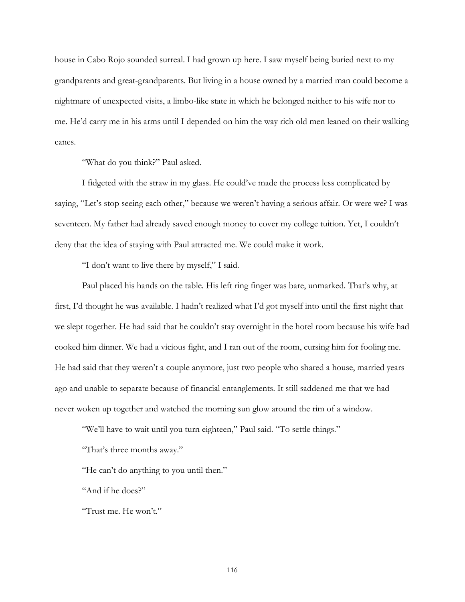house in Cabo Rojo sounded surreal. I had grown up here. I saw myself being buried next to my grandparents and great-grandparents. But living in a house owned by a married man could become a nightmare of unexpected visits, a limbo-like state in which he belonged neither to his wife nor to me. He'd carry me in his arms until I depended on him the way rich old men leaned on their walking canes.

"What do you think?" Paul asked.

I fidgeted with the straw in my glass. He could've made the process less complicated by saying, "Let's stop seeing each other," because we weren't having a serious affair. Or were we? I was seventeen. My father had already saved enough money to cover my college tuition. Yet, I couldn't deny that the idea of staying with Paul attracted me. We could make it work.

"I don't want to live there by myself," I said.

Paul placed his hands on the table. His left ring finger was bare, unmarked. That's why, at first, I'd thought he was available. I hadn't realized what I'd got myself into until the first night that we slept together. He had said that he couldn't stay overnight in the hotel room because his wife had cooked him dinner. We had a vicious fight, and I ran out of the room, cursing him for fooling me. He had said that they weren't a couple anymore, just two people who shared a house, married years ago and unable to separate because of financial entanglements. It still saddened me that we had never woken up together and watched the morning sun glow around the rim of a window.

"We'll have to wait until you turn eighteen," Paul said. "To settle things."

"That's three months away."

"He can't do anything to you until then."

"And if he does?"

"Trust me. He won't."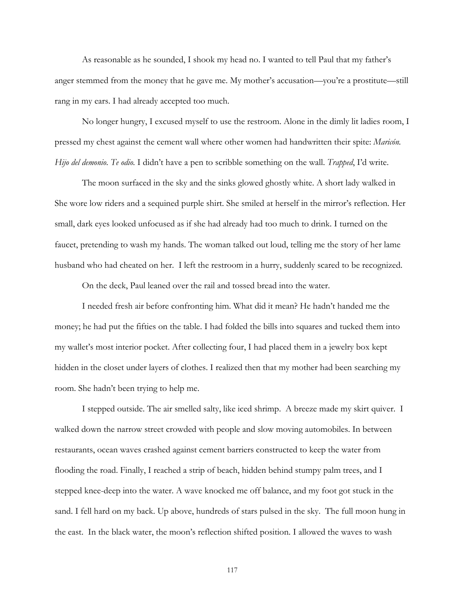As reasonable as he sounded, I shook my head no. I wanted to tell Paul that my father's anger stemmed from the money that he gave me. My mother's accusation—you're a prostitute—still rang in my ears. I had already accepted too much.

No longer hungry, I excused myself to use the restroom. Alone in the dimly lit ladies room, I pressed my chest against the cement wall where other women had handwritten their spite: *Maricón. Hijo del demonio. Te odio.* I didn't have a pen to scribble something on the wall. *Trapped*, I'd write.

The moon surfaced in the sky and the sinks glowed ghostly white. A short lady walked in She wore low riders and a sequined purple shirt. She smiled at herself in the mirror's reflection. Her small, dark eyes looked unfocused as if she had already had too much to drink. I turned on the faucet, pretending to wash my hands. The woman talked out loud, telling me the story of her lame husband who had cheated on her. I left the restroom in a hurry, suddenly scared to be recognized.

On the deck, Paul leaned over the rail and tossed bread into the water.

I needed fresh air before confronting him. What did it mean? He hadn't handed me the money; he had put the fifties on the table. I had folded the bills into squares and tucked them into my wallet's most interior pocket. After collecting four, I had placed them in a jewelry box kept hidden in the closet under layers of clothes. I realized then that my mother had been searching my room. She hadn't been trying to help me.

I stepped outside. The air smelled salty, like iced shrimp. A breeze made my skirt quiver. I walked down the narrow street crowded with people and slow moving automobiles. In between restaurants, ocean waves crashed against cement barriers constructed to keep the water from flooding the road. Finally, I reached a strip of beach, hidden behind stumpy palm trees, and I stepped knee-deep into the water. A wave knocked me off balance, and my foot got stuck in the sand. I fell hard on my back. Up above, hundreds of stars pulsed in the sky. The full moon hung in the east. In the black water, the moon's reflection shifted position. I allowed the waves to wash

117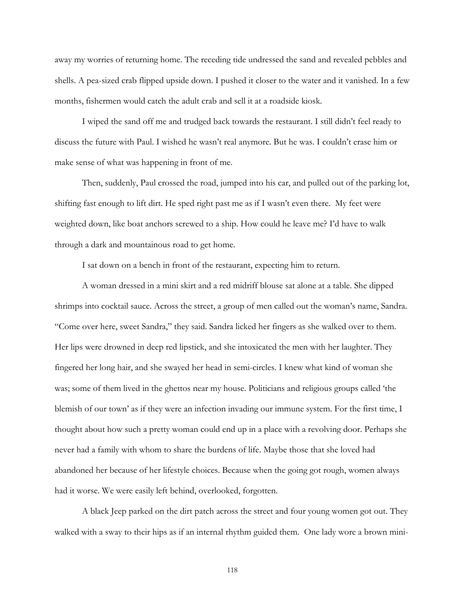away my worries of returning home. The receding tide undressed the sand and revealed pebbles and shells. A pea-sized crab flipped upside down. I pushed it closer to the water and it vanished. In a few months, fishermen would catch the adult crab and sell it at a roadside kiosk.

I wiped the sand off me and trudged back towards the restaurant. I still didn't feel ready to discuss the future with Paul. I wished he wasn't real anymore. But he was. I couldn't erase him or make sense of what was happening in front of me.

Then, suddenly, Paul crossed the road, jumped into his car, and pulled out of the parking lot, shifting fast enough to lift dirt. He sped right past me as if I wasn't even there. My feet were weighted down, like boat anchors screwed to a ship. How could he leave me? I'd have to walk through a dark and mountainous road to get home.

I sat down on a bench in front of the restaurant, expecting him to return.

A woman dressed in a mini skirt and a red midriff blouse sat alone at a table. She dipped shrimps into cocktail sauce. Across the street, a group of men called out the woman's name, Sandra. "Come over here, sweet Sandra," they said. Sandra licked her fingers as she walked over to them. Her lips were drowned in deep red lipstick, and she intoxicated the men with her laughter. They fingered her long hair, and she swayed her head in semi-circles. I knew what kind of woman she was; some of them lived in the ghettos near my house. Politicians and religious groups called 'the blemish of our town' as if they were an infection invading our immune system. For the first time, I thought about how such a pretty woman could end up in a place with a revolving door. Perhaps she never had a family with whom to share the burdens of life. Maybe those that she loved had abandoned her because of her lifestyle choices. Because when the going got rough, women always had it worse. We were easily left behind, overlooked, forgotten.

A black Jeep parked on the dirt patch across the street and four young women got out. They walked with a sway to their hips as if an internal rhythm guided them. One lady wore a brown mini-

118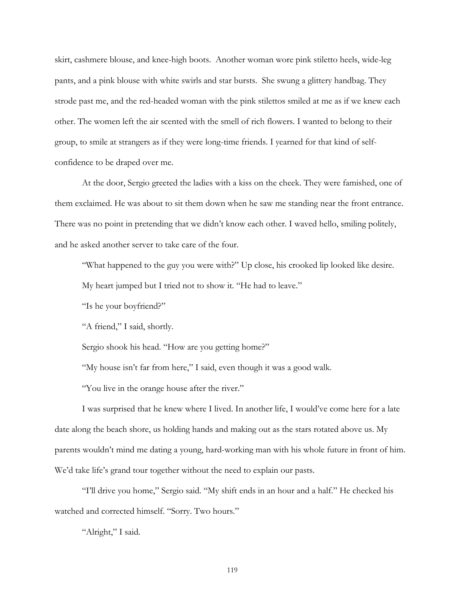skirt, cashmere blouse, and knee-high boots. Another woman wore pink stiletto heels, wide-leg pants, and a pink blouse with white swirls and star bursts. She swung a glittery handbag. They strode past me, and the red-headed woman with the pink stilettos smiled at me as if we knew each other. The women left the air scented with the smell of rich flowers. I wanted to belong to their group, to smile at strangers as if they were long-time friends. I yearned for that kind of selfconfidence to be draped over me.

At the door, Sergio greeted the ladies with a kiss on the cheek. They were famished, one of them exclaimed. He was about to sit them down when he saw me standing near the front entrance. There was no point in pretending that we didn't know each other. I waved hello, smiling politely, and he asked another server to take care of the four.

"What happened to the guy you were with?" Up close, his crooked lip looked like desire.

My heart jumped but I tried not to show it. "He had to leave."

"Is he your boyfriend?"

"A friend," I said, shortly.

Sergio shook his head. "How are you getting home?"

"My house isn't far from here," I said, even though it was a good walk.

"You live in the orange house after the river."

I was surprised that he knew where I lived. In another life, I would've come here for a late date along the beach shore, us holding hands and making out as the stars rotated above us. My parents wouldn't mind me dating a young, hard-working man with his whole future in front of him. We'd take life's grand tour together without the need to explain our pasts.

"I'll drive you home," Sergio said. "My shift ends in an hour and a half." He checked his watched and corrected himself. "Sorry. Two hours."

"Alright," I said.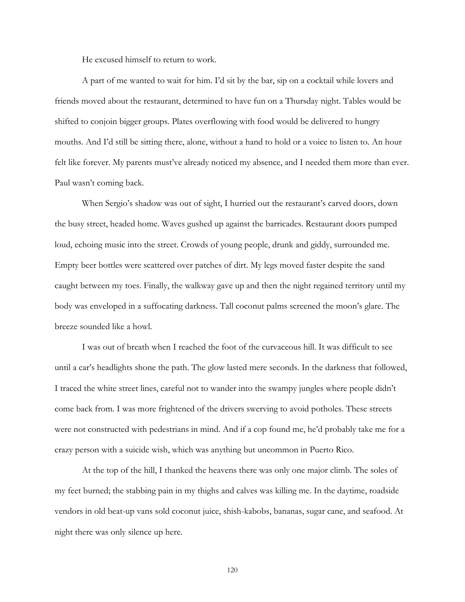He excused himself to return to work.

A part of me wanted to wait for him. I'd sit by the bar, sip on a cocktail while lovers and friends moved about the restaurant, determined to have fun on a Thursday night. Tables would be shifted to conjoin bigger groups. Plates overflowing with food would be delivered to hungry mouths. And I'd still be sitting there, alone, without a hand to hold or a voice to listen to. An hour felt like forever. My parents must've already noticed my absence, and I needed them more than ever. Paul wasn't coming back.

When Sergio's shadow was out of sight, I hurried out the restaurant's carved doors, down the busy street, headed home. Waves gushed up against the barricades. Restaurant doors pumped loud, echoing music into the street. Crowds of young people, drunk and giddy, surrounded me. Empty beer bottles were scattered over patches of dirt. My legs moved faster despite the sand caught between my toes. Finally, the walkway gave up and then the night regained territory until my body was enveloped in a suffocating darkness. Tall coconut palms screened the moon's glare. The breeze sounded like a howl.

I was out of breath when I reached the foot of the curvaceous hill. It was difficult to see until a car's headlights shone the path. The glow lasted mere seconds. In the darkness that followed, I traced the white street lines, careful not to wander into the swampy jungles where people didn't come back from. I was more frightened of the drivers swerving to avoid potholes. These streets were not constructed with pedestrians in mind. And if a cop found me, he'd probably take me for a crazy person with a suicide wish, which was anything but uncommon in Puerto Rico.

At the top of the hill, I thanked the heavens there was only one major climb. The soles of my feet burned; the stabbing pain in my thighs and calves was killing me. In the daytime, roadside vendors in old beat-up vans sold coconut juice, shish-kabobs, bananas, sugar cane, and seafood. At night there was only silence up here.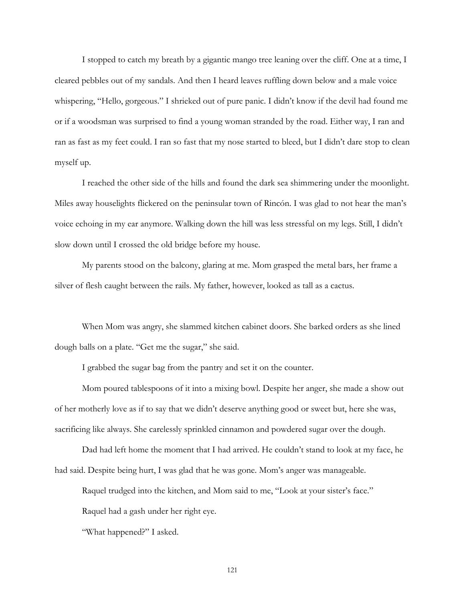I stopped to catch my breath by a gigantic mango tree leaning over the cliff. One at a time, I cleared pebbles out of my sandals. And then I heard leaves ruffling down below and a male voice whispering, "Hello, gorgeous." I shrieked out of pure panic. I didn't know if the devil had found me or if a woodsman was surprised to find a young woman stranded by the road. Either way, I ran and ran as fast as my feet could. I ran so fast that my nose started to bleed, but I didn't dare stop to clean myself up.

I reached the other side of the hills and found the dark sea shimmering under the moonlight. Miles away houselights flickered on the peninsular town of Rincón. I was glad to not hear the man's voice echoing in my ear anymore. Walking down the hill was less stressful on my legs. Still, I didn't slow down until I crossed the old bridge before my house.

My parents stood on the balcony, glaring at me. Mom grasped the metal bars, her frame a silver of flesh caught between the rails. My father, however, looked as tall as a cactus.

When Mom was angry, she slammed kitchen cabinet doors. She barked orders as she lined dough balls on a plate. "Get me the sugar," she said.

I grabbed the sugar bag from the pantry and set it on the counter.

Mom poured tablespoons of it into a mixing bowl. Despite her anger, she made a show out of her motherly love as if to say that we didn't deserve anything good or sweet but, here she was, sacrificing like always. She carelessly sprinkled cinnamon and powdered sugar over the dough.

Dad had left home the moment that I had arrived. He couldn't stand to look at my face, he had said. Despite being hurt, I was glad that he was gone. Mom's anger was manageable.

Raquel trudged into the kitchen, and Mom said to me, "Look at your sister's face."

Raquel had a gash under her right eye.

"What happened?" I asked.

121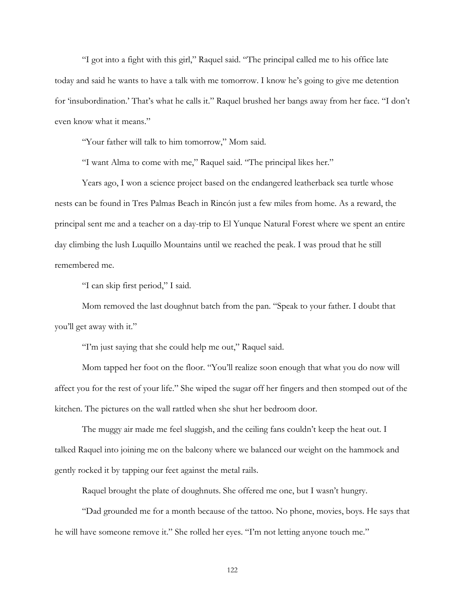"I got into a fight with this girl," Raquel said. "The principal called me to his office late today and said he wants to have a talk with me tomorrow. I know he's going to give me detention for 'insubordination.' That's what he calls it." Raquel brushed her bangs away from her face. "I don't even know what it means."

"Your father will talk to him tomorrow," Mom said.

"I want Alma to come with me," Raquel said. "The principal likes her."

Years ago, I won a science project based on the endangered leatherback sea turtle whose nests can be found in Tres Palmas Beach in Rincón just a few miles from home. As a reward, the principal sent me and a teacher on a day-trip to El Yunque Natural Forest where we spent an entire day climbing the lush Luquillo Mountains until we reached the peak. I was proud that he still remembered me.

"I can skip first period," I said.

Mom removed the last doughnut batch from the pan. "Speak to your father. I doubt that you'll get away with it."

"I'm just saying that she could help me out," Raquel said.

Mom tapped her foot on the floor. "You'll realize soon enough that what you do now will affect you for the rest of your life." She wiped the sugar off her fingers and then stomped out of the kitchen. The pictures on the wall rattled when she shut her bedroom door.

The muggy air made me feel sluggish, and the ceiling fans couldn't keep the heat out. I talked Raquel into joining me on the balcony where we balanced our weight on the hammock and gently rocked it by tapping our feet against the metal rails.

Raquel brought the plate of doughnuts. She offered me one, but I wasn't hungry.

"Dad grounded me for a month because of the tattoo. No phone, movies, boys. He says that he will have someone remove it." She rolled her eyes. "I'm not letting anyone touch me."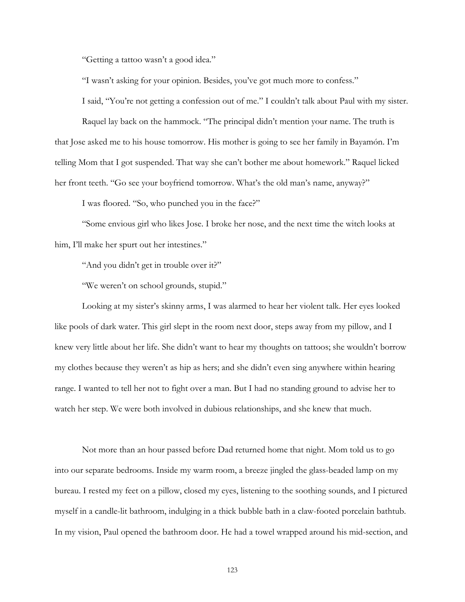"Getting a tattoo wasn't a good idea."

"I wasn't asking for your opinion. Besides, you've got much more to confess."

I said, "You're not getting a confession out of me." I couldn't talk about Paul with my sister.

Raquel lay back on the hammock. "The principal didn't mention your name. The truth is that Jose asked me to his house tomorrow. His mother is going to see her family in Bayamón. I'm telling Mom that I got suspended. That way she can't bother me about homework." Raquel licked her front teeth. "Go see your boyfriend tomorrow. What's the old man's name, anyway?"

I was floored. "So, who punched you in the face?"

"Some envious girl who likes Jose. I broke her nose, and the next time the witch looks at him, I'll make her spurt out her intestines."

"And you didn't get in trouble over it?"

"We weren't on school grounds, stupid."

Looking at my sister's skinny arms, I was alarmed to hear her violent talk. Her eyes looked like pools of dark water. This girl slept in the room next door, steps away from my pillow, and I knew very little about her life. She didn't want to hear my thoughts on tattoos; she wouldn't borrow my clothes because they weren't as hip as hers; and she didn't even sing anywhere within hearing range. I wanted to tell her not to fight over a man. But I had no standing ground to advise her to watch her step. We were both involved in dubious relationships, and she knew that much.

Not more than an hour passed before Dad returned home that night. Mom told us to go into our separate bedrooms. Inside my warm room, a breeze jingled the glass-beaded lamp on my bureau. I rested my feet on a pillow, closed my eyes, listening to the soothing sounds, and I pictured myself in a candle-lit bathroom, indulging in a thick bubble bath in a claw-footed porcelain bathtub. In my vision, Paul opened the bathroom door. He had a towel wrapped around his mid-section, and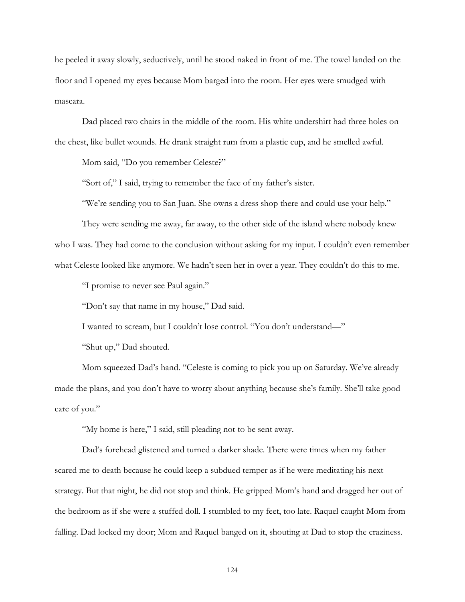he peeled it away slowly, seductively, until he stood naked in front of me. The towel landed on the floor and I opened my eyes because Mom barged into the room. Her eyes were smudged with mascara.

Dad placed two chairs in the middle of the room. His white undershirt had three holes on the chest, like bullet wounds. He drank straight rum from a plastic cup, and he smelled awful.

Mom said, "Do you remember Celeste?"

"Sort of," I said, trying to remember the face of my father's sister.

"We're sending you to San Juan. She owns a dress shop there and could use your help."

They were sending me away, far away, to the other side of the island where nobody knew who I was. They had come to the conclusion without asking for my input. I couldn't even remember what Celeste looked like anymore. We hadn't seen her in over a year. They couldn't do this to me.

"I promise to never see Paul again."

"Don't say that name in my house," Dad said.

I wanted to scream, but I couldn't lose control. "You don't understand—"

"Shut up," Dad shouted.

Mom squeezed Dad's hand. "Celeste is coming to pick you up on Saturday. We've already made the plans, and you don't have to worry about anything because she's family. She'll take good care of you."

"My home is here," I said, still pleading not to be sent away.

Dad's forehead glistened and turned a darker shade. There were times when my father scared me to death because he could keep a subdued temper as if he were meditating his next strategy. But that night, he did not stop and think. He gripped Mom's hand and dragged her out of the bedroom as if she were a stuffed doll. I stumbled to my feet, too late. Raquel caught Mom from falling. Dad locked my door; Mom and Raquel banged on it, shouting at Dad to stop the craziness.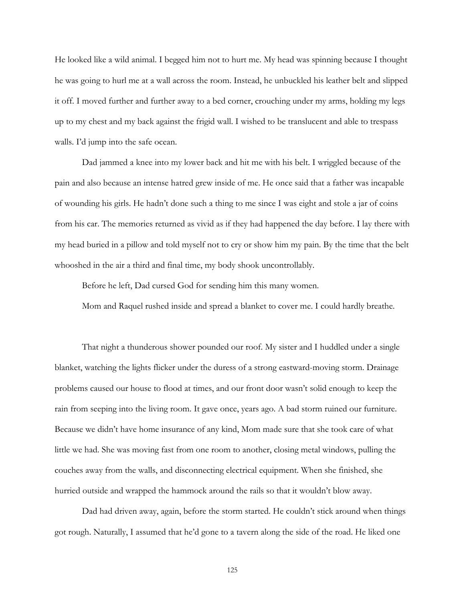He looked like a wild animal. I begged him not to hurt me. My head was spinning because I thought he was going to hurl me at a wall across the room. Instead, he unbuckled his leather belt and slipped it off. I moved further and further away to a bed corner, crouching under my arms, holding my legs up to my chest and my back against the frigid wall. I wished to be translucent and able to trespass walls. I'd jump into the safe ocean.

Dad jammed a knee into my lower back and hit me with his belt. I wriggled because of the pain and also because an intense hatred grew inside of me. He once said that a father was incapable of wounding his girls. He hadn't done such a thing to me since I was eight and stole a jar of coins from his car. The memories returned as vivid as if they had happened the day before. I lay there with my head buried in a pillow and told myself not to cry or show him my pain. By the time that the belt whooshed in the air a third and final time, my body shook uncontrollably.

Before he left, Dad cursed God for sending him this many women.

Mom and Raquel rushed inside and spread a blanket to cover me. I could hardly breathe.

That night a thunderous shower pounded our roof. My sister and I huddled under a single blanket, watching the lights flicker under the duress of a strong eastward-moving storm. Drainage problems caused our house to flood at times, and our front door wasn't solid enough to keep the rain from seeping into the living room. It gave once, years ago. A bad storm ruined our furniture. Because we didn't have home insurance of any kind, Mom made sure that she took care of what little we had. She was moving fast from one room to another, closing metal windows, pulling the couches away from the walls, and disconnecting electrical equipment. When she finished, she hurried outside and wrapped the hammock around the rails so that it wouldn't blow away.

Dad had driven away, again, before the storm started. He couldn't stick around when things got rough. Naturally, I assumed that he'd gone to a tavern along the side of the road. He liked one

125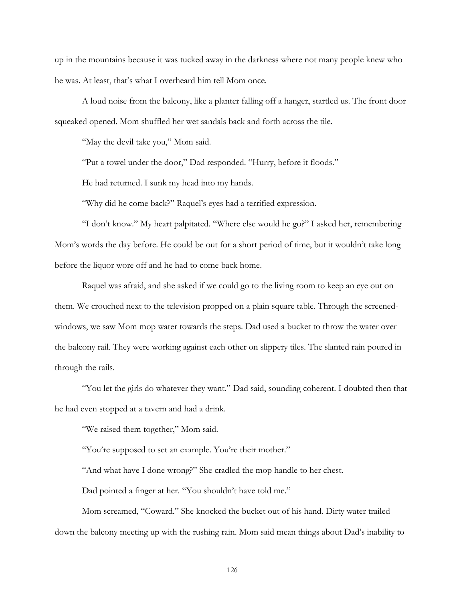up in the mountains because it was tucked away in the darkness where not many people knew who he was. At least, that's what I overheard him tell Mom once.

A loud noise from the balcony, like a planter falling off a hanger, startled us. The front door squeaked opened. Mom shuffled her wet sandals back and forth across the tile.

"May the devil take you," Mom said.

"Put a towel under the door," Dad responded. "Hurry, before it floods."

He had returned. I sunk my head into my hands.

"Why did he come back?" Raquel's eyes had a terrified expression.

 "I don't know." My heart palpitated. "Where else would he go?" I asked her, remembering Mom's words the day before. He could be out for a short period of time, but it wouldn't take long before the liquor wore off and he had to come back home.

 Raquel was afraid, and she asked if we could go to the living room to keep an eye out on them. We crouched next to the television propped on a plain square table. Through the screenedwindows, we saw Mom mop water towards the steps. Dad used a bucket to throw the water over the balcony rail. They were working against each other on slippery tiles. The slanted rain poured in through the rails.

"You let the girls do whatever they want." Dad said, sounding coherent. I doubted then that he had even stopped at a tavern and had a drink.

"We raised them together," Mom said.

"You're supposed to set an example. You're their mother."

"And what have I done wrong?" She cradled the mop handle to her chest.

Dad pointed a finger at her. "You shouldn't have told me."

Mom screamed, "Coward." She knocked the bucket out of his hand. Dirty water trailed down the balcony meeting up with the rushing rain. Mom said mean things about Dad's inability to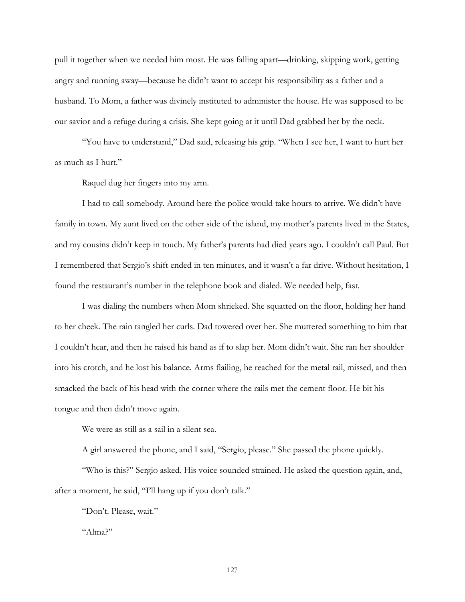pull it together when we needed him most. He was falling apart—drinking, skipping work, getting angry and running away—because he didn't want to accept his responsibility as a father and a husband. To Mom, a father was divinely instituted to administer the house. He was supposed to be our savior and a refuge during a crisis. She kept going at it until Dad grabbed her by the neck.

"You have to understand," Dad said, releasing his grip. "When I see her, I want to hurt her as much as I hurt."

Raquel dug her fingers into my arm.

I had to call somebody. Around here the police would take hours to arrive. We didn't have family in town. My aunt lived on the other side of the island, my mother's parents lived in the States, and my cousins didn't keep in touch. My father's parents had died years ago. I couldn't call Paul. But I remembered that Sergio's shift ended in ten minutes, and it wasn't a far drive. Without hesitation, I found the restaurant's number in the telephone book and dialed. We needed help, fast.

I was dialing the numbers when Mom shrieked. She squatted on the floor, holding her hand to her cheek. The rain tangled her curls. Dad towered over her. She muttered something to him that I couldn't hear, and then he raised his hand as if to slap her. Mom didn't wait. She ran her shoulder into his crotch, and he lost his balance. Arms flailing, he reached for the metal rail, missed, and then smacked the back of his head with the corner where the rails met the cement floor. He bit his tongue and then didn't move again.

We were as still as a sail in a silent sea.

A girl answered the phone, and I said, "Sergio, please." She passed the phone quickly.

"Who is this?" Sergio asked. His voice sounded strained. He asked the question again, and, after a moment, he said, "I'll hang up if you don't talk."

"Don't. Please, wait."

"Alma?"

127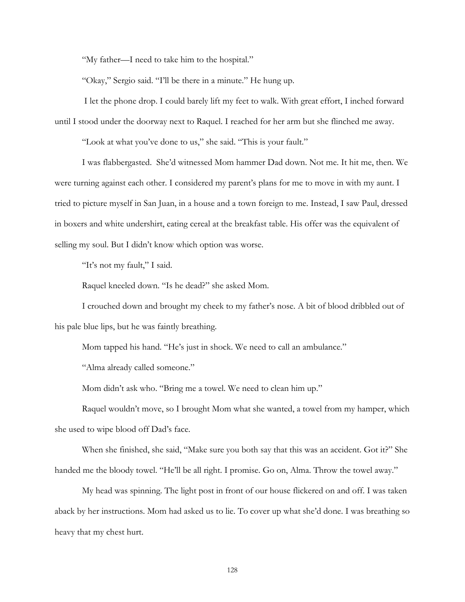"My father—I need to take him to the hospital."

"Okay," Sergio said. "I'll be there in a minute." He hung up.

 I let the phone drop. I could barely lift my feet to walk. With great effort, I inched forward until I stood under the doorway next to Raquel. I reached for her arm but she flinched me away.

"Look at what you've done to us," she said. "This is your fault."

I was flabbergasted. She'd witnessed Mom hammer Dad down. Not me. It hit me, then. We were turning against each other. I considered my parent's plans for me to move in with my aunt. I tried to picture myself in San Juan, in a house and a town foreign to me. Instead, I saw Paul, dressed in boxers and white undershirt, eating cereal at the breakfast table. His offer was the equivalent of selling my soul. But I didn't know which option was worse.

"It's not my fault," I said.

Raquel kneeled down. "Is he dead?" she asked Mom.

I crouched down and brought my cheek to my father's nose. A bit of blood dribbled out of his pale blue lips, but he was faintly breathing.

Mom tapped his hand. "He's just in shock. We need to call an ambulance."

"Alma already called someone."

Mom didn't ask who. "Bring me a towel. We need to clean him up."

Raquel wouldn't move, so I brought Mom what she wanted, a towel from my hamper, which she used to wipe blood off Dad's face.

When she finished, she said, "Make sure you both say that this was an accident. Got it?" She handed me the bloody towel. "He'll be all right. I promise. Go on, Alma. Throw the towel away."

My head was spinning. The light post in front of our house flickered on and off. I was taken aback by her instructions. Mom had asked us to lie. To cover up what she'd done. I was breathing so heavy that my chest hurt.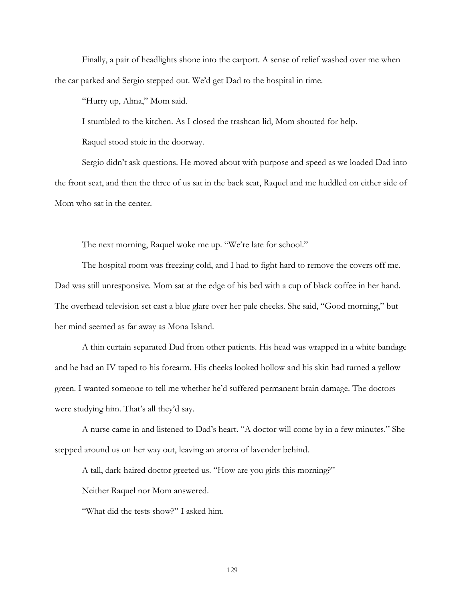Finally, a pair of headlights shone into the carport. A sense of relief washed over me when the car parked and Sergio stepped out. We'd get Dad to the hospital in time.

"Hurry up, Alma," Mom said.

I stumbled to the kitchen. As I closed the trashcan lid, Mom shouted for help.

Raquel stood stoic in the doorway.

Sergio didn't ask questions. He moved about with purpose and speed as we loaded Dad into the front seat, and then the three of us sat in the back seat, Raquel and me huddled on either side of Mom who sat in the center.

The next morning, Raquel woke me up. "We're late for school."

The hospital room was freezing cold, and I had to fight hard to remove the covers off me. Dad was still unresponsive. Mom sat at the edge of his bed with a cup of black coffee in her hand. The overhead television set cast a blue glare over her pale cheeks. She said, "Good morning," but her mind seemed as far away as Mona Island.

A thin curtain separated Dad from other patients. His head was wrapped in a white bandage and he had an IV taped to his forearm. His cheeks looked hollow and his skin had turned a yellow green. I wanted someone to tell me whether he'd suffered permanent brain damage. The doctors were studying him. That's all they'd say.

A nurse came in and listened to Dad's heart. "A doctor will come by in a few minutes." She stepped around us on her way out, leaving an aroma of lavender behind.

A tall, dark-haired doctor greeted us. "How are you girls this morning?"

Neither Raquel nor Mom answered.

"What did the tests show?" I asked him.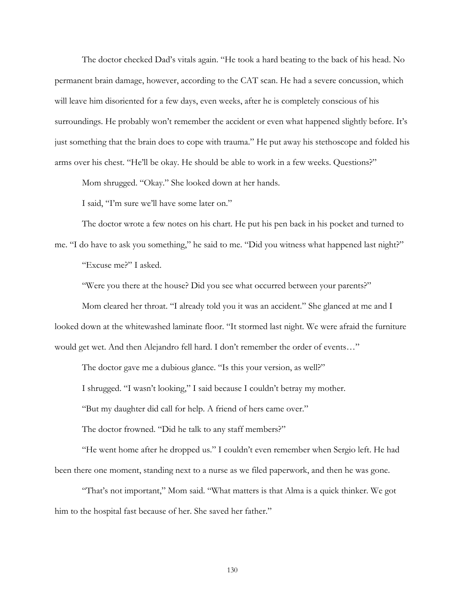The doctor checked Dad's vitals again. "He took a hard beating to the back of his head. No permanent brain damage, however, according to the CAT scan. He had a severe concussion, which will leave him disoriented for a few days, even weeks, after he is completely conscious of his surroundings. He probably won't remember the accident or even what happened slightly before. It's just something that the brain does to cope with trauma." He put away his stethoscope and folded his arms over his chest. "He'll be okay. He should be able to work in a few weeks. Questions?"

Mom shrugged. "Okay." She looked down at her hands.

I said, "I'm sure we'll have some later on."

The doctor wrote a few notes on his chart. He put his pen back in his pocket and turned to me. "I do have to ask you something," he said to me. "Did you witness what happened last night?"

"Excuse me?" I asked.

"Were you there at the house? Did you see what occurred between your parents?"

Mom cleared her throat. "I already told you it was an accident." She glanced at me and I looked down at the whitewashed laminate floor. "It stormed last night. We were afraid the furniture would get wet. And then Alejandro fell hard. I don't remember the order of events..."

The doctor gave me a dubious glance. "Is this your version, as well?"

I shrugged. "I wasn't looking," I said because I couldn't betray my mother.

"But my daughter did call for help. A friend of hers came over."

The doctor frowned. "Did he talk to any staff members?"

"He went home after he dropped us." I couldn't even remember when Sergio left. He had been there one moment, standing next to a nurse as we filed paperwork, and then he was gone.

"That's not important," Mom said. "What matters is that Alma is a quick thinker. We got him to the hospital fast because of her. She saved her father."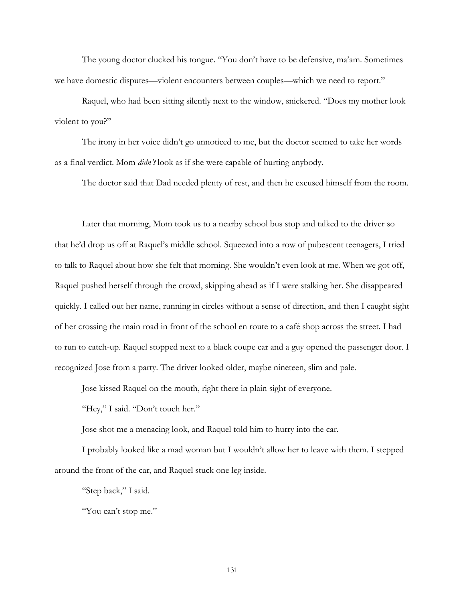The young doctor clucked his tongue. "You don't have to be defensive, ma'am. Sometimes we have domestic disputes—violent encounters between couples—which we need to report."

Raquel, who had been sitting silently next to the window, snickered. "Does my mother look violent to you?"

The irony in her voice didn't go unnoticed to me, but the doctor seemed to take her words as a final verdict. Mom *didn't* look as if she were capable of hurting anybody.

The doctor said that Dad needed plenty of rest, and then he excused himself from the room.

Later that morning, Mom took us to a nearby school bus stop and talked to the driver so that he'd drop us off at Raquel's middle school. Squeezed into a row of pubescent teenagers, I tried to talk to Raquel about how she felt that morning. She wouldn't even look at me. When we got off, Raquel pushed herself through the crowd, skipping ahead as if I were stalking her. She disappeared quickly. I called out her name, running in circles without a sense of direction, and then I caught sight of her crossing the main road in front of the school en route to a café shop across the street. I had to run to catch-up. Raquel stopped next to a black coupe car and a guy opened the passenger door. I recognized Jose from a party. The driver looked older, maybe nineteen, slim and pale.

Jose kissed Raquel on the mouth, right there in plain sight of everyone.

"Hey," I said. "Don't touch her."

Jose shot me a menacing look, and Raquel told him to hurry into the car.

 I probably looked like a mad woman but I wouldn't allow her to leave with them. I stepped around the front of the car, and Raquel stuck one leg inside.

"Step back," I said.

"You can't stop me."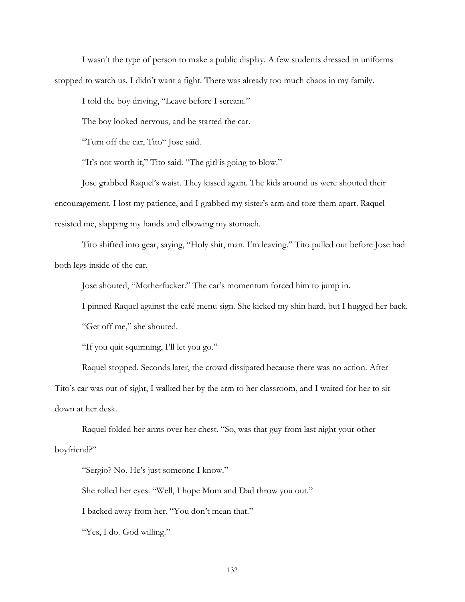I wasn't the type of person to make a public display. A few students dressed in uniforms stopped to watch us. I didn't want a fight. There was already too much chaos in my family.

I told the boy driving, "Leave before I scream."

The boy looked nervous, and he started the car.

"Turn off the car, Tito" Jose said.

"It's not worth it," Tito said. "The girl is going to blow."

Jose grabbed Raquel's waist. They kissed again. The kids around us were shouted their encouragement. I lost my patience, and I grabbed my sister's arm and tore them apart. Raquel resisted me, slapping my hands and elbowing my stomach.

Tito shifted into gear, saying, "Holy shit, man. I'm leaving." Tito pulled out before Jose had both legs inside of the car.

Jose shouted, "Motherfucker." The car's momentum forced him to jump in.

I pinned Raquel against the café menu sign. She kicked my shin hard, but I hugged her back.

"Get off me," she shouted.

"If you quit squirming, I'll let you go."

Raquel stopped. Seconds later, the crowd dissipated because there was no action. After Tito's car was out of sight, I walked her by the arm to her classroom, and I waited for her to sit down at her desk.

Raquel folded her arms over her chest. "So, was that guy from last night your other boyfriend?"

"Sergio? No. He's just someone I know."

She rolled her eyes. "Well, I hope Mom and Dad throw you out."

I backed away from her. "You don't mean that."

"Yes, I do. God willing."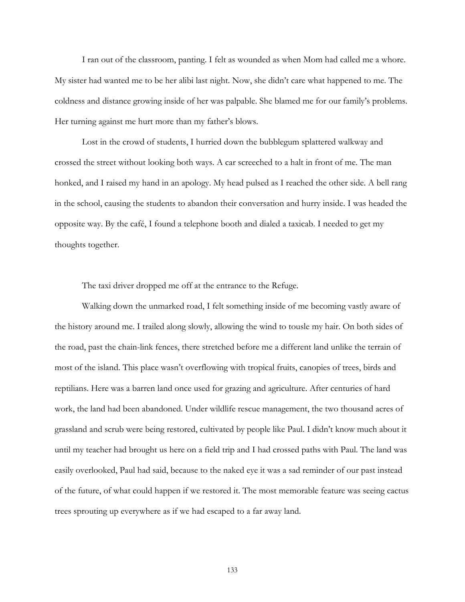I ran out of the classroom, panting. I felt as wounded as when Mom had called me a whore. My sister had wanted me to be her alibi last night. Now, she didn't care what happened to me. The coldness and distance growing inside of her was palpable. She blamed me for our family's problems. Her turning against me hurt more than my father's blows.

Lost in the crowd of students, I hurried down the bubblegum splattered walkway and crossed the street without looking both ways. A car screeched to a halt in front of me. The man honked, and I raised my hand in an apology. My head pulsed as I reached the other side. A bell rang in the school, causing the students to abandon their conversation and hurry inside. I was headed the opposite way. By the café, I found a telephone booth and dialed a taxicab. I needed to get my thoughts together.

The taxi driver dropped me off at the entrance to the Refuge.

Walking down the unmarked road, I felt something inside of me becoming vastly aware of the history around me. I trailed along slowly, allowing the wind to tousle my hair. On both sides of the road, past the chain-link fences, there stretched before me a different land unlike the terrain of most of the island. This place wasn't overflowing with tropical fruits, canopies of trees, birds and reptilians. Here was a barren land once used for grazing and agriculture. After centuries of hard work, the land had been abandoned. Under wildlife rescue management, the two thousand acres of grassland and scrub were being restored, cultivated by people like Paul. I didn't know much about it until my teacher had brought us here on a field trip and I had crossed paths with Paul. The land was easily overlooked, Paul had said, because to the naked eye it was a sad reminder of our past instead of the future, of what could happen if we restored it. The most memorable feature was seeing cactus trees sprouting up everywhere as if we had escaped to a far away land.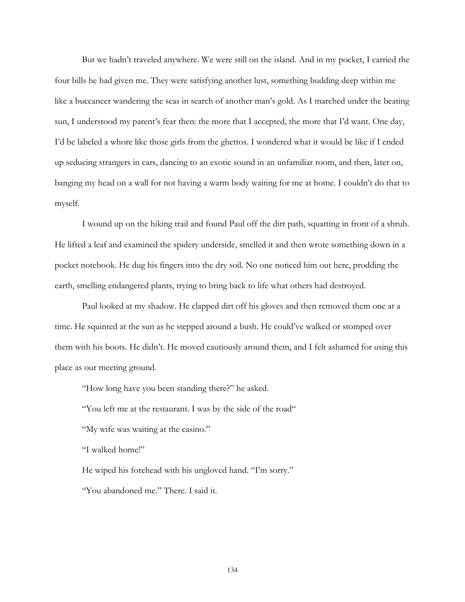But we hadn't traveled anywhere. We were still on the island. And in my pocket, I carried the four bills he had given me. They were satisfying another lust, something budding deep within me like a buccaneer wandering the seas in search of another man's gold. As I marched under the beating sun, I understood my parent's fear then: the more that I accepted, the more that I'd want. One day, I'd be labeled a whore like those girls from the ghettos. I wondered what it would be like if I ended up seducing strangers in cars, dancing to an exotic sound in an unfamiliar room, and then, later on, banging my head on a wall for not having a warm body waiting for me at home. I couldn't do that to myself.

I wound up on the hiking trail and found Paul off the dirt path, squatting in front of a shrub. He lifted a leaf and examined the spidery underside, smelled it and then wrote something down in a pocket notebook. He dug his fingers into the dry soil. No one noticed him out here, prodding the earth, smelling endangered plants, trying to bring back to life what others had destroyed.

Paul looked at my shadow. He clapped dirt off his gloves and then removed them one at a time. He squinted at the sun as he stepped around a bush. He could've walked or stomped over them with his boots. He didn't. He moved cautiously around them, and I felt ashamed for using this place as our meeting ground.

"How long have you been standing there?" he asked.

"You left me at the restaurant. I was by the side of the road"

"My wife was waiting at the casino."

"I walked home!"

He wiped his forehead with his ungloved hand. "I'm sorry."

"You abandoned me." There. I said it.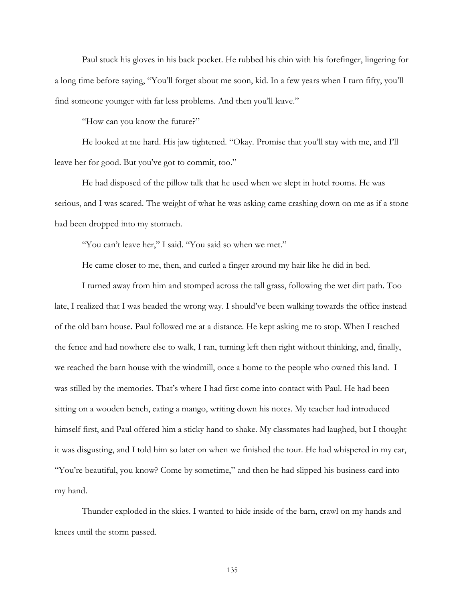Paul stuck his gloves in his back pocket. He rubbed his chin with his forefinger, lingering for a long time before saying, "You'll forget about me soon, kid. In a few years when I turn fifty, you'll find someone younger with far less problems. And then you'll leave."

"How can you know the future?"

 He looked at me hard. His jaw tightened. "Okay. Promise that you'll stay with me, and I'll leave her for good. But you've got to commit, too."

He had disposed of the pillow talk that he used when we slept in hotel rooms. He was serious, and I was scared. The weight of what he was asking came crashing down on me as if a stone had been dropped into my stomach.

"You can't leave her," I said. "You said so when we met."

He came closer to me, then, and curled a finger around my hair like he did in bed.

I turned away from him and stomped across the tall grass, following the wet dirt path. Too late, I realized that I was headed the wrong way. I should've been walking towards the office instead of the old barn house. Paul followed me at a distance. He kept asking me to stop. When I reached the fence and had nowhere else to walk, I ran, turning left then right without thinking, and, finally, we reached the barn house with the windmill, once a home to the people who owned this land. I was stilled by the memories. That's where I had first come into contact with Paul. He had been sitting on a wooden bench, eating a mango, writing down his notes. My teacher had introduced himself first, and Paul offered him a sticky hand to shake. My classmates had laughed, but I thought it was disgusting, and I told him so later on when we finished the tour. He had whispered in my ear, "You're beautiful, you know? Come by sometime," and then he had slipped his business card into my hand.

Thunder exploded in the skies. I wanted to hide inside of the barn, crawl on my hands and knees until the storm passed.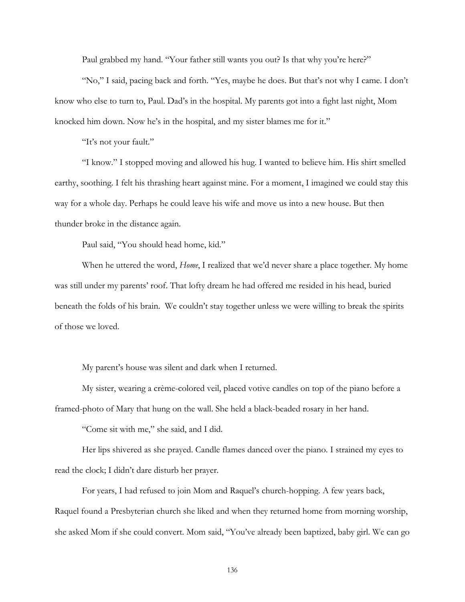Paul grabbed my hand. "Your father still wants you out? Is that why you're here?"

"No," I said, pacing back and forth. "Yes, maybe he does. But that's not why I came. I don't know who else to turn to, Paul. Dad's in the hospital. My parents got into a fight last night, Mom knocked him down. Now he's in the hospital, and my sister blames me for it."

"It's not your fault."

"I know." I stopped moving and allowed his hug. I wanted to believe him. His shirt smelled earthy, soothing. I felt his thrashing heart against mine. For a moment, I imagined we could stay this way for a whole day. Perhaps he could leave his wife and move us into a new house. But then thunder broke in the distance again.

Paul said, "You should head home, kid."

When he uttered the word, *Home*, I realized that we'd never share a place together. My home was still under my parents' roof. That lofty dream he had offered me resided in his head, buried beneath the folds of his brain. We couldn't stay together unless we were willing to break the spirits of those we loved.

My parent's house was silent and dark when I returned.

My sister, wearing a crème-colored veil, placed votive candles on top of the piano before a framed-photo of Mary that hung on the wall. She held a black-beaded rosary in her hand.

"Come sit with me," she said, and I did.

Her lips shivered as she prayed. Candle flames danced over the piano. I strained my eyes to read the clock; I didn't dare disturb her prayer.

For years, I had refused to join Mom and Raquel's church-hopping. A few years back, Raquel found a Presbyterian church she liked and when they returned home from morning worship, she asked Mom if she could convert. Mom said, "You've already been baptized, baby girl. We can go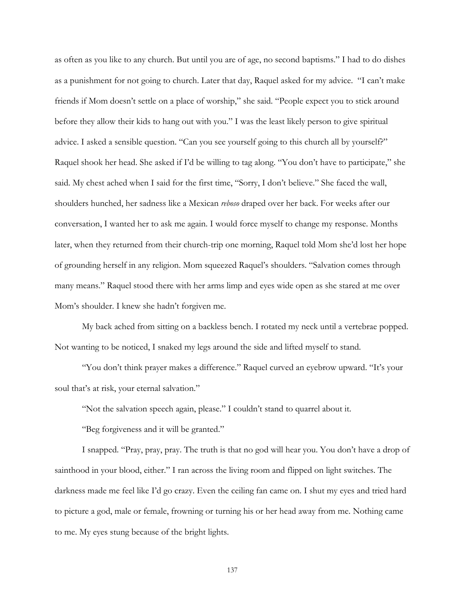as often as you like to any church. But until you are of age, no second baptisms." I had to do dishes as a punishment for not going to church. Later that day, Raquel asked for my advice. "I can't make friends if Mom doesn't settle on a place of worship," she said. "People expect you to stick around before they allow their kids to hang out with you." I was the least likely person to give spiritual advice. I asked a sensible question. "Can you see yourself going to this church all by yourself?" Raquel shook her head. She asked if I'd be willing to tag along. "You don't have to participate," she said. My chest ached when I said for the first time, "Sorry, I don't believe." She faced the wall, shoulders hunched, her sadness like a Mexican *reboso* draped over her back. For weeks after our conversation, I wanted her to ask me again. I would force myself to change my response. Months later, when they returned from their church-trip one morning, Raquel told Mom she'd lost her hope of grounding herself in any religion. Mom squeezed Raquel's shoulders. "Salvation comes through many means." Raquel stood there with her arms limp and eyes wide open as she stared at me over Mom's shoulder. I knew she hadn't forgiven me.

My back ached from sitting on a backless bench. I rotated my neck until a vertebrae popped. Not wanting to be noticed, I snaked my legs around the side and lifted myself to stand.

"You don't think prayer makes a difference." Raquel curved an eyebrow upward. "It's your soul that's at risk, your eternal salvation."

"Not the salvation speech again, please." I couldn't stand to quarrel about it.

"Beg forgiveness and it will be granted."

I snapped. "Pray, pray, pray. The truth is that no god will hear you. You don't have a drop of sainthood in your blood, either." I ran across the living room and flipped on light switches. The darkness made me feel like I'd go crazy. Even the ceiling fan came on. I shut my eyes and tried hard to picture a god, male or female, frowning or turning his or her head away from me. Nothing came to me. My eyes stung because of the bright lights.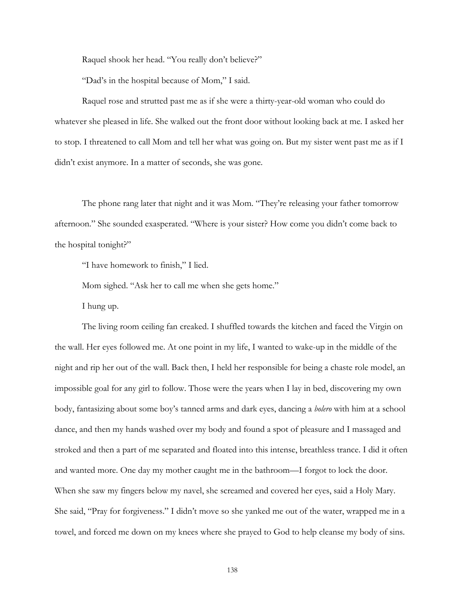Raquel shook her head. "You really don't believe?"

"Dad's in the hospital because of Mom," I said.

Raquel rose and strutted past me as if she were a thirty-year-old woman who could do whatever she pleased in life. She walked out the front door without looking back at me. I asked her to stop. I threatened to call Mom and tell her what was going on. But my sister went past me as if I didn't exist anymore. In a matter of seconds, she was gone.

The phone rang later that night and it was Mom. "They're releasing your father tomorrow afternoon." She sounded exasperated. "Where is your sister? How come you didn't come back to the hospital tonight?"

"I have homework to finish," I lied.

Mom sighed. "Ask her to call me when she gets home."

I hung up.

The living room ceiling fan creaked. I shuffled towards the kitchen and faced the Virgin on the wall. Her eyes followed me. At one point in my life, I wanted to wake-up in the middle of the night and rip her out of the wall. Back then, I held her responsible for being a chaste role model, an impossible goal for any girl to follow. Those were the years when I lay in bed, discovering my own body, fantasizing about some boy's tanned arms and dark eyes, dancing a *bolero* with him at a school dance, and then my hands washed over my body and found a spot of pleasure and I massaged and stroked and then a part of me separated and floated into this intense, breathless trance. I did it often and wanted more. One day my mother caught me in the bathroom—I forgot to lock the door. When she saw my fingers below my navel, she screamed and covered her eyes, said a Holy Mary. She said, "Pray for forgiveness." I didn't move so she yanked me out of the water, wrapped me in a towel, and forced me down on my knees where she prayed to God to help cleanse my body of sins.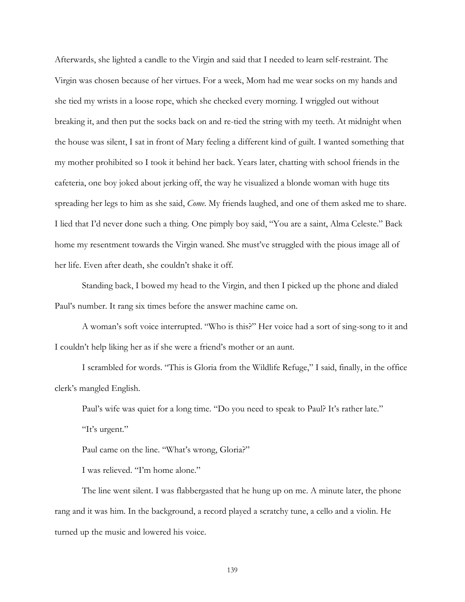Afterwards, she lighted a candle to the Virgin and said that I needed to learn self-restraint. The Virgin was chosen because of her virtues. For a week, Mom had me wear socks on my hands and she tied my wrists in a loose rope, which she checked every morning. I wriggled out without breaking it, and then put the socks back on and re-tied the string with my teeth. At midnight when the house was silent, I sat in front of Mary feeling a different kind of guilt. I wanted something that my mother prohibited so I took it behind her back. Years later, chatting with school friends in the cafeteria, one boy joked about jerking off, the way he visualized a blonde woman with huge tits spreading her legs to him as she said, *Come*. My friends laughed, and one of them asked me to share. I lied that I'd never done such a thing. One pimply boy said, "You are a saint, Alma Celeste." Back home my resentment towards the Virgin waned. She must've struggled with the pious image all of her life. Even after death, she couldn't shake it off.

Standing back, I bowed my head to the Virgin, and then I picked up the phone and dialed Paul's number. It rang six times before the answer machine came on.

A woman's soft voice interrupted. "Who is this?" Her voice had a sort of sing-song to it and I couldn't help liking her as if she were a friend's mother or an aunt.

 I scrambled for words. "This is Gloria from the Wildlife Refuge," I said, finally, in the office clerk's mangled English.

Paul's wife was quiet for a long time. "Do you need to speak to Paul? It's rather late."

"It's urgent."

Paul came on the line. "What's wrong, Gloria?"

I was relieved. "I'm home alone."

 The line went silent. I was flabbergasted that he hung up on me. A minute later, the phone rang and it was him. In the background, a record played a scratchy tune, a cello and a violin. He turned up the music and lowered his voice.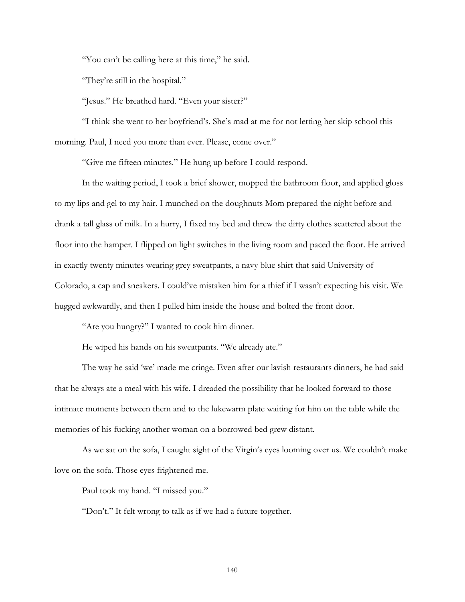"You can't be calling here at this time," he said.

"They're still in the hospital."

"Jesus." He breathed hard. "Even your sister?"

 "I think she went to her boyfriend's. She's mad at me for not letting her skip school this morning. Paul, I need you more than ever. Please, come over."

"Give me fifteen minutes." He hung up before I could respond.

In the waiting period, I took a brief shower, mopped the bathroom floor, and applied gloss to my lips and gel to my hair. I munched on the doughnuts Mom prepared the night before and drank a tall glass of milk. In a hurry, I fixed my bed and threw the dirty clothes scattered about the floor into the hamper. I flipped on light switches in the living room and paced the floor. He arrived in exactly twenty minutes wearing grey sweatpants, a navy blue shirt that said University of Colorado, a cap and sneakers. I could've mistaken him for a thief if I wasn't expecting his visit. We hugged awkwardly, and then I pulled him inside the house and bolted the front door.

"Are you hungry?" I wanted to cook him dinner.

He wiped his hands on his sweatpants. "We already ate."

The way he said 'we' made me cringe. Even after our lavish restaurants dinners, he had said that he always ate a meal with his wife. I dreaded the possibility that he looked forward to those intimate moments between them and to the lukewarm plate waiting for him on the table while the memories of his fucking another woman on a borrowed bed grew distant.

As we sat on the sofa, I caught sight of the Virgin's eyes looming over us. We couldn't make love on the sofa. Those eyes frightened me.

Paul took my hand. "I missed you."

"Don't." It felt wrong to talk as if we had a future together.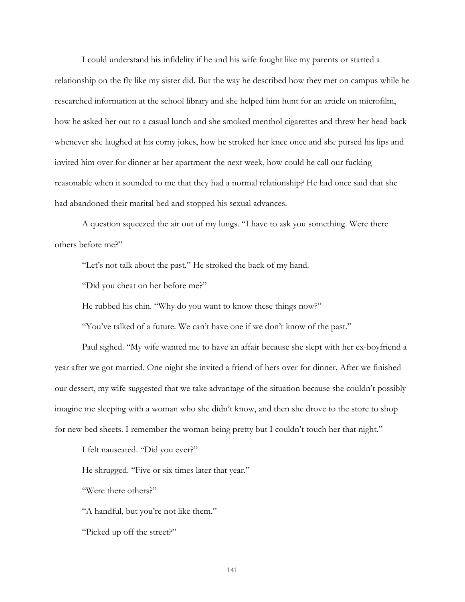I could understand his infidelity if he and his wife fought like my parents or started a relationship on the fly like my sister did. But the way he described how they met on campus while he researched information at the school library and she helped him hunt for an article on microfilm, how he asked her out to a casual lunch and she smoked menthol cigarettes and threw her head back whenever she laughed at his corny jokes, how he stroked her knee once and she pursed his lips and invited him over for dinner at her apartment the next week, how could he call our fucking reasonable when it sounded to me that they had a normal relationship? He had once said that she had abandoned their marital bed and stopped his sexual advances.

A question squeezed the air out of my lungs. "I have to ask you something. Were there others before me?"

"Let's not talk about the past." He stroked the back of my hand.

"Did you cheat on her before me?"

He rubbed his chin. "Why do you want to know these things now?"

"You've talked of a future. We can't have one if we don't know of the past."

Paul sighed. "My wife wanted me to have an affair because she slept with her ex-boyfriend a year after we got married. One night she invited a friend of hers over for dinner. After we finished our dessert, my wife suggested that we take advantage of the situation because she couldn't possibly imagine me sleeping with a woman who she didn't know, and then she drove to the store to shop for new bed sheets. I remember the woman being pretty but I couldn't touch her that night."

I felt nauseated. "Did you ever?"

He shrugged. "Five or six times later that year."

"Were there others?"

"A handful, but you're not like them."

"Picked up off the street?"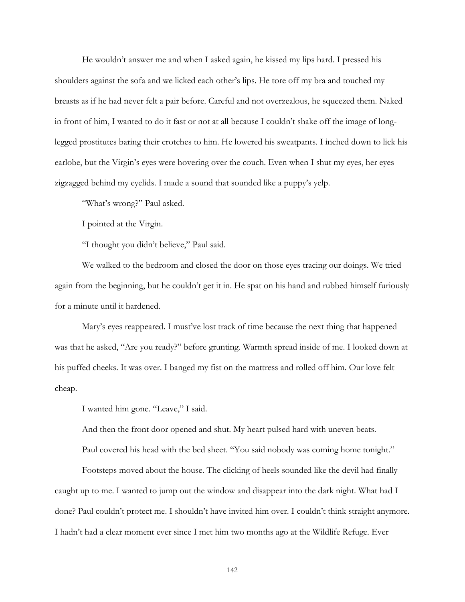He wouldn't answer me and when I asked again, he kissed my lips hard. I pressed his shoulders against the sofa and we licked each other's lips. He tore off my bra and touched my breasts as if he had never felt a pair before. Careful and not overzealous, he squeezed them. Naked in front of him, I wanted to do it fast or not at all because I couldn't shake off the image of longlegged prostitutes baring their crotches to him. He lowered his sweatpants. I inched down to lick his earlobe, but the Virgin's eyes were hovering over the couch. Even when I shut my eyes, her eyes zigzagged behind my eyelids. I made a sound that sounded like a puppy's yelp.

"What's wrong?" Paul asked.

I pointed at the Virgin.

"I thought you didn't believe," Paul said.

We walked to the bedroom and closed the door on those eyes tracing our doings. We tried again from the beginning, but he couldn't get it in. He spat on his hand and rubbed himself furiously for a minute until it hardened.

Mary's eyes reappeared. I must've lost track of time because the next thing that happened was that he asked, "Are you ready?" before grunting. Warmth spread inside of me. I looked down at his puffed cheeks. It was over. I banged my fist on the mattress and rolled off him. Our love felt cheap.

I wanted him gone. "Leave," I said.

And then the front door opened and shut. My heart pulsed hard with uneven beats.

Paul covered his head with the bed sheet. "You said nobody was coming home tonight."

Footsteps moved about the house. The clicking of heels sounded like the devil had finally caught up to me. I wanted to jump out the window and disappear into the dark night. What had I done? Paul couldn't protect me. I shouldn't have invited him over. I couldn't think straight anymore. I hadn't had a clear moment ever since I met him two months ago at the Wildlife Refuge. Ever

142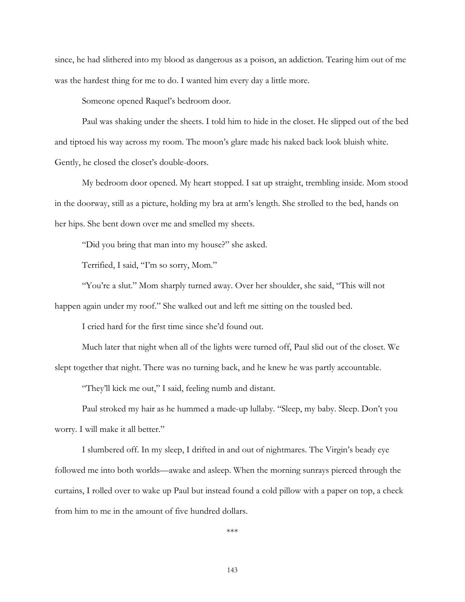since, he had slithered into my blood as dangerous as a poison, an addiction. Tearing him out of me was the hardest thing for me to do. I wanted him every day a little more.

Someone opened Raquel's bedroom door.

Paul was shaking under the sheets. I told him to hide in the closet. He slipped out of the bed and tiptoed his way across my room. The moon's glare made his naked back look bluish white. Gently, he closed the closet's double-doors.

My bedroom door opened. My heart stopped. I sat up straight, trembling inside. Mom stood in the doorway, still as a picture, holding my bra at arm's length. She strolled to the bed, hands on her hips. She bent down over me and smelled my sheets.

"Did you bring that man into my house?" she asked.

Terrified, I said, "I'm so sorry, Mom."

"You're a slut." Mom sharply turned away. Over her shoulder, she said, "This will not happen again under my roof." She walked out and left me sitting on the tousled bed.

I cried hard for the first time since she'd found out.

Much later that night when all of the lights were turned off, Paul slid out of the closet. We slept together that night. There was no turning back, and he knew he was partly accountable.

"They'll kick me out," I said, feeling numb and distant.

Paul stroked my hair as he hummed a made-up lullaby. "Sleep, my baby. Sleep. Don't you worry. I will make it all better."

I slumbered off. In my sleep, I drifted in and out of nightmares. The Virgin's beady eye followed me into both worlds—awake and asleep. When the morning sunrays pierced through the curtains, I rolled over to wake up Paul but instead found a cold pillow with a paper on top, a check from him to me in the amount of five hundred dollars.

\*\*\*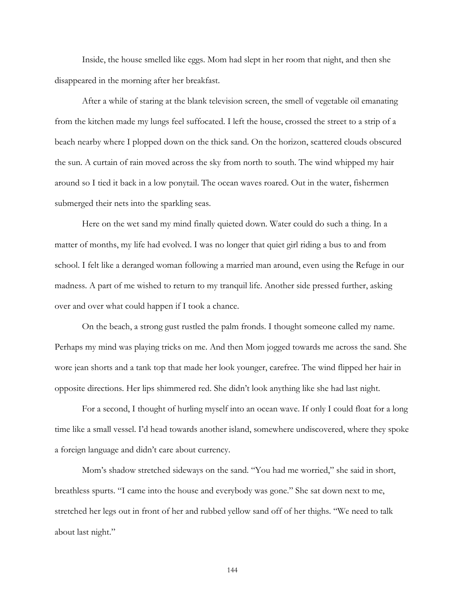Inside, the house smelled like eggs. Mom had slept in her room that night, and then she disappeared in the morning after her breakfast.

After a while of staring at the blank television screen, the smell of vegetable oil emanating from the kitchen made my lungs feel suffocated. I left the house, crossed the street to a strip of a beach nearby where I plopped down on the thick sand. On the horizon, scattered clouds obscured the sun. A curtain of rain moved across the sky from north to south. The wind whipped my hair around so I tied it back in a low ponytail. The ocean waves roared. Out in the water, fishermen submerged their nets into the sparkling seas.

Here on the wet sand my mind finally quieted down. Water could do such a thing. In a matter of months, my life had evolved. I was no longer that quiet girl riding a bus to and from school. I felt like a deranged woman following a married man around, even using the Refuge in our madness. A part of me wished to return to my tranquil life. Another side pressed further, asking over and over what could happen if I took a chance.

On the beach, a strong gust rustled the palm fronds. I thought someone called my name. Perhaps my mind was playing tricks on me. And then Mom jogged towards me across the sand. She wore jean shorts and a tank top that made her look younger, carefree. The wind flipped her hair in opposite directions. Her lips shimmered red. She didn't look anything like she had last night.

For a second, I thought of hurling myself into an ocean wave. If only I could float for a long time like a small vessel. I'd head towards another island, somewhere undiscovered, where they spoke a foreign language and didn't care about currency.

Mom's shadow stretched sideways on the sand. "You had me worried," she said in short, breathless spurts. "I came into the house and everybody was gone." She sat down next to me, stretched her legs out in front of her and rubbed yellow sand off of her thighs. "We need to talk about last night."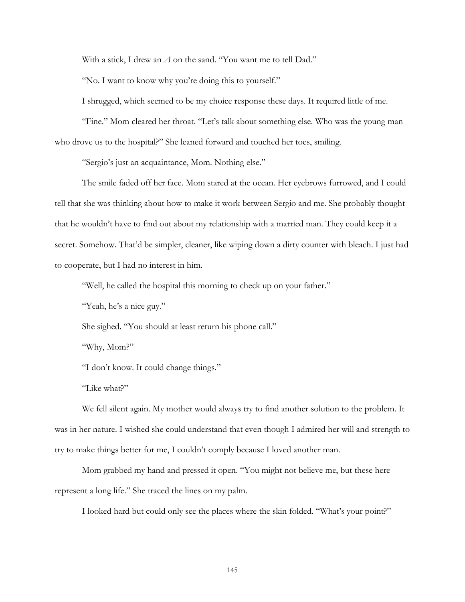With a stick, I drew an *A* on the sand. "You want me to tell Dad."

"No. I want to know why you're doing this to yourself."

I shrugged, which seemed to be my choice response these days. It required little of me.

"Fine." Mom cleared her throat. "Let's talk about something else. Who was the young man who drove us to the hospital?" She leaned forward and touched her toes, smiling.

"Sergio's just an acquaintance, Mom. Nothing else."

The smile faded off her face. Mom stared at the ocean. Her eyebrows furrowed, and I could tell that she was thinking about how to make it work between Sergio and me. She probably thought that he wouldn't have to find out about my relationship with a married man. They could keep it a secret. Somehow. That'd be simpler, cleaner, like wiping down a dirty counter with bleach. I just had to cooperate, but I had no interest in him.

"Well, he called the hospital this morning to check up on your father."

"Yeah, he's a nice guy."

She sighed. "You should at least return his phone call."

"Why, Mom?"

"I don't know. It could change things."

"Like what?"

We fell silent again. My mother would always try to find another solution to the problem. It was in her nature. I wished she could understand that even though I admired her will and strength to try to make things better for me, I couldn't comply because I loved another man.

Mom grabbed my hand and pressed it open. "You might not believe me, but these here represent a long life." She traced the lines on my palm.

I looked hard but could only see the places where the skin folded. "What's your point?"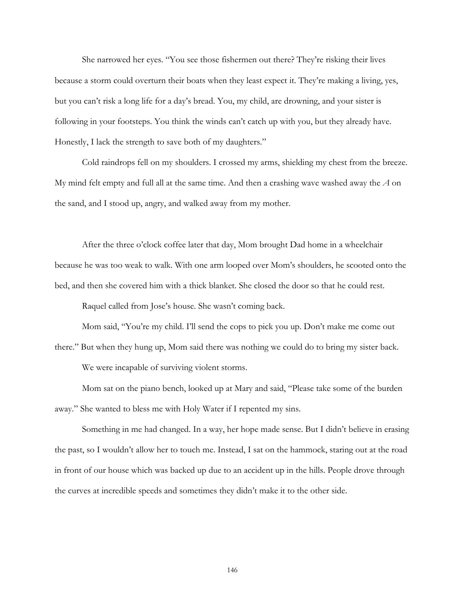She narrowed her eyes. "You see those fishermen out there? They're risking their lives because a storm could overturn their boats when they least expect it. They're making a living, yes, but you can't risk a long life for a day's bread. You, my child, are drowning, and your sister is following in your footsteps. You think the winds can't catch up with you, but they already have. Honestly, I lack the strength to save both of my daughters."

 Cold raindrops fell on my shoulders. I crossed my arms, shielding my chest from the breeze. My mind felt empty and full all at the same time. And then a crashing wave washed away the *A* on the sand, and I stood up, angry, and walked away from my mother.

 After the three o'clock coffee later that day, Mom brought Dad home in a wheelchair because he was too weak to walk. With one arm looped over Mom's shoulders, he scooted onto the bed, and then she covered him with a thick blanket. She closed the door so that he could rest.

Raquel called from Jose's house. She wasn't coming back.

Mom said, "You're my child. I'll send the cops to pick you up. Don't make me come out

there." But when they hung up, Mom said there was nothing we could do to bring my sister back. We were incapable of surviving violent storms.

Mom sat on the piano bench, looked up at Mary and said, "Please take some of the burden away." She wanted to bless me with Holy Water if I repented my sins.

Something in me had changed. In a way, her hope made sense. But I didn't believe in erasing the past, so I wouldn't allow her to touch me. Instead, I sat on the hammock, staring out at the road in front of our house which was backed up due to an accident up in the hills. People drove through the curves at incredible speeds and sometimes they didn't make it to the other side.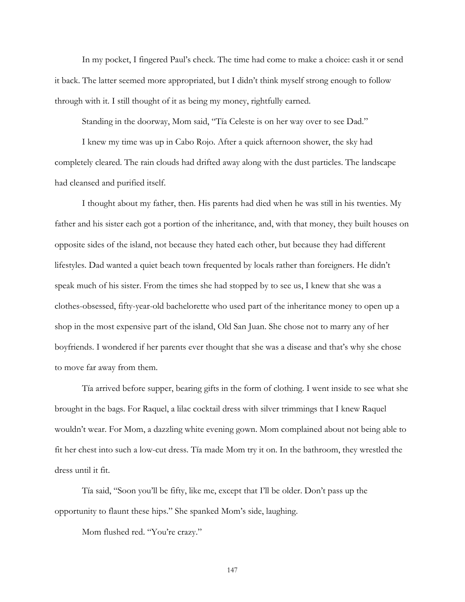In my pocket, I fingered Paul's check. The time had come to make a choice: cash it or send it back. The latter seemed more appropriated, but I didn't think myself strong enough to follow through with it. I still thought of it as being my money, rightfully earned.

Standing in the doorway, Mom said, "Tía Celeste is on her way over to see Dad."

I knew my time was up in Cabo Rojo. After a quick afternoon shower, the sky had completely cleared. The rain clouds had drifted away along with the dust particles. The landscape had cleansed and purified itself.

I thought about my father, then. His parents had died when he was still in his twenties. My father and his sister each got a portion of the inheritance, and, with that money, they built houses on opposite sides of the island, not because they hated each other, but because they had different lifestyles. Dad wanted a quiet beach town frequented by locals rather than foreigners. He didn't speak much of his sister. From the times she had stopped by to see us, I knew that she was a clothes-obsessed, fifty-year-old bachelorette who used part of the inheritance money to open up a shop in the most expensive part of the island, Old San Juan. She chose not to marry any of her boyfriends. I wondered if her parents ever thought that she was a disease and that's why she chose to move far away from them.

Tía arrived before supper, bearing gifts in the form of clothing. I went inside to see what she brought in the bags. For Raquel, a lilac cocktail dress with silver trimmings that I knew Raquel wouldn't wear. For Mom, a dazzling white evening gown. Mom complained about not being able to fit her chest into such a low-cut dress. Tía made Mom try it on. In the bathroom, they wrestled the dress until it fit.

Tía said, "Soon you'll be fifty, like me, except that I'll be older. Don't pass up the opportunity to flaunt these hips." She spanked Mom's side, laughing.

Mom flushed red. "You're crazy."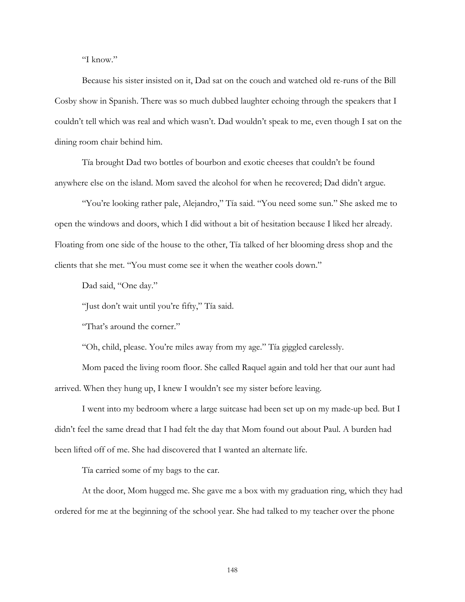"I know."

Because his sister insisted on it, Dad sat on the couch and watched old re-runs of the Bill Cosby show in Spanish. There was so much dubbed laughter echoing through the speakers that I couldn't tell which was real and which wasn't. Dad wouldn't speak to me, even though I sat on the dining room chair behind him.

Tía brought Dad two bottles of bourbon and exotic cheeses that couldn't be found anywhere else on the island. Mom saved the alcohol for when he recovered; Dad didn't argue.

"You're looking rather pale, Alejandro," Tía said. "You need some sun." She asked me to open the windows and doors, which I did without a bit of hesitation because I liked her already. Floating from one side of the house to the other, Tía talked of her blooming dress shop and the clients that she met. "You must come see it when the weather cools down."

Dad said, "One day."

"Just don't wait until you're fifty," Tía said.

"That's around the corner."

"Oh, child, please. You're miles away from my age." Tía giggled carelessly.

Mom paced the living room floor. She called Raquel again and told her that our aunt had arrived. When they hung up, I knew I wouldn't see my sister before leaving.

I went into my bedroom where a large suitcase had been set up on my made-up bed. But I didn't feel the same dread that I had felt the day that Mom found out about Paul. A burden had been lifted off of me. She had discovered that I wanted an alternate life.

Tía carried some of my bags to the car.

At the door, Mom hugged me. She gave me a box with my graduation ring, which they had ordered for me at the beginning of the school year. She had talked to my teacher over the phone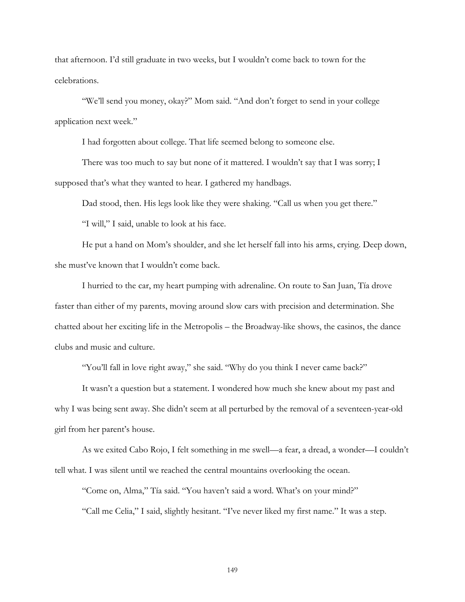that afternoon. I'd still graduate in two weeks, but I wouldn't come back to town for the celebrations.

"We'll send you money, okay?" Mom said. "And don't forget to send in your college application next week."

I had forgotten about college. That life seemed belong to someone else.

There was too much to say but none of it mattered. I wouldn't say that I was sorry; I supposed that's what they wanted to hear. I gathered my handbags.

Dad stood, then. His legs look like they were shaking. "Call us when you get there."

"I will," I said, unable to look at his face.

He put a hand on Mom's shoulder, and she let herself fall into his arms, crying. Deep down, she must've known that I wouldn't come back.

I hurried to the car, my heart pumping with adrenaline. On route to San Juan, Tía drove faster than either of my parents, moving around slow cars with precision and determination. She chatted about her exciting life in the Metropolis – the Broadway-like shows, the casinos, the dance clubs and music and culture.

"You'll fall in love right away," she said. "Why do you think I never came back?"

It wasn't a question but a statement. I wondered how much she knew about my past and why I was being sent away. She didn't seem at all perturbed by the removal of a seventeen-year-old girl from her parent's house.

As we exited Cabo Rojo, I felt something in me swell—a fear, a dread, a wonder—I couldn't tell what. I was silent until we reached the central mountains overlooking the ocean.

"Come on, Alma," Tía said. "You haven't said a word. What's on your mind?"

"Call me Celia," I said, slightly hesitant. "I've never liked my first name." It was a step.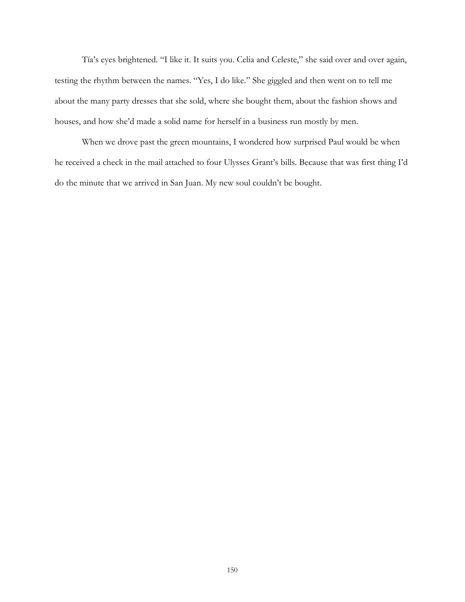Tía's eyes brightened. "I like it. It suits you. Celia and Celeste," she said over and over again, testing the rhythm between the names. "Yes, I do like." She giggled and then went on to tell me about the many party dresses that she sold, where she bought them, about the fashion shows and houses, and how she'd made a solid name for herself in a business run mostly by men.

When we drove past the green mountains, I wondered how surprised Paul would be when he received a check in the mail attached to four Ulysses Grant's bills. Because that was first thing I'd do the minute that we arrived in San Juan. My new soul couldn't be bought.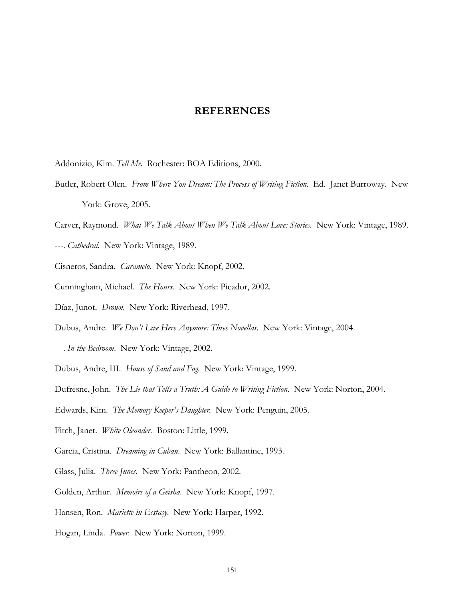## **REFERENCES**

- Addonizio, Kim. *Tell Me.* Rochester: BOA Editions, 2000.
- Butler, Robert Olen. *From Where You Dream: The Process of Writing Fiction*. Ed. Janet Burroway. New York: Grove, 2005.
- Carver, Raymond. *What We Talk About When We Talk About Love: Stories.* New York: Vintage, 1989.
- ---. *Cathedral*. New York: Vintage, 1989.
- Cisneros, Sandra. *Caramelo.* New York: Knopf, 2002.
- Cunningham, Michael. *The Hours.* New York: Picador, 2002.
- Díaz, Junot. *Drown*. New York: Riverhead, 1997.
- Dubus, Andre. *We Don't Live Here Anymore: Three Novellas*. New York: Vintage, 2004.
- ---. *In the Bedroom*. New York: Vintage, 2002.
- Dubus, Andre, III. *House of Sand and Fog*. New York: Vintage, 1999.
- Dufresne, John. *The Lie that Tells a Truth: A Guide to Writing Fiction*. New York: Norton, 2004.
- Edwards, Kim. *The Memory Keeper's Daughter.* New York: Penguin, 2005.
- Fitch, Janet. *White Oleander.* Boston: Little, 1999.
- Garcia, Cristina. *Dreaming in Cuban*. New York: Ballantine, 1993.
- Glass, Julia. *Three Junes.* New York: Pantheon, 2002.
- Golden, Arthur. *Memoirs of a Geisha*. New York: Knopf, 1997.
- Hansen, Ron. *Mariette in Ecstasy.* New York: Harper, 1992.
- Hogan, Linda. *Power*. New York: Norton, 1999.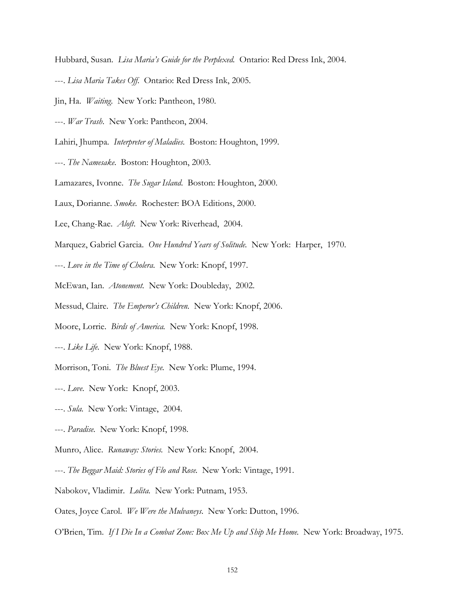Hubbard, Susan. *Lisa Maria's Guide for the Perplexed.* Ontario: Red Dress Ink, 2004.

- ---. *Lisa Maria Takes Off*. Ontario: Red Dress Ink, 2005.
- Jin, Ha. *Waiting*. New York: Pantheon, 1980.
- ---. *War Trash*. New York: Pantheon, 2004.

Lahiri, Jhumpa. *Interpreter of Maladies.* Boston: Houghton, 1999.

- ---. *The Namesake*. Boston: Houghton, 2003.
- Lamazares, Ivonne. *The Sugar Island*. Boston: Houghton, 2000.
- Laux, Dorianne. *Smoke.* Rochester: BOA Editions, 2000.
- Lee, Chang-Rae. *Aloft*. New York: Riverhead, 2004.
- Marquez, Gabriel Garcia. *One Hundred Years of Solitude.* New York: Harper, 1970.
- ---. *Love in the Time of Cholera*. New York: Knopf, 1997.
- McEwan, Ian. *Atonement.* New York: Doubleday, 2002.
- Messud, Claire. *The Emperor's Children.* New York: Knopf, 2006.
- Moore, Lorrie. *Birds of America.* New York: Knopf, 1998.
- ---. *Like Life.* New York: Knopf, 1988.
- Morrison, Toni. *The Bluest Eye.* New York: Plume, 1994.
- ---. *Love*. New York: Knopf, 2003.
- ---. *Sula.* New York: Vintage, 2004.
- ---. *Paradise.* New York: Knopf, 1998.
- Munro, Alice. *Runaway: Stories.* New York: Knopf, 2004.
- ---. *The Beggar Maid: Stories of Flo and Rose.* New York: Vintage, 1991.
- Nabokov, Vladimir. *Lolita.* New York: Putnam, 1953.
- Oates, Joyce Carol. *We Were the Mulvaneys*. New York: Dutton, 1996.
- O'Brien, Tim. *If I Die In a Combat Zone: Box Me Up and Ship Me Home.* New York: Broadway, 1975.